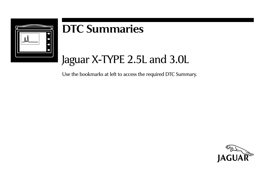

# **DTC Summaries**

# Jaguar X-TYPE 2.5L and 3.0L

Use the bookmarks at left to access the required DTC Summary.

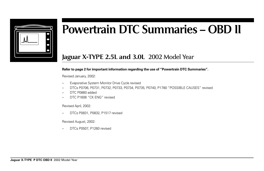

# **Powertrain DTC Summaries – OBD II**

# **Jaguar X-TYPE 2.5L and 3.0L** 2002 Model Year

#### **Refer to page 2 for important information regarding the use of "Powertrain DTC Summaries".**

Revised January, 2002:

- Evaporative System Monitor Drive Cycle revised
- DTCs P0706, P0731, P0732, P0733, P0734, P0735, P0740, P1780 "POSSIBLE CAUSES" revised
- DTC P0860 added
- DTC P1606 "CK ENG" revised

Revised April, 2002:

– DTCs P0831, P0832, P1517 revised

Revised August, 2002:

– DTCs P0507, P1260 revised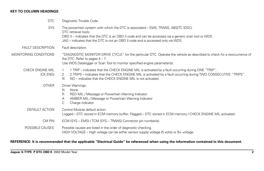## **KEY TO COLUMN HEADINGS**

| <b>DTC</b>                   | Diagnostic Trouble Code.                                                                                                                                                                                                                                                                                       |
|------------------------------|----------------------------------------------------------------------------------------------------------------------------------------------------------------------------------------------------------------------------------------------------------------------------------------------------------------|
| <b>SYS</b>                   | The powertrain system with which the DTC is associated – EMS, TRANS, ABS/TC (DSC).<br>DTC retrieval tools:<br>OBD II – indicates that the DTC is an OBD II code and can be accessed via a generic scan tool or WDS.<br>JAG – indicates that the DTC is not an OBD II code and is accessed only via WDS.        |
| <b>FAULT DESCRIPTION</b>     | Fault description.                                                                                                                                                                                                                                                                                             |
| MONITORING CONDITIONS        | "DIAGNOSTIC MONITOR DRIVE CYCLE" for the particular DTC. Operate the vehicle as described to check for a reoccurrence of<br>the DTC. Refer to pages $4 - 7$ .<br>Use WDS Datalogger or Scan Tool to monitor specified engine parameter(s).                                                                     |
| CHECK ENGINE MIL<br>(CK ENG) | 1 TRIP – indicates that the CHECK ENGINE MIL is activated by a fault occurring during ONE "TRIP".<br>$\overline{1}$<br>2 TRIPS - indicates that the CHECK ENGINE MIL is activated by a fault occurring during TWO CONSECUTIVE "TRIPS".<br>2<br>NO – indicates that the CHECK ENGINE MIL is not activated.<br>N |
| <b>OTHER</b>                 | Driver Warnings:<br>None<br>N<br>RED MIL / Message or Powertrain Warning Indicator<br>R.<br>AMBER MIL / Message or Powertrain Warning Indicator<br>A<br>С<br>Charge indicator                                                                                                                                  |
| DEFAULT ACTION               | Control Module default action:<br>Logged – DTC stored in ECM memory buffer; Flagged – DTC stored in ECM memory / CHECK ENGINE MIL activated.                                                                                                                                                                   |
| CM PIN                       | ECM (SYS – EMS) / TCM (SYS – TRANS) Connector pin number(s)                                                                                                                                                                                                                                                    |
| POSSIBLE CAUSES              | Possible causes are listed in the order of diagnostic checking.<br>HIGH VOLTAGE – High voltage can be either sensor supply voltage (5 volts) or $B+$ voltage.                                                                                                                                                  |

# **REFERENCE: It is recommended that the applicable "Electrical Guide" be referenced when using the information contained in this document.**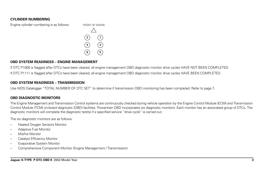#### **CYLINDER NUMBERING**

Engine cylinder numbering is as follows: FRONT OF ENGINE



#### **OBD SYSTEM READINESS – ENGINE MANAGEMENT**

If DTC P1000 is flagged after DTCs have been cleared, all engine management OBD diagnostic monitor drive cycles HAVE NOT BEEN COMPLETED. If DTC P1111 is flagged after DTCs have been cleared, all engine management OBD diagnostic monitor drive cycles HAVE BEEN COMPLETED.

## **OBD SYSTEM READINESS – TRANSMISSION**

Use WDS Datalogger "TOTAL NUMBER OF DTC SET" to determine if transmission OBD monitoring has been completed. Refer to page 7.

#### **OBD DIAGNOSTIC MONITORS**

The Engine Management and Transmission Control systems are continuously checked during vehicle operation by the Engine Control Module (ECM) and Transmission Control Module (TCM) on-board diagnostic (OBD) facilities. Powertrain OBD incorporates six diagnostic monitors. Each monitor has an associated group of DTCs. The diagnostic monitors will complete the diagnostic test(s) if a specified service "drive cycle" is carried out.

The six diagnostic monitors are as follows:

- Heated Oxygen Sensors Monitor
- Adaptive Fuel Monitor
- Misfire Monitor
- Catalyst Efficiency Monitor
- Evaporative System Monitor
- Comprehensive Component Monitor (Engine Management / Transmission)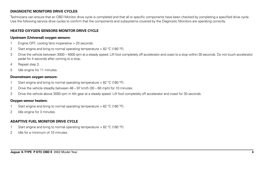# **DIAGNOSTIC MONITORS DRIVE CYCLES**

Technicians can ensure that an OBD Monitor drive cycle is completed and that all or specific components have been checked by completing a specified drive cycle. Use the following service drive cycles to confirm that the components and subsystems covered by the Diagnostic Monitors are operating correctly.

# **HEATED OXYGEN SENSORS MONITOR DRIVE CYCLE**

#### **Upstream (Universal) oxygen sensors:**

- 1 Engine OFF; cooling fans inoperative > 20 seconds.
- 2 Start engine and bring to normal operating temperature  $> 82$  °C (180 °F).
- 3 Drive the vehicle between 3000 4000 rpm at a steady speed. Lift foot completely off accelerator and coast to a stop within 30 seconds. Do not touch accelerator pedal for 4 seconds after coming to a stop.
- 4 Repeat step 3.
- 5 Idle engine for 11 minutes.

#### **Downstream oxygen sensors:**

- 1 Start engine and bring to normal operating temperature > 82 °C (180 °F).
- 2 Drive the vehicle steadily between 48 97 km/h (30 60 mph) for 10 minutes.
- 3 Drive the vehicle above 3000 rpm in 4th gear at a steady speed. Lift foot completely off accelerator and coast for 30 seconds.

#### **Oxygen sensor heaters:**

- 1 Start engine and bring to normal operating temperature > 82 °C (180 °F).
- 2 Idle engine for 3 minutes.

# **ADAPTIVE FUEL MONITOR DRIVE CYCLE**

- 1 Start engine and bring to normal operating temperature > 82 °C (180 °F).
- 2 Idle for a minimum of 10 minutes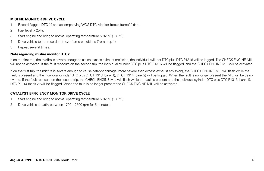## **MISFIRE MONITOR DRIVE CYCLE**

- 1 Record flagged DTC (s) and accompanying WDS DTC Monitor freeze frame(s) data.
- 2 Fuel level > 25%.
- 3 Start engine and bring to normal operating temperature > 82 °C (180 °F).
- 4 Drive vehicle to the recorded freeze frame conditions (from step 1).
- 5 Repeat several times.

# **Note regarding misfire monitor DTCs:**

If on the first trip, the misfire is severe enough to cause excess exhaust emission, the individual cylinder DTC plus DTC P1316 will be logged. The CHECK ENGINE MIL will not be activated. If the fault reoccurs on the second trip, the individual cylinder DTC plus DTC P1316 will be flagged, and the CHECK ENGINE MIL will be activated.

If on the first trip, the misfire is severe enough to cause catalyst damage (more severe than excess exhaust emission), the CHECK ENGINE MIL will flash while the fault is present and the individual cylinder DTC plus DTC P1313 (bank 1), DTC P1314 (bank 2) will be logged. When the fault is no longer present the MIL will be deactivated. If the fault reoccurs on the second trip, the CHECK ENGINE MIL will flash while the fault is present and the individual cylinder DTC plus DTC P1313 (bank 1), DTC P1314 (bank 2) will be flagged. When the fault is no longer present the CHECK ENGINE MIL will be activated.

# **CATALYST FFFICIENCY MONITOR DRIVE CYCLE**

- Start engine and bring to normal operating temperature  $> 82$  °C (180 °F).
- 2 Drive vehicle steadily between 1700 2500 rpm for 5 minutes.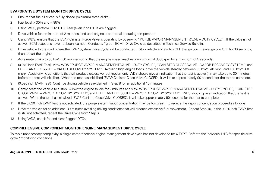# **EVAPORATIVE SYSTEM MONITOR DRIVE CYCLE**

- 1 Ensure that fuel filler cap is fully closed (minimum three clicks).
- 2 Fuel level > 30% and < 85%.
- 3 Using WDS, perform ECM DTC Clear (even if no DTCs are flagged).
- 4 Drive vehicle for a minimum of 2 minutes, and until engine is at normal operating temperature.
- 5 Using WDS, ensure that the EVAP Canister Purge Valve is operating by observing "PURGE VAPOR MANAGEMENT VALVE DUTY CYCLE". If the valve is not active, ECM adaptions have not been learned. Conduct a "green ECM" Drive Cycle as described in Technical Service Bulletin.
- 6 Drive vehicle to the road where the EVAP System Drive Cycle will be conducted. Stop vehicle and switch OFF the ignition. Leave ignition OFF for 30 seconds, then restart the engine.
- 7 Accelerate briskly to 80 km/h (50 mph) ensuring that the engine speed reaches a minimum of 3500 rpm for a minimum of 5 seconds.
- 8 (0.040 inch EVAP Test) View WDS "PURGE VAPOR MANAGEMENT VALVE DUTY CYCLE", "CANISTER CLOSE VALVE VAPOR RECOVERY SYSTEM", and FUEL TANK PRESSURE – VAPOR RECOVERY SYSTEM". Avoiding high engine loads, drive the vehicle steadily between 65 km/h (40 mph) and 100 km/h (60 mph). Avoid driving conditions that will produce excessive fuel movement. WDS should give an indication that the test is active (it may take up to 30 minutes before the test will initialize). When the test has initialized (EVAP Canister Close Valve CLOSED), it will take approximately 90 seconds for the test to complete.
- 9 (0.020 inch EVAP Test) Continue driving vehicle as explained in Step 8 for an additional 10 minutes.
- 10 Gently coast the vehicle to a stop. Allow the engine to idle for 2 minutes and view WDS "PURGE VAPOR MANAGEMENT VALVE DUTY CYCLE", "CANISTER CLOSE VALVE – VAPOR RECOVERY SYSTEM", and FUEL TANK PRESSURE – VAPOR RECOVERY SYSTEM". WDS should give an indication that the test is active. When the test has initialized (EVAP Canister Close Valve CLOSED), it will take approximately 90 seconds for the test to complete.
- 11 If the 0.020 inch EVAP Test is not activated, the purge system vapor concentration may be too great. To reduce the vapor concentration proceed as follows:
- 12 Drive the vehicle for an additional 30 minutes avoiding driving conditions that will produce excessive fuel movement. Repeat Step 10. If the 0.020 inch EVAP Test is still not activated, repeat the Drive Cycle from Step 6.
- 13 Using WDS, check for and clear flagged DTCs.

# **COMPREHENSIVE COMPONENT MONITOR ENGINE MANAGEMENT DRIVE CYCLE**

To avoid unnecessary complexity, a single comprehensive engine management drive cycle has not developed for X-TYPE. Refer to the individual DTC for specific drive cycle / monitoring conditions.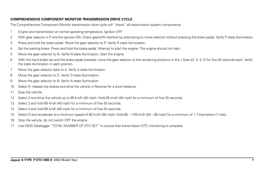# **COMPREHENSIVE COMPONENT MONITOR TRANSMISSION DRIVE CYCLE**

The Comprehensive Component Monitor transmission drive cycle will "check" all transmission system components.

- 1 Engine and transmission at normal operating temperature. Ignition OFF
- 2 With gear selector in P and the ignition ON. Check gearshift interlock by attempting to move selector without pressing the brake pedal. Verify P state illumination.
- 3 Press and hold the brake pedal. Move the gear selector to R. Verify R state illumination.
- 4 Set the parking brake. Press and hold the brake pedal. Attempt to start the engine. The engine should not start.
- 5 Move the gear selector to N. Verify N state illumination. Start the engine.
- 6 With the hand brake set and the brake pedal pressed, move the gear selector to the remaining positions in the J Gate (D, 4, 3, 2) for five (5) seconds each. Verify the state illumination in each position.
- 7 Move the gear selector back to 4. Verify 4 state illumination.
- 8 Move the gear selector to D. Verify D state illumination.
- 9 Move the gear selector to N. Verify N state illumination.
- 10 Select R, release the brakes and drive the vehicle in Reverse for a short distance.
- 11 Stop the vehicle.
- 12 Select 2 and drive the vehicle up to 65 km/h (40 mph). Hold 65 km/h (40 mph) for a minimum of five (5) seconds.
- 13 Select 3 and hold 65 km/h (40 mph) for a minimum of five (5) seconds.
- 14 Select 4 and hold 65 km/h (40 mph) for a minimum of five (5) seconds.
- 15 Select D and accelerate to a minimum speed of 80 km/h (50 mph). Hold 80 129 km/h (50 80 mph) for a minimum of 1.7 kilometers (1 mile).
- 16 Stop the vehicle; do not switch OFF the engine.
- 17 Use WDS Datalogger "TOTAL NUMBER OF DTC SET" to ensure that transmission DTC monitoring is complete.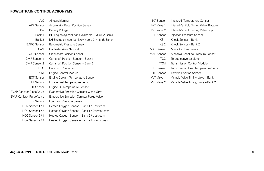#### **POWERTRAIN CONTROL ACRONYMS:**

| A/C                              | Air conditioning                                     | <b>IAT Sensor</b>  | Intake Air Temperature Sensor         |
|----------------------------------|------------------------------------------------------|--------------------|---------------------------------------|
| <b>APP Sensor</b>                | Accelerator Pedal Position Sensor                    | <b>IMT</b> Valve 1 | Intake Manifold Tuning Valve: Bottom  |
| $B+$                             | <b>Battery Voltage</b>                               | <b>IMT</b> Valve 2 | Intake Manifold Tuning Valve: Top     |
| Bank 1                           | RH Engine cylinder bank (cylinders 1, 3, 5) (A Bank) | <b>IP Sensor</b>   | Injection Pressure Sensor             |
| Bank 2                           | LH Engine cylinder bank (cylinders 2, 4, 6) (B Bank) | KS <sub>1</sub>    | Knock Sensor - Bank 1                 |
| <b>BARO Sensor</b>               | Barometric Pressure Sensor                           | KS <sub>2</sub>    | Knock Sensor – Bank 2                 |
| CAN                              | Controller Area Network                              | <b>MAF</b> Sensor  | Mass Air Flow Sensor                  |
| <b>CKP Sensor</b>                | <b>Crankshaft Position Sensor</b>                    | <b>MAP Sensor</b>  | Manifold Absolute Pressure Sensor     |
| CMP Sensor 1                     | Camshaft Position Sensor - Bank 1                    | <b>TCC</b>         | Torque converter clutch               |
| CMP Sensor 2                     | Camshaft Position Sensor - Bank 2                    | <b>TCM</b>         | Transmission Control Module           |
| DLC.                             | Data Link Connector                                  | <b>TFT Sensor</b>  | Transmission Fluid Temperature Sensor |
| <b>ECM</b>                       | Engine Control Module                                | <b>TP Sensor</b>   | <b>Throttle Position Sensor</b>       |
| <b>ECT Sensor</b>                | Engine Coolant Temperature Sensor                    | <b>WT</b> Valve 1  | Variable Valve Timing Valve - Bank 1  |
| <b>EFT Sensor</b>                | Engine Fuel Temperature Sensor                       | WT Valve 2         | Variable Valve Timing Valve - Bank 2  |
| <b>EOT Sensor</b>                | Engine Oil Temperature Sensor                        |                    |                                       |
| <b>EVAP Canister Close Valve</b> | Evaporative Emission Canister Close Valve            |                    |                                       |
| <b>EVAP Canister Purge Valve</b> | Evaporative Emission Canister Purge Valve            |                    |                                       |

FTP Sensor Fuel Tank Pressure Sensor

HO2 Sensor 1 / 1 Heated Oxygen Sensor – Bank 1 / Upstream HO2 Sensor 1 / 2 Heated Oxygen Sensor – Bank 1 / Downstream HO2 Sensor 2 / 1 Heated Oxygen Sensor – Bank 2 / Upstream HO2 Sensor 2 / 2 Heated Oxygen Sensor - Bank 2 / Downstream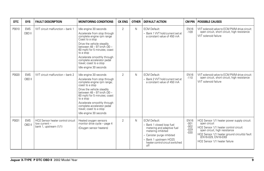| <b>DTC</b> | <b>SYS</b>           | <b>FAULT DESCRIPTION</b>                                                     | <b>MONITORING CONDITIONS</b>                                                                                                                                                                                                                                                                                                       | <b>CK ENG</b>  | <b>OTHER</b> | <b>DEFAULT ACTION</b>                                                                                                                                                                                | <b>CM PIN</b>                                       | <b>POSSIBLE CAUSES</b>                                                                                                                                                                                                                           |
|------------|----------------------|------------------------------------------------------------------------------|------------------------------------------------------------------------------------------------------------------------------------------------------------------------------------------------------------------------------------------------------------------------------------------------------------------------------------|----------------|--------------|------------------------------------------------------------------------------------------------------------------------------------------------------------------------------------------------------|-----------------------------------------------------|--------------------------------------------------------------------------------------------------------------------------------------------------------------------------------------------------------------------------------------------------|
| P0010      | <b>EMS</b><br>OBD II | WT circuit malfunction - bank 1                                              | Idle engine 30 seconds<br>Accelerate from stop through<br>complete engine rpm range<br>Coast to a stop<br>Drive the vehicle steadily<br>between 48 - 97 km/h (30 -<br>60 mph) for 5 minutes; coast<br>to a stop<br>Accelerate smoothly through<br>complete accelerator pedal<br>travel; coast to a stop<br>Idle engine 30 seconds  | $\overline{2}$ | $\mathsf{N}$ | <b>ECM Default:</b><br>- Bank 1 VVT hold current set at<br>a constant value of 450 mA                                                                                                                | <b>EN16</b><br>$-109$                               | VVT solenoid valve to ECM PWM drive circuit:<br>open circuit, short circuit, high resistance<br>VVT solenoid failure                                                                                                                             |
| P0020      | <b>EMS</b><br>OBD II | WT circuit malfunction - bank 2                                              | Idle engine 30 seconds<br>Accelerate from stop through<br>complete engine rpm range;<br>coast to a stop<br>Drive the vehicle steadily<br>between 48 - 97 km/h (30 -<br>60 mph) for 5 minutes; coast<br>to a stop<br>Accelerate smoothly through<br>complete accelerator pedal<br>travel; coast to a stop<br>Idle engine 30 seconds | $\overline{2}$ | $\mathsf{N}$ | <b>ECM Default:</b><br>- Bank 2 VVT hold current set at<br>a constant value of 450 mA                                                                                                                | <b>EN16</b><br>$-110$                               | VVT solenoid valve to ECM PWM drive circuit:<br>open circuit, short circuit, high resistance<br>VVT solenoid failure                                                                                                                             |
| P0031      | <b>EMS</b><br>OBD II | HO2 Sensor heater control circuit<br>low current -<br>bank 1, upstream (1/1) | Heated oxygen sensors<br>monitor drive cycle - page 4<br>(Oxygen sensor heaters)                                                                                                                                                                                                                                                   | $\overline{2}$ | $\mathsf{N}$ | <b>ECM Default:</b><br>- Bank 1 closed loop fuel<br>metering and adaptive fuel<br>metering inhibited<br>- Canister purge inhibited<br>Bank 1 upstream HO2S<br>heater control circuit switched<br>off | <b>EN16</b><br>$-001$<br>$-002$<br>$-029$<br>$-030$ | HO2 Sensor 1/1 heater power supply circuit:<br>open circuit<br>HO2 Sensor 1/1 heater control circuit:<br>open circuit, high resistance<br>HO2 Sensor 1/1 heater ground circuit(s) fault<br>(EN16-029, EN16-030)<br>HO2 Sensor 1/1 heater failure |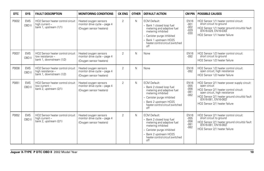| <b>DTC</b> | <b>SYS</b>           | <b>FAULT DESCRIPTION</b>                                                           | <b>MONITORING CONDITIONS</b>                                                     | <b>CK ENG</b>  | <b>OTHER</b> | <b>DEFAULT ACTION</b>                                                                                                                                                                                     | <b>CM PIN</b>                                       | <b>POSSIBLE CAUSES</b>                                                                                                                                                                                                                           |
|------------|----------------------|------------------------------------------------------------------------------------|----------------------------------------------------------------------------------|----------------|--------------|-----------------------------------------------------------------------------------------------------------------------------------------------------------------------------------------------------------|-----------------------------------------------------|--------------------------------------------------------------------------------------------------------------------------------------------------------------------------------------------------------------------------------------------------|
| P0032      | <b>EMS</b><br>OBD II | HO2 Sensor heater control circuit<br>high current -<br>bank 1, upstream (1/1)      | Heated oxygen sensors<br>monitor drive cycle - page 4<br>(Oxygen sensor heaters) | $\overline{2}$ | $\mathsf{N}$ | <b>ECM Default:</b><br>Bank 1 closed loop fuel<br>metering and adaptive fuel<br>metering inhibited<br>- Canister purge inhibited<br>Bank 1 upstream HO2S<br>heater control circuit switched<br>$\circ$ ff | <b>EN16</b><br>$-001$<br>$-002$<br>$-029$<br>$-030$ | HO2 Sensor 1/1 heater control circuit:<br>short circuit to ground<br>HO2 Sensor 1/1 heater ground circuit(s) fault<br>(EN16-029, EN16-030)<br>HO2 Sensor 1/1 heater failure                                                                      |
| P0037      | <b>EMS</b><br>OBD II | HO2 Sensor heater control circuit<br>low resistance -<br>bank 1, downstream (1/2)  | Heated oxygen sensors<br>monitor drive cycle - page 4<br>(Oxygen sensor heaters) | $\overline{2}$ | N            | None                                                                                                                                                                                                      | <b>EN16</b><br>$-092$                               | HO2 Sensor 1/2 heater control circuit:<br>short circuit to ground<br>HO2 Sensor 1/2 heater failure                                                                                                                                               |
| P0038      | <b>EMS</b><br>OBD II | HO2 Sensor heater control circuit<br>high resistance -<br>bank 1, downstream (1/2) | Heated oxygen sensors<br>monitor drive cycle - page 4<br>(Oxygen sensor heaters) | $\overline{2}$ | N            | None                                                                                                                                                                                                      | <b>EN16</b><br>$-0.92$                              | HO2 Sensor 1/2 heater control circuit:<br>open circuit; high resistance<br>HO2 Sensor 1/2 heater failure                                                                                                                                         |
| P0051      | <b>EMS</b><br>OBD II | HO2 Sensor heater control circuit<br>low current -<br>bank 2, upstream (2/1)       | Heated oxygen sensors<br>monitor drive cycle - page 4<br>(Oxygen sensor heaters) | $\mathfrak{D}$ | $\mathsf{N}$ | <b>ECM Default:</b><br>- Bank 2 closed loop fuel<br>metering and adaptive fuel<br>metering inhibited<br>- Canister purge inhibited<br>Bank 2 upstream HO2S<br>heater control circuit switched<br>off      | <b>EN16</b><br>$-055$<br>$-056$<br>$-081$<br>$-082$ | HO2 Sensor 2/1 heater power supply circuit:<br>open circuit<br>HO2 Sensor 2/1 heater control circuit:<br>open circuit, high resistance<br>HO2 Sensor 2/1 heater ground circuit(s) fault<br>(EN16-081, EN16-082)<br>HO2 Sensor 2/1 heater failure |
| P0052      | <b>EMS</b><br>OBD II | HO2 Sensor heater control circuit<br>high current -<br>bank 2, upstream (2/1)      | Heated oxygen sensors<br>monitor drive cycle - page 4<br>(Oxygen sensor heaters) | $\overline{2}$ | $\mathsf{N}$ | <b>ECM Default:</b><br>- Bank 2 closed loop fuel<br>metering and adaptive fuel<br>metering inhibited<br>- Canister purge inhibited<br>Bank 2 upstream HO2S<br>heater control circuit switched<br>off      | <b>EN16</b><br>$-055$<br>$-056$<br>$-081$<br>$-082$ | HO2 Sensor 2/1 heater control circuit:<br>short circuit to ground<br>HO2 Sensor 2/1 heater ground circuit(s) fault<br>(EN16-081, EN16-082)<br>HO2 Sensor 2/1 heater failure                                                                      |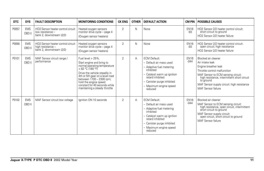| <b>DTC</b> | <b>SYS</b>           | <b>FAULT DESCRIPTION</b>                                                           | <b>MONITORING CONDITIONS</b>                                                                                                                                                                                                                                                                      | <b>CK ENG</b>  | <b>OTHER</b> | <b>DEFAULT ACTION</b>                                                                                                                                                                                         | CM PIN                | <b>POSSIBLE CAUSES</b>                                                                                                                                                                                                                                               |
|------------|----------------------|------------------------------------------------------------------------------------|---------------------------------------------------------------------------------------------------------------------------------------------------------------------------------------------------------------------------------------------------------------------------------------------------|----------------|--------------|---------------------------------------------------------------------------------------------------------------------------------------------------------------------------------------------------------------|-----------------------|----------------------------------------------------------------------------------------------------------------------------------------------------------------------------------------------------------------------------------------------------------------------|
| P0057      | <b>EMS</b><br>OBD II | HO2 Sensor heater control circuit<br>low resistance -<br>bank 2, downstream (2/2)  | Heated oxygen sensors<br>monitor drive cycle - page 4<br>(Oxygen sensor heaters)                                                                                                                                                                                                                  | $\overline{2}$ | $\mathsf{N}$ | None                                                                                                                                                                                                          | <b>EN16</b><br>-93    | HO2 Sensor 2/2 heater control circuit:<br>short circuit to ground<br>HO2 Sensor 2/2 heater failure                                                                                                                                                                   |
| P0058      | <b>EMS</b><br>OBD II | HO2 Sensor heater control circuit<br>high resistance -<br>bank 2, downstream (2/2) | Heated oxygen sensors<br>monitor drive cycle - page 4<br>(Oxygen sensor heaters)                                                                                                                                                                                                                  | $\mathfrak{D}$ | $\mathsf{N}$ | None                                                                                                                                                                                                          | <b>EN16</b><br>$-93$  | HO2 Sensor 2/2 heater control circuit:<br>open circuit; high resistance<br>HO2 Sensor 2/2 heater failure                                                                                                                                                             |
| P0101      | <b>EMS</b><br>OBD II | MAF Sensor circuit range /<br>performance                                          | Fuel level $> 25\%$ .<br>Start engine and bring to<br>normal operating temperature<br>> 82 °C (180 °F)<br>Drive the vehicle steadily in<br>4th or 5th gear on a level road<br>between 1700 - 2300 rpm;<br>hold the engine speed<br>constant for 40 seconds while<br>maintaining a steady throttle | $\overline{2}$ | A            | <b>ECM Default:</b><br>- Default air mass used<br>- Adaptive fuel metering<br>inhibited<br>- Catalyst warm up ignition<br>retard inhibited<br>- Canister purge inhibited<br>- Maximum engine speed<br>reduced | <b>EN16</b><br>$-044$ | Blocked air cleaner<br>Air intake leak<br>Engine breather leak<br>Throttle control malfunction<br>MAF Sensor to ECM sensing circuit:<br>high resistance, intermittent short circuit<br>to ground<br>MAF Sensor supply circuit: high resistance<br>MAF Sensor failure |
| P0102      | <b>EMS</b><br>OBD II | MAF Sensor circuit low voltage                                                     | lanition ON 10 seconds                                                                                                                                                                                                                                                                            | 2              | А            | <b>ECM Default:</b><br>- Default air mass used<br>- Adaptive fuel metering<br>inhibited<br>- Catalyst warm up ignition<br>retard inhibited<br>- Canister purge inhibited<br>- Maximum engine speed<br>reduced | <b>EN16</b><br>$-044$ | Blocked air cleaner<br>MAF Sensor to ECM sensing circuit:<br>high resistance, open circuit, intermittent<br>short circuit to ground<br>MAF Sensor supply circuit:<br>open circuit, short circuit to ground<br>MAF Sensor failure                                     |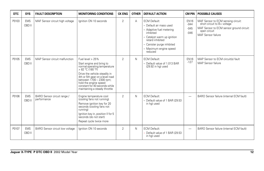| <b>DTC</b> | <b>SYS</b>           | <b>FAULT DESCRIPTION</b>                   | <b>MONITORING CONDITIONS</b>                                                                                                                                                                                                                                                                 | <b>CK ENG</b>  | <b>OTHER</b> | <b>DEFAULT ACTION</b>                                                                                                                                                                                         | <b>CM PIN</b>                             | <b>POSSIBLE CAUSES</b>                                                                                                                              |
|------------|----------------------|--------------------------------------------|----------------------------------------------------------------------------------------------------------------------------------------------------------------------------------------------------------------------------------------------------------------------------------------------|----------------|--------------|---------------------------------------------------------------------------------------------------------------------------------------------------------------------------------------------------------------|-------------------------------------------|-----------------------------------------------------------------------------------------------------------------------------------------------------|
| P0103      | <b>EMS</b><br>OBD II | MAF Sensor circuit high voltage            | Ignition ON 10 seconds                                                                                                                                                                                                                                                                       | 2              | A            | <b>ECM Default:</b><br>- Default air mass used<br>- Adaptive fuel metering<br>inhibited<br>- Catalyst warm up ignition<br>retard inhibited<br>- Canister purge inhibited<br>- Maximum engine speed<br>reduced | <b>EN16</b><br>$-044$<br>$-045$<br>$-046$ | MAF Sensor to ECM sensing circuit:<br>short circuit to B+ voltage<br>MAF Sensor to ECM sensor ground circuit:<br>open circuit<br>MAF Sensor failure |
| P0105      | <b>EMS</b><br>OBD II | MAP Sensor circuit malfunction             | Fuel level > 25%<br>Start engine and bring to<br>normal operating temperature<br>> 82 °C (180 °F)<br>Drive the vehicle steadily in<br>4th or 5th gear on a level road<br>between 1700 - 2300 rpm;<br>hold the engine speed<br>constant for 40 seconds while<br>maintaining a steady throttle | $\overline{2}$ | N            | <b>ECM Default:</b><br>- Default value of 1.013 BAR<br>(29.92 in hq) used                                                                                                                                     | <b>EN16</b><br>$-127$                     | MAP Sensor to ECM circuit(s) fault<br>MAP Sensor failure                                                                                            |
| P0106      | <b>EMS</b><br>OBD II | BARO Sensor circuit range /<br>performance | Engine temperature cool<br>(cooling fans not running)<br>Remove ignition key for 20<br>seconds (cooling fans not<br>running)<br>Ignition key in, position II for 5<br>seconds (do not start)<br>Repeat cycle twice more                                                                      | 2              | N            | <b>ECM Default:</b><br>- Default value of 1 BAR (29.53)<br>in hg) used                                                                                                                                        |                                           | BARO Sensor failure (internal ECM fault)                                                                                                            |
| P0107      | <b>EMS</b><br>OBD II | BARO Sensor circuit low voltage            | lanition ON 10 seconds                                                                                                                                                                                                                                                                       | 2              | N            | <b>ECM Default:</b><br>- Default value of 1 BAR (29.53)<br>in hg) used                                                                                                                                        | -                                         | BARO Sensor failure (internal ECM fault)                                                                                                            |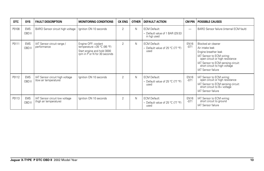| <b>DTC</b> | <b>SYS</b>           | <b>FAULT DESCRIPTION</b>                                 | <b>MONITORING CONDITIONS</b>                                                                                      | <b>CK ENG</b>  | <b>OTHER</b> | <b>DEFAULT ACTION</b>                                                 | <b>CM PIN</b>         | <b>POSSIBLE CAUSES</b>                                                                                                                                                                                                      |
|------------|----------------------|----------------------------------------------------------|-------------------------------------------------------------------------------------------------------------------|----------------|--------------|-----------------------------------------------------------------------|-----------------------|-----------------------------------------------------------------------------------------------------------------------------------------------------------------------------------------------------------------------------|
| P0108      | <b>EMS</b><br>OBD II | BARO Sensor circuit high voltage                         | Ignition ON 10 seconds                                                                                            | $\overline{2}$ | N            | <b>ECM Default:</b><br>- Default value of 1 BAR (29.53<br>in hg) used | -                     | BARO Sensor failure (internal ECM fault)                                                                                                                                                                                    |
| P0111      | <b>EMS</b><br>OBD II | IAT Sensor circuit range /<br>performance                | Engine OFF; coolant<br>temperature <35 $°C$ (95 °F)<br>Start engine and hold 3000<br>rpm in P or N for 30 seconds | $\overline{2}$ | N            | <b>ECM Default:</b><br>- Default value of 25 °C (77 °F)<br>used       | <b>EN16</b><br>$-071$ | Blocked air cleaner<br>Air intake leak<br>Engine breather leak<br>IAT Sensor to ECM wiring:<br>open circuit or high resistance<br>IAT Sensor to ECM sensing circuit:<br>short circuit to high voltage<br>IAT Sensor failure |
| P0112      | <b>EMS</b><br>OBD II | IAT Sensor circuit high voltage<br>(low air temperature) | Ignition ON 10 seconds                                                                                            | $\overline{2}$ | N            | <b>ECM Default:</b><br>- Default value of 25 °C (77 °F)<br>used       | <b>EN16</b><br>$-071$ | IAT Sensor to ECM wiring:<br>open circuit or high resistance<br>IAT Sensor to ECM sensing circuit:<br>short circuit to B+ voltage<br>IAT Sensor failure                                                                     |
| P0113      | <b>EMS</b><br>OBD II | IAT Sensor circuit low voltage<br>(high air temperature) | Ignition ON 10 seconds                                                                                            | 2              | $\mathsf{N}$ | <b>ECM Default:</b><br>- Default value of 25 °C (77 °F)<br>used       | <b>EN16</b><br>$-071$ | IAT Sensor to ECM wiring:<br>short circuit to ground<br><b>IAT Sensor failure</b>                                                                                                                                           |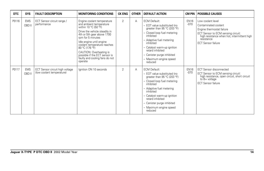| <b>DTC</b> | <b>SYS</b>           | <b>FAULT DESCRIPTION</b>                                     | <b>MONITORING CONDITIONS</b>                                                                                                                                                                                                                                                                                                                                                | <b>CK ENG</b>  | <b>OTHER</b> | <b>DEFAULT ACTION</b>                                                                                                                                                                                                                                                                        | CM PIN                | <b>POSSIBLE CAUSES</b>                                                                                                                                                                                 |
|------------|----------------------|--------------------------------------------------------------|-----------------------------------------------------------------------------------------------------------------------------------------------------------------------------------------------------------------------------------------------------------------------------------------------------------------------------------------------------------------------------|----------------|--------------|----------------------------------------------------------------------------------------------------------------------------------------------------------------------------------------------------------------------------------------------------------------------------------------------|-----------------------|--------------------------------------------------------------------------------------------------------------------------------------------------------------------------------------------------------|
| P0116      | <b>EMS</b><br>OBD II | ECT Sensor circuit range /<br>performance                    | Engine coolant temperature<br>and ambient temperature<br>within 10 $^{\circ}$ C (50 $^{\circ}$ F)<br>Drive the vehicle steadily in<br>4th or 5th gear above 1700<br>rpm for 5 minutes<br>Idle engine until engine<br>coolant temperature reaches<br>80 °C (176 °F)<br>CAUTION: Overheating is<br>possible if the ECT sensor is<br>faulty and cooling fans do not<br>operate | $\overline{2}$ | A            | <b>ECM Default:</b><br>- EOT value substituted (no<br>greater than 95 °C (203 °F)<br>- Closed loop fuel metering<br>inhibited<br>- Adaptive fuel metering<br>inhibited<br>- Catalyst warm-up ignition<br>retard inhibited<br>- Canister purge inhibited<br>- Maximum engine speed<br>reduced | <b>EN16</b><br>$-070$ | Low coolant level<br>Contaminated coolant<br>Engine thermostat failure<br>ECT Sensor to ECM sensing circuit:<br>high resistance when hot, intermittent high<br>resistance<br><b>ECT Sensor failure</b> |
| P0117      | <b>EMS</b><br>OBD II | ECT Sensor circuit high voltage<br>(low coolant temperature) | Ignition ON 10 seconds                                                                                                                                                                                                                                                                                                                                                      | $\overline{2}$ | A            | <b>ECM Default:</b><br>- EOT value substituted (no<br>greater than 95 °C (203 °F)<br>- Closed loop fuel metering<br>inhibited<br>- Adaptive fuel metering<br>inhibited<br>- Catalyst warm-up ignition<br>retard inhibited<br>- Canister purge inhibited<br>- Maximum engine speed<br>reduced | <b>EN16</b><br>$-070$ | <b>ECT Sensor disconnected</b><br>ECT Sensor to ECM sensing circuit:<br>high resistance, open circuit, short circuit<br>$to$ $B+$ voltage<br><b>ECT Sensor failure</b>                                 |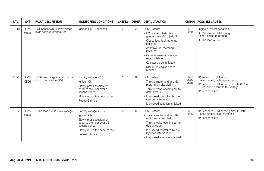| <b>DTC</b> | <b>SYS</b>           | <b>FAULT DESCRIPTION</b>                                     | <b>MONITORING CONDITIONS</b>                                                                                                                                           | <b>CK ENG</b>  | <b>OTHER</b> | <b>DEFAULT ACTION</b>                                                                                                                                                                                                                                                                        | CM PIN                          | <b>POSSIBLE CAUSES</b>                                                                                                                                           |
|------------|----------------------|--------------------------------------------------------------|------------------------------------------------------------------------------------------------------------------------------------------------------------------------|----------------|--------------|----------------------------------------------------------------------------------------------------------------------------------------------------------------------------------------------------------------------------------------------------------------------------------------------|---------------------------------|------------------------------------------------------------------------------------------------------------------------------------------------------------------|
| P0118      | <b>EMS</b><br>OBD II | ECT Sensor circuit low voltage<br>(high coolant temperature) | lanition ON 10 seconds                                                                                                                                                 | $\overline{2}$ | Α            | <b>ECM Default:</b><br>- EOT value substituted (no<br>greater than 95 °C (203 °F)<br>- Closed loop fuel metering<br>inhibited<br>- Adaptive fuel metering<br>inhibited<br>- Catalyst warm-up ignition<br>retard inhibited<br>- Canister purge inhibited<br>- Maximum engine speed<br>reduced | <b>EN16</b><br>$-070$           | Engine overheat condition<br>ECT Sensor to ECM wiring:<br>short circuit to ground<br><b>ECT Sensor failure</b>                                                   |
| P0121      | <b>EMS</b><br>OBD II | TP Sensor range / performance<br>(TP1 compared to TP2)       | Battery voltage > 10 v<br>Ignition ON<br>Slowly press accelerator<br>pedal to the floor over a 5<br>second period<br>Slowly return the pedal to rest<br>Repeat 3 times | $\overline{2}$ | R            | <b>ECM Default:</b><br>- Throttle motor and throttle<br>motor relay disabled<br>- Throttle valve opening set to<br>default value<br>- Idle speed controlled by fuel<br>injection intervention<br>- Idle speed adaption inhibited                                                             | <b>EN16</b><br>$-075$<br>$-076$ | TP Sensor to ECM wiring:<br>open circuit, high resistance<br>TP Sensor to ECM sensing circuits (TP1 or<br>TP2): short circuit to B+ voltage<br>TP Sensor failure |
| P0122      | <b>EMS</b><br>OBD II | TP Sensor circuit 1 low voltage                              | Battery voltage > 10 v<br>Ignition ON<br>Slowly press accelerator<br>pedal to the floor over a 5<br>second period<br>Slowly return the pedal to rest<br>Repeat 3 times | $\overline{2}$ | R            | <b>ECM Default:</b><br>- Throttle motor and throttle<br>motor relay disabled<br>- Throttle valve opening set to<br>default value<br>- Idle speed controlled by fuel<br>injection intervention<br>- Idle speed adaption inhibited                                                             | <b>EN16</b><br>$-075$           | TP Sensor to ECM sensing circuit (TP1):<br>open circuit, high resistance<br>TP Sensor failure                                                                    |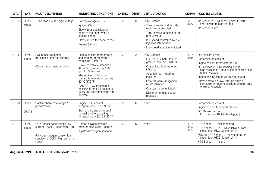| <b>DTC</b> | <b>SYS</b>           | <b>FAULT DESCRIPTION</b>                                                                                                                            | <b>MONITORING CONDITIONS</b>                                                                                                                                                                                                                                                                                                                            | <b>CK ENG</b>  | <b>OTHER</b> | <b>DEFAULT ACTION</b>                                                                                                                                                                                                                                                                        | <b>CM PIN</b>                   | <b>POSSIBLE CAUSES</b>                                                                                                                                                                                                                                                                                                                      |
|------------|----------------------|-----------------------------------------------------------------------------------------------------------------------------------------------------|---------------------------------------------------------------------------------------------------------------------------------------------------------------------------------------------------------------------------------------------------------------------------------------------------------------------------------------------------------|----------------|--------------|----------------------------------------------------------------------------------------------------------------------------------------------------------------------------------------------------------------------------------------------------------------------------------------------|---------------------------------|---------------------------------------------------------------------------------------------------------------------------------------------------------------------------------------------------------------------------------------------------------------------------------------------------------------------------------------------|
| P0123      | <b>EMS</b><br>OBD II | TP Sensor circuit 1 high voltage                                                                                                                    | Battery voltage > 10 v<br>Ignition ON<br>Slowly press accelerator<br>pedal to the floor over a 5<br>second period<br>Slowly return the pedal to rest<br>Repeat 3 times                                                                                                                                                                                  | $\overline{2}$ | R            | <b>ECM Default:</b><br>- Throttle motor and throttle<br>motor relay disabled<br>- Throttle valve opening set to<br>default value<br>- Idle speed controlled by fuel<br>injection intervention<br>- Idle speed adaption inhibited                                                             | <b>EN16</b><br>$-075$           | TP Sensor to ECM sensing circuit (TP1):<br>short circuit to high voltage<br>TP Sensor failure                                                                                                                                                                                                                                               |
| P0125      | <b>EMS</b><br>OBD II | <b>ECT Sensor response</b><br>(for closed loop fuel control)<br>(Coolant thermostat monitor)                                                        | Engine coolant temperature<br>and ambient temperature<br>within 10 °C (50 °F)<br>Drive the vehicle steadily in<br>4th or 5th gear above 1700<br>rom for 5 minutes<br>Idle engine until engine<br>coolant temperature reaches<br>80 °C (176 °F)<br>CAUTION: Overheating is<br>possible if the ECT sensor is<br>faulty and cooling fans do not<br>operate | $\overline{2}$ | A            | <b>ECM Default:</b><br>- EOT value substituted (no<br>qreater than 95 °C (203 °F)<br>- Closed loop fuel metering<br>inhibited<br>- Adaptive fuel metering<br>inhibited<br>- Catalyst warm-up ignition<br>retard inhibited<br>- Canister purge inhibited<br>- Maximum engine speed<br>reduced | <b>EN16</b><br>$-070$           | Low coolant level<br>Contaminated coolant<br>Engine coolant thermostat failure<br>ECT Sensor to ECM sensing circuit:<br>high resistance, open circuit or short circuit<br>to high voltage<br>Engine cooling fan stuck on high speed<br>Above normal air flow through engine<br>compartment due to accident damage and/<br>or missing panels |
| P0128      | <b>EMS</b><br>OBD II | Coolant thermostat range /<br>performance                                                                                                           | Engine OFF; coolant<br>temperature <35 °C (95 °F)<br>Start engine and drive until<br>normal engine operating<br>temperature > $82 °C$ (180 °F)                                                                                                                                                                                                          | $\overline{2}$ | $\mathsf{N}$ | None                                                                                                                                                                                                                                                                                         | $\overline{\phantom{0}}$        | Contaminated coolant<br>Engine coolant thermostat failure<br><b>ECT Sensor failure</b><br>(ECT Sensor DTC(s) also flagged)                                                                                                                                                                                                                  |
| P0131      | <b>EMS</b><br>OBD II | HO2 Sensor sense circuit low<br>current - bank 1, upstream (1/1)<br>(Universal oxygen sensor: lean<br>condition at ECM - high current at<br>sensor) | Heated oxygen sensors<br>monitor drive cycle - page 4<br>(Upstream oxygen sensors)                                                                                                                                                                                                                                                                      | 2              | $\mathsf{N}$ | None                                                                                                                                                                                                                                                                                         | <b>EN16</b><br>$-083$<br>$-084$ | HO2 Sensor 1/1 disconnected<br>HO2 Sensor 1/1 to ECM variable current<br>circuit fault (HO2 Sensor pin 3)<br>ECM to HO2 Sensor 1/1 constant current<br>circuit fault (HO2 Sensor pin 4)<br>HO2 Sensor 1/1 failure                                                                                                                           |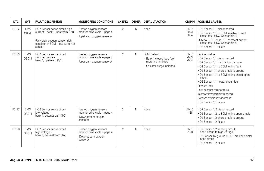| <b>DTC</b> | <b>SYS</b>           | <b>FAULT DESCRIPTION</b>                                                                                                                            | <b>MONITORING CONDITIONS</b>                                                            | <b>CK ENG</b>  | <b>OTHER</b> | <b>DEFAULT ACTION</b>                                                                                | <b>CM PIN</b>                   | <b>POSSIBLE CAUSES</b>                                                                                                                                                                                                                                                                                                                                                                                  |
|------------|----------------------|-----------------------------------------------------------------------------------------------------------------------------------------------------|-----------------------------------------------------------------------------------------|----------------|--------------|------------------------------------------------------------------------------------------------------|---------------------------------|---------------------------------------------------------------------------------------------------------------------------------------------------------------------------------------------------------------------------------------------------------------------------------------------------------------------------------------------------------------------------------------------------------|
| P0132      | <b>EMS</b><br>OBD II | HO2 Sensor sense circuit high<br>current - bank 1, upstream (1/1)<br>(Universal oxygen sensor: rich<br>condition at ECM - low current at<br>sensor) | Heated oxygen sensors<br>monitor drive cycle - page 4<br>(Upstream oxygen sensors)      | $\overline{2}$ | $\mathsf{N}$ | None                                                                                                 | <b>EN16</b><br>$-083$<br>$-084$ | HO2 Sensor 1/1 disconnected<br>HO2 Sensor 1/1 to ECM variable current<br>circuit fault (HO2 Sensor pin 3)<br>ECM to HO2 Sensor 1/1 constant current<br>circuit fault (HO2 Sensor pin 4)<br>HO2 Sensor 1/1 failure                                                                                                                                                                                       |
| P0133      | <b>EMS</b><br>OBD II | HO2 Sensor sense circuit<br>slow response -<br>bank 1, upstream (1/1)                                                                               | Heated oxygen sensors<br>monitor drive cycle - page 4<br>(Upstream oxygen sensors)      | $\overline{2}$ | $\mathsf{N}$ | <b>ECM Default:</b><br>- Bank 1 closed loop fuel<br>metering inhibited<br>- Canister purge inhibited | <b>EN16</b><br>$-083$<br>$-084$ | Engine misfire<br>HO2 Sensor 1/1 disconnected<br>HO2 Sensor 1/1 mechanical damage<br>HO2 Sensor 1/1 to ECM wiring fault<br>HO2 Sensor 1/1 short circuit to ground<br>HO2 Sensor 1/1 to ECM wiring shield open<br>circuit<br>HO2 Sensor 1/1 heater circuit fault<br>Exhaust leak<br>Low exhaust temperature<br>Injector flow partially blocked<br>Catalyst efficiency decrease<br>HO2 Sensor 1/1 failure |
| P0137      | <b>EMS</b><br>OBD II | HO2 Sensor sense circuit<br>low voltage -<br>bank 1, downstream (1/2)                                                                               | Heated oxygen sensors<br>monitor drive cycle - page 4<br>(Downstream oxygen<br>sensors) | $\overline{2}$ | $\mathsf{N}$ | None                                                                                                 | <b>EN16</b><br>$-128$           | HO2 Sensor 1/2 disconnected<br>HO2 Sensor 1/2 to ECM wiring open circuit<br>HO2 Sensor 1/2 short circuit to ground<br>HO2 Sensor 1/2 failure                                                                                                                                                                                                                                                            |
| P0138      | <b>EMS</b><br>OBD II | HO2 Sensor sense circuit<br>high voltage -<br>bank 1, downstream (1/2)                                                                              | Heated oxygen sensors<br>monitor drive cycle - page 4<br>(Downstream oxygen<br>sensors) | $\mathfrak{D}$ | $\mathsf{N}$ | None                                                                                                 | <b>EN16</b><br>$-128$           | HO2 Sensor 1/2 sensing circuit:<br>short circuit to high voltage<br>HO2 Sensor 1/2 ground (BRD - braided shield)<br>open circuit<br>HO2 Sensor 1/2 failure                                                                                                                                                                                                                                              |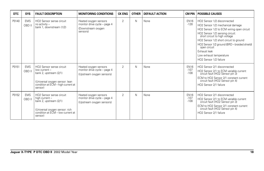| <b>DTC</b> | <b>SYS</b>           | <b>FAULT DESCRIPTION</b>                                                                                                                                           | <b>MONITORING CONDITIONS</b>                                                            | <b>CK ENG</b>  | <b>OTHER</b> | <b>DEFAULT ACTION</b> | CM PIN                          | <b>POSSIBLE CAUSES</b>                                                                                                                                                                                                                                                                                                                                          |
|------------|----------------------|--------------------------------------------------------------------------------------------------------------------------------------------------------------------|-----------------------------------------------------------------------------------------|----------------|--------------|-----------------------|---------------------------------|-----------------------------------------------------------------------------------------------------------------------------------------------------------------------------------------------------------------------------------------------------------------------------------------------------------------------------------------------------------------|
| P0140      | <b>EMS</b><br>OBD II | HO2 Sensor sense circuit<br>no activity -<br>bank 1, downstream (1/2)                                                                                              | Heated oxygen sensors<br>monitor drive cycle - page 4<br>(Downstream oxygen<br>sensors) | $\overline{2}$ | N            | None                  | <b>EN16</b><br>$-128$           | HO2 Sensor 1/2 disconnected<br>HO2 Sensor 1/2 mechanical damage<br>HO2 Sensor 1/2 to ECM wiring open circuit<br>HO2 Sensor 1/2 sensing circuit:<br>short circuit to high voltage<br>HO2 Sensor 1/2 short circuit to ground<br>HO2 Sensor 1/2 ground (BRD - braided shield)<br>open circuit<br>Exhaust leak<br>Low exhaust temperature<br>HO2 Sensor 1/2 failure |
| P0151      | <b>EMS</b><br>OBD II | HO2 Sensor sense circuit<br>low current -<br>bank 2, upstream (2/1)<br>(Universal oxygen sensor: lean<br>condition at ECM - high current at<br>sensor)             | Heated oxygen sensors<br>monitor drive cycle - page 4<br>(Upstream oxygen sensors)      | $\overline{2}$ | N            | None                  | <b>EN16</b><br>$-107$<br>$-108$ | HO2 Sensor 2/1 disconnected<br>HO2 Sensor 2/1 to ECM variable current<br>circuit fault (HO2 Sensor pin 3)<br>ECM to HO2 Sensor 2/1 constant current<br>circuit fault (HO2 Sensor pin 4)<br>HO2 Sensor 2/1 failure                                                                                                                                               |
| P0152      | <b>EMS</b><br>OBD II | HO <sub>2</sub> Sensor sense circuit<br>high current -<br>bank 2, upstream (2/1)<br>(Universal oxygen sensor: rich<br>condition at ECM - low current at<br>sensor) | Heated oxygen sensors<br>monitor drive cycle - page 4<br>(Upstream oxygen sensors)      | $\overline{2}$ | N            | None                  | <b>EN16</b><br>$-107$<br>$-108$ | HO2 Sensor 2/1 disconnected<br>HO2 Sensor 2/1 to ECM variable current<br>circuit fault (HO2 Sensor pin 3)<br>ECM to HO2 Sensor 2/1 constant current<br>circuit fault (HO2 Sensor pin 4)<br>HO2 Sensor 2/1 failure                                                                                                                                               |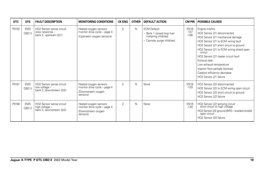| <b>DTC</b> | <b>SYS</b>           | <b>FAULT DESCRIPTION</b>                                                          | <b>MONITORING CONDITIONS</b>                                                            | <b>CK ENG</b>  | <b>OTHER</b> | <b>DEFAULT ACTION</b>                                                                                |                                 | <b>CM PIN   POSSIBLE CAUSES</b>                                                                                                                                                                                                                                                                                                                                                                         |
|------------|----------------------|-----------------------------------------------------------------------------------|-----------------------------------------------------------------------------------------|----------------|--------------|------------------------------------------------------------------------------------------------------|---------------------------------|---------------------------------------------------------------------------------------------------------------------------------------------------------------------------------------------------------------------------------------------------------------------------------------------------------------------------------------------------------------------------------------------------------|
| P0153      | <b>EMS</b><br>OBD II | HO2 Sensor sense circuit<br>slow response -<br>bank 2, upstream (2/1)             | Heated oxygen sensors<br>monitor drive cycle - page 4<br>(Upstream oxygen sensors)      | $\overline{2}$ | N            | <b>ECM Default:</b><br>- Bank 1 closed loop fuel<br>metering inhibited<br>- Canister purge inhibited | <b>EN16</b><br>$-107$<br>$-108$ | Engine misfire<br>HO2 Sensor 2/1 disconnected<br>HO2 Sensor 2/1 mechanical damage<br>HO2 Sensor 2/1 to ECM wiring fault<br>HO2 Sensor 2/1 short circuit to ground<br>HO2 Sensor 2/1 to ECM wiring shield open<br>circuit<br>HO2 Sensor 2/1 heater circuit fault<br>Exhaust leak<br>Low exhaust temperature<br>Injector flow partially blocked<br>Catalyst efficiency decrease<br>HO2 Sensor 2/1 failure |
| P0157      | <b>EMS</b><br>OBD II | HO <sub>2</sub> Sensor sense circuit<br>low voltage -<br>bank 2, downstream (2/2) | Heated oxygen sensors<br>monitor drive cycle - page 4<br>(Downstream oxygen<br>sensors) | $\overline{2}$ | N            | None                                                                                                 | <b>EN16</b><br>$-129$           | HO2 Sensor 2/2 disconnected<br>HO2 Sensor 2/2 to ECM wiring open circuit<br>HO2 Sensor 2/2 short circuit to ground<br>HO2 Sensor 2/2 failure                                                                                                                                                                                                                                                            |
| P0158      | <b>EMS</b><br>OBD II | HO2 Sensor sense circuit<br>high voltage -<br>bank 2, downstream (2/2)            | Heated oxygen sensors<br>monitor drive cycle - page 4<br>(Downstream oxygen<br>sensors) | $\overline{2}$ | N            | None                                                                                                 | <b>EN16</b><br>$-129$           | HO2 Sensor 2/2 sensing circuit:<br>short circuit to high voltage<br>HO2 Sensor 2/2 ground (BRD - braided shield)<br>open circuit<br>HO2 Sensor 2/2 failure                                                                                                                                                                                                                                              |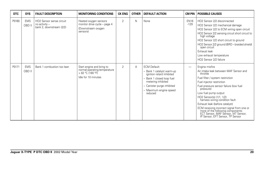| <b>DTC</b> | <b>SYS</b>           | <b>FAULT DESCRIPTION</b>                                              | <b>MONITORING CONDITIONS</b>                                                                         | <b>CK ENG</b>  | <b>OTHER</b> | <b>DEFAULT ACTION</b>                                                                                                                                                                               | CM PIN                | <b>POSSIBLE CAUSES</b>                                                                                                                                                                                                                                                                                                                                                                                                                                                             |
|------------|----------------------|-----------------------------------------------------------------------|------------------------------------------------------------------------------------------------------|----------------|--------------|-----------------------------------------------------------------------------------------------------------------------------------------------------------------------------------------------------|-----------------------|------------------------------------------------------------------------------------------------------------------------------------------------------------------------------------------------------------------------------------------------------------------------------------------------------------------------------------------------------------------------------------------------------------------------------------------------------------------------------------|
| P0160      | <b>EMS</b><br>OBD II | HO2 Sensor sense circuit<br>no activity -<br>bank 2, downstream (2/2) | Heated oxygen sensors<br>monitor drive cycle - page 4<br>(Downstream oxygen<br>sensors)              | $\overline{2}$ | N            | None                                                                                                                                                                                                | <b>EN16</b><br>$-129$ | HO2 Sensor 2/2 disconnected<br>HO2 Sensor 2/2 mechanical damage<br>HO2 Sensor 2/2 to ECM wiring open circuit<br>HO2 Sensor 2/2 sensing circuit short circuit to<br>high voltage<br>HO2 Sensor 2/2 short circuit to ground<br>HO2 Sensor 2/2 ground (BRD - braided shield)<br>open circuit<br>Exhaust leak<br>Low exhaust temperature<br>HO2 Sensor 2/2 failure                                                                                                                     |
| P0171      | <b>EMS</b><br>OBD II | Bank 1 combustion too lean                                            | Start engine and bring to<br>normal operating temperature<br>> 82 °C (180 °F)<br>Idle for 10 minutes | $\overline{2}$ | Α            | <b>ECM Default:</b><br>- Bank 1 catalyst warm-up<br>ignition retard inhibited<br>- Bank 1 closed loop fuel<br>metering inhibited<br>- Canister purge inhibited<br>- Maximum engine speed<br>reduced | -                     | Engine misfire<br>Air intake leak between MAF Sensor and<br>throttle<br>Fuel filter / system restriction<br>Fuel injector restriction<br>Fuel pressure sensor failure (low fuel<br>pressure)<br>Low fuel pump output<br>HO2 Sensor(s) (1/1, 1/2)<br>harness wiring condition fault<br>Exhaust leak (before catalyst)<br>ECM receiving incorrect signal from one or<br>more of the following components:<br>ECT Sensor, MAF Sensor, IAT Sensor,<br>IP Sensor, EFT Sensor, TP Sensor |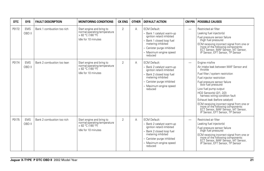| DTC   | <b>SYS</b>           | <b>FAULT DESCRIPTION</b>   | <b>MONITORING CONDITIONS</b>                                                                          | <b>CK ENG</b>  | <b>OTHER</b> | <b>DEFAULT ACTION</b>                                                                                                                                                                             | <b>CM PIN</b>            | <b>POSSIBLE CAUSES</b>                                                                                                                                                                                                                                                                                                                                                                                                                                                          |
|-------|----------------------|----------------------------|-------------------------------------------------------------------------------------------------------|----------------|--------------|---------------------------------------------------------------------------------------------------------------------------------------------------------------------------------------------------|--------------------------|---------------------------------------------------------------------------------------------------------------------------------------------------------------------------------------------------------------------------------------------------------------------------------------------------------------------------------------------------------------------------------------------------------------------------------------------------------------------------------|
| P0172 | <b>EMS</b><br>OBD II | Bank 1 combustion too rich | Start engine and bring to<br>normal operating temperature<br>> 82 °C (180 °F)<br>Idle for 10 minutes  | $\overline{2}$ | Α            | <b>ECM Default:</b><br>- Bank 1 catalyst warm-up<br>ignition retard inhibited<br>Bank 1 closed loop fuel<br>metering inhibited<br>- Canister purge inhibited<br>- Maximum engine speed<br>reduced | $\overline{\phantom{0}}$ | Restricted air filter<br>Leaking fuel injector(s)<br>Fuel pressure sensor failure<br>(high fuel pressure)<br>ECM receiving incorrect signal from one or<br>more of the following components:<br>ECT Sensor, MAF Sensor, IAT Sensor,<br>IP Sensor, EFT Sensor, TP Sensor                                                                                                                                                                                                         |
| P0174 | <b>EMS</b><br>OBD II | Bank 2 combustion too lean | Start engine and bring to<br>normal operating temperature<br>> 82 °C (180 °F)<br>Idle for 10 minutes  | $\overline{2}$ | Α            | <b>ECM Default:</b><br>- Bank 2 catalyst warm-up<br>ignition retard inhibited<br>Bank 2 closed loop fuel<br>metering inhibited<br>- Canister purge inhibited<br>- Maximum engine speed<br>reduced | $\overline{\phantom{0}}$ | Engine misfire<br>Air intake leak between MAF Sensor and<br>throttle<br>Fuel filter / system restriction<br>Fuel injector restriction<br>Fuel pressure sensor failure<br>(low fuel pressure)<br>Low fuel pump output<br>HO2 Sensor(s) (2/1, 2/2)<br>harness wiring condition fault<br>Exhaust leak (before catalyst)<br>ECM receiving incorrect signal from one or<br>once of the following components:<br>ECT Sensor, MAF Sensor, IAT Sensor, IP Sensor, EFT Sensor, TP Sensor |
| P0175 | <b>EMS</b><br>OBD II | Bank 2 combustion too rich | Start engine and bring to<br>normal operating temperature<br>$>82 °C$ (180 °F)<br>Idle for 10 minutes | $\overline{2}$ | Α            | <b>ECM Default:</b><br>Bank 2 catalyst warm-up<br>ignition retard inhibited<br>Bank 2 closed loop fuel<br>metering inhibited<br>- Canister purge inhibited<br>- Maximum engine speed<br>reduced   | $\overline{\phantom{0}}$ | Restricted air filter<br>Leaking fuel injector(s)<br>Fuel pressure sensor failure<br>(high fuel pressure)<br>ECM receiving incorrect signal from one or<br>ECT Sensor, MAF Sensor, IAT Sensor, IP<br>ECT Sensor, MAF Sensor, IAT Sensor, IP<br>Sensor, EFT Sensor, TP Sensor                                                                                                                                                                                                    |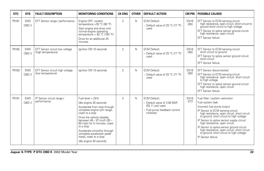| <b>DTC</b> | <b>SYS</b>           | <b>FAULT DESCRIPTION</b>                             | <b>MONITORING CONDITIONS</b>                                                                                                                                                                                                                                                                                                                           | <b>CK ENG</b>  | <b>OTHER</b> | <b>DEFAULT ACTION</b>                                                                                               | <b>CM PIN</b>         | <b>POSSIBLE CAUSES</b>                                                                                                                                                                                                                                                                                                                                                                                                                                            |
|------------|----------------------|------------------------------------------------------|--------------------------------------------------------------------------------------------------------------------------------------------------------------------------------------------------------------------------------------------------------------------------------------------------------------------------------------------------------|----------------|--------------|---------------------------------------------------------------------------------------------------------------------|-----------------------|-------------------------------------------------------------------------------------------------------------------------------------------------------------------------------------------------------------------------------------------------------------------------------------------------------------------------------------------------------------------------------------------------------------------------------------------------------------------|
| P0181      | <b>EMS</b><br>OBD II | EFT Sensor range / performance                       | Engine OFF; coolant<br>temperature < 35 °C (95 °F)<br>Start engine and drive until<br>normal engine operating<br>temperature > $82 °C$ (180 °F)<br>Drive for an additional 25<br>minutes                                                                                                                                                               | $\overline{2}$ | N            | <b>ECM Default:</b><br>- Default value of 25 °C (77 °F)<br>used                                                     | <b>EN16</b><br>$-050$ | EFT Sensor to ECM sensing circuit:<br>high resistance, open circuit, short circuit to<br>ground short circuit to high voltage<br>EFT Sensor to splice sensor ground circuit:<br>high resistance, open circuit<br><b>EFT Sensor failure</b>                                                                                                                                                                                                                        |
| P0182      | <b>EMS</b><br>OBD II | EFT Sensor circuit low voltage<br>(high temperature) | lanition ON 10 seconds                                                                                                                                                                                                                                                                                                                                 | $\overline{2}$ | N            | <b>ECM Default:</b><br>- Default value of 25 °C (77 °F)<br>used                                                     | <b>EN16</b><br>$-050$ | EFT Sensor to ECM sensing circuit:<br>short circuit to ground<br>EFT Sensor to splice sensor ground circuit:<br>short circuit<br><b>EFT Sensor failure</b>                                                                                                                                                                                                                                                                                                        |
| P0183      | <b>EMS</b><br>OBD II | EFT Sensor circuit high voltage<br>(low temperature) | lanition ON 10 seconds                                                                                                                                                                                                                                                                                                                                 | $\overline{2}$ | N            | <b>ECM Default:</b><br>- Default value of 25 °C (77 °F)<br>used                                                     | <b>EN16</b><br>$-050$ | EFT Sensor disconnected<br>EFT Sensor to ECM sensing circuit:<br>high resistance, open circuit, short circuit<br>to high voltage<br>EFT Sensor to splice sensor ground circuit:<br>high resistance, open circuit<br><b>EFT Sensor failure</b>                                                                                                                                                                                                                     |
| P0191      | <b>EMS</b><br>OBD II | IP Sensor circuit range /<br>performance             | Fuel level > 25%<br>Idle engine 30 seconds<br>Accelerate from stop through<br>complete engine rpm range;<br>coast to a stop<br>Drive the vehicle steadily<br>between 48 - 97 km/h (30 -<br>60 mph) for 5 minutes; coast<br>to a stop<br>Accelerate smoothly through<br>complete accelerator pedal<br>travel; coast to a stop<br>Idle engine 30 seconds | $\overline{2}$ | N            | <b>ECM Default:</b><br>- Default value of 3.80 BAR<br>(55.11 psi) used<br>- Fuel pump feedback control<br>inhibited | <b>EN16</b><br>$-073$ | Fuel filter / system restriction<br>Fuel system leak<br>Incorrect fuel pump output<br>IP Sensor to ECM sensing circuit:<br>high resistance, open circuit, short circuit<br>to ground, short circuit to high voltage<br>IP Sensor to splice sensor supply circuit:<br>high resistance, open circuit<br>IP Sensor to splice sensor ground circuit:<br>high resistance, open circuit, short circuit<br>to ground, short circuit to high voltage<br>IP Sensor failure |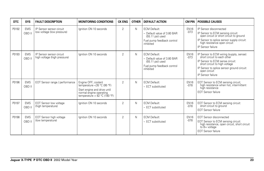| <b>DTC</b> | <b>SYS</b>           | <b>FAULT DESCRIPTION</b>                                 | <b>MONITORING CONDITIONS</b>                                                                                                                   | <b>CK ENG</b>  | <b>OTHER</b> | <b>DEFAULT ACTION</b>                                                                                               | <b>CM PIN</b>         | <b>POSSIBLE CAUSES</b>                                                                                                                                                                                                         |
|------------|----------------------|----------------------------------------------------------|------------------------------------------------------------------------------------------------------------------------------------------------|----------------|--------------|---------------------------------------------------------------------------------------------------------------------|-----------------------|--------------------------------------------------------------------------------------------------------------------------------------------------------------------------------------------------------------------------------|
| P0192      | <b>EMS</b><br>OBD II | IP Sensor sensor circuit<br>low voltage (low pressure)   | lanition ON 10 seconds                                                                                                                         | $\overline{2}$ | $\mathsf{N}$ | <b>ECM Default:</b><br>- Default value of 3.80 BAR<br>$(55.11$ psi) used<br>Fuel pump feedback control<br>inhibited | <b>EN16</b><br>$-073$ | IP Sensor disconnected<br>IP Sensor to ECM sensing circuit:<br>open circuit or short circuit to ground<br>IP Sensor to splice sensor supply circuit:<br>high resistance open circuit<br>IP Sensor failure                      |
| P0193      | <b>EMS</b><br>OBD II | IP Sensor sensor circuit<br>high voltage (high pressure) | lanition ON 10 seconds                                                                                                                         | $\overline{2}$ | $\mathsf{N}$ | <b>ECM Default:</b><br>- Default value of 3.80 BAR<br>$(55.11$ psi) used<br>Fuel pump feedback control<br>inhibited | <b>EN16</b><br>$-073$ | IP Sensor to ECM wiring (supply, sense):<br>short circuit to each other<br>IP Sensor to ECM sense circuit:<br>short circuit to high voltage<br>IP Sensor to splice sensor ground circuit:<br>open circuit<br>IP Sensor failure |
| P0196      | <b>EMS</b><br>OBD II | EOT Sensor range / performance                           | Engine OFF; coolant<br>temperature <35 °C (95 °F)<br>Start engine and drive until<br>normal engine operating<br>temperature > $82 °C$ (180 °F) | $\overline{2}$ | $\mathsf{N}$ | <b>ECM Default:</b><br>- ECT substituted                                                                            | <b>EN16</b><br>$-078$ | EOT Sensor to ECM sensing circuit;<br>high resistance when hot, intermittent<br>high resistance<br><b>EOT Sensor failure</b>                                                                                                   |
| P0197      | <b>EMS</b><br>OBD II | <b>EOT Sensor low voltage</b><br>(high temperature)      | lanition ON 10 seconds                                                                                                                         | $\overline{2}$ | $\mathsf{N}$ | <b>ECM Default:</b><br>- ECT substituted                                                                            | <b>EN16</b><br>$-078$ | EOT Sensor to ECM sensing circuit:<br>short circuit to ground<br><b>EOT Sensor failure</b>                                                                                                                                     |
| P0198      | <b>EMS</b><br>OBD II | EOT Sensor high voltage<br>(low temperature)             | lanition ON 10 seconds                                                                                                                         | $\overline{2}$ | N            | <b>ECM Default:</b><br>- ECT substituted                                                                            | <b>EN16</b><br>$-078$ | <b>EOT Sensor disconnected</b><br>EOT Sensor to ECM sensing circuit:<br>high resistance, open circuit, short circuit<br>to B+ voltage<br><b>EOT Sensor failure</b>                                                             |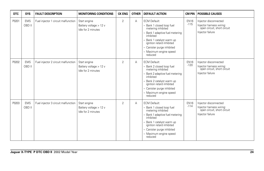| <b>DTC</b> | <b>SYS</b>           | <b>FAULT DESCRIPTION</b>            | <b>MONITORING CONDITIONS</b>                                 | <b>CK ENG</b>  | <b>OTHER</b> | <b>DEFAULT ACTION</b>                                                                                                                                                                                                                               | <b>CM PIN</b>         | <b>POSSIBLE CAUSES</b>                                                                               |
|------------|----------------------|-------------------------------------|--------------------------------------------------------------|----------------|--------------|-----------------------------------------------------------------------------------------------------------------------------------------------------------------------------------------------------------------------------------------------------|-----------------------|------------------------------------------------------------------------------------------------------|
| P0201      | <b>EMS</b><br>OBD II | Fuel injector 1 circuit malfunction | Start engine<br>Battery voltage > 12 v<br>Idle for 2 minutes | $\overline{2}$ | A            | <b>ECM Default:</b><br>- Bank 1 closed loop fuel<br>metering inhibited<br>- Bank 1 adaptive fuel metering<br>inhibited<br>- Bank 1 catalyst warm up<br>ignition retard inhibited<br>- Canister purge inhibited<br>- Maximum engine speed<br>reduced | <b>EN16</b><br>$-115$ | Injector disconnected<br>Injector harness wiring:<br>open circuit, short circuit<br>Injector failure |
| P0202      | <b>EMS</b><br>OBD II | Fuel injector 2 circuit malfunction | Start engine<br>Battery voltage > 12 v<br>Idle for 2 minutes | $\overline{2}$ | Α            | <b>ECM Default:</b><br>- Bank 2 closed loop fuel<br>metering inhibited<br>- Bank 2 adaptive fuel metering<br>inhibited<br>- Bank 2 catalyst warm up<br>ignition retard inhibited<br>- Canister purge inhibited<br>- Maximum engine speed<br>reduced | <b>EN16</b><br>$-120$ | Injector disconnected<br>Injector harness wiring:<br>open circuit, short circuit<br>Injector failure |
| P0203      | <b>EMS</b><br>OBD II | Fuel injector 3 circuit malfunction | Start engine<br>Battery voltage > 12 v<br>Idle for 2 minutes | $\overline{2}$ | Α            | <b>ECM Default:</b><br>- Bank 1 closed loop fuel<br>metering inhibited<br>- Bank 1 adaptive fuel metering<br>inhibited<br>- Bank 1 catalyst warm up<br>ignition retard inhibited<br>- Canister purge inhibited<br>- Maximum engine speed<br>reduced | <b>EN16</b><br>$-114$ | Injector disconnected<br>Injector harness wiring:<br>open circuit, short circuit<br>Injector failure |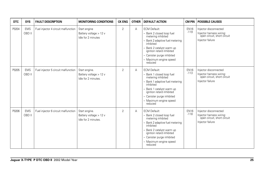| <b>DTC</b> | <b>SYS</b>           | <b>FAULT DESCRIPTION</b>            | <b>MONITORING CONDITIONS</b>                                   | <b>CK ENG</b>  | <b>OTHER</b> | <b>DEFAULT ACTION</b>                                                                                                                                                                                                                             | <b>CM PIN</b>         | <b>POSSIBLE CAUSES</b>                                                                               |
|------------|----------------------|-------------------------------------|----------------------------------------------------------------|----------------|--------------|---------------------------------------------------------------------------------------------------------------------------------------------------------------------------------------------------------------------------------------------------|-----------------------|------------------------------------------------------------------------------------------------------|
| P0204      | <b>EMS</b><br>OBD II | Fuel injector 4 circuit malfunction | Start engine<br>Battery voltage > 12 v<br>Idle for 2 minutes   | $\overline{2}$ | A            | <b>ECM Default:</b><br>- Bank 2 closed loop fuel<br>metering inhibited<br>Bank 2 adaptive fuel metering<br>inhibited<br>- Bank 2 catalyst warm up<br>ignition retard inhibited<br>- Canister purge inhibited<br>- Maximum engine speed<br>reduced | <b>EN16</b><br>$-119$ | Injector disconnected<br>Injector harness wiring:<br>open circuit, short circuit<br>Injector failure |
| P0205      | <b>EMS</b><br>OBD II | Fuel injector 5 circuit malfunction | Start engine.<br>Battery voltage > 12 v<br>Idle for 2 minutes. | $\overline{2}$ | A            | <b>ECM Default:</b><br>- Bank 1 closed loop fuel<br>metering inhibited<br>Bank 1 adaptive fuel metering<br>inhibited<br>Bank 1 catalyst warm up<br>ignition retard inhibited<br>- Canister purge inhibited<br>- Maximum engine speed<br>reduced   | <b>EN16</b><br>$-113$ | Injector disconnected<br>Injector harness wiring:<br>open circuit, short circuit<br>Injector failure |
| P0206      | <b>EMS</b><br>OBD II | Fuel injector 6 circuit malfunction | Start engine.<br>Battery voltage > 12 v<br>Idle for 2 minutes. | $\overline{2}$ | A            | <b>ECM Default:</b><br>- Bank 2 closed loop fuel<br>metering inhibited<br>Bank 2 adaptive fuel metering<br>inhibited<br>Bank 2 catalyst warm up<br>ignition retard inhibited<br>- Canister purge inhibited<br>- Maximum engine speed<br>reduced   | <b>EN16</b><br>$-118$ | Injector disconnected<br>Injector harness wiring:<br>open circuit, short circuit<br>Injector failure |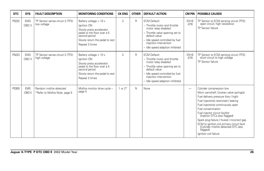| <b>DTC</b> | <b>SYS</b>           | <b>FAULT DESCRIPTION</b>                                  | <b>MONITORING CONDITIONS</b>                                                                                                                                           | <b>CK ENG</b>  | <b>OTHER</b> | <b>DEFAULT ACTION</b>                                                                                                                                                                                                            | <b>CM PIN</b>         | <b>POSSIBLE CAUSES</b>                                                                                                                                                                                                                                                                                                                                                                                                                                    |
|------------|----------------------|-----------------------------------------------------------|------------------------------------------------------------------------------------------------------------------------------------------------------------------------|----------------|--------------|----------------------------------------------------------------------------------------------------------------------------------------------------------------------------------------------------------------------------------|-----------------------|-----------------------------------------------------------------------------------------------------------------------------------------------------------------------------------------------------------------------------------------------------------------------------------------------------------------------------------------------------------------------------------------------------------------------------------------------------------|
| P0222      | <b>EMS</b><br>OBD II | TP Sensor sense circuit 2 (TP2)<br>low voltage            | Battery voltage > 10 y<br>Ignition ON<br>Slowly press accelerator<br>pedal to the floor over a 5<br>second period<br>Slowly return the pedal to rest<br>Repeat 3 times | 2              | $\mathsf{R}$ | <b>ECM Default:</b><br>- Throttle motor and throttle<br>motor relay disabled<br>- Throttle valve opening set to<br>default value<br>- Idle speed controlled by fuel<br>injection intervention<br>- Idle speed adaption inhibited | <b>EN16</b><br>$-076$ | TP Sensor to ECM sensing circuit (TP2):<br>open circuit, high resistance<br>TP Sensor failure                                                                                                                                                                                                                                                                                                                                                             |
| P0223      | <b>EMS</b><br>OBD II | TP Sensor sense circuit 2 (TP2)<br>high voltage           | Battery voltage > 10 v<br>Ignition ON<br>Slowly press accelerator<br>pedal to the floor over a 5<br>second period<br>Slowly return the pedal to rest<br>Repeat 3 times | $\overline{2}$ | R            | <b>ECM Default:</b><br>- Throttle motor and throttle<br>motor relay disabled<br>- Throttle valve opening set to<br>default value<br>- Idle speed controlled by fuel<br>injection intervention<br>- Idle speed adaption inhibited | <b>EN16</b><br>$-076$ | TP Sensor to ECM sensing circuit (TP2):<br>short circuit to high voltage<br>TP Sensor failure                                                                                                                                                                                                                                                                                                                                                             |
| P0300      | <b>EMS</b><br>OBD II | Random misfire detected<br>*Refer to Misfire Note, page 5 | Misfire monitor drive cycle -<br>page 5                                                                                                                                | 1 or $2*$      | N            | None                                                                                                                                                                                                                             | -                     | Cylinder compression low<br>Worn camshaft / broken valve spring(s)<br>Fuel delivery pressure (low / high)<br>Fuel injector(s) restricted / leaking<br>Fuel injector(s) continuously open<br>Fuel contamination<br>Fuel injector circuit fault(s)<br>(Injector DTCs also flagged)<br>Spark plug failure / fouled / incorrect gap<br>ECM to ignition coil primary circuit fault<br>(Cylinder misfire detected DTC also<br>flagged)<br>Ignition coil failure |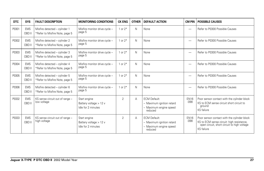| <b>DTC</b> | <b>SYS</b>           | <b>FAULT DESCRIPTION</b>                                        | <b>MONITORING CONDITIONS</b>                                 | <b>CK ENG</b>  | <b>OTHER</b> | <b>DEFAULT ACTION</b>                                                                 | <b>CM PIN</b>          | <b>POSSIBLE CAUSES</b>                                                                                                                                       |
|------------|----------------------|-----------------------------------------------------------------|--------------------------------------------------------------|----------------|--------------|---------------------------------------------------------------------------------------|------------------------|--------------------------------------------------------------------------------------------------------------------------------------------------------------|
| P0301      | <b>EMS</b><br>OBD II | Misfire detected - cylinder 1<br>*Refer to Misfire Note, page 5 | Misfire monitor drive cycle -<br>page 5                      | 1 or $2*$      | $\mathsf{N}$ | None                                                                                  | -                      | Refer to P0300 Possible Causes                                                                                                                               |
| P0302      | <b>EMS</b><br>OBD II | Misfire detected - cylinder 2<br>*Refer to Misfire Note, page 5 | Misfire monitor drive cycle -<br>page 5                      | or $2^*$       | $\mathsf{N}$ | None                                                                                  |                        | Refer to P0300 Possible Causes                                                                                                                               |
| P0303      | <b>EMS</b><br>OBD II | Misfire detected - cylinder 3<br>*Refer to Misfire Note, page 5 | Misfire monitor drive cycle -<br>page 5                      | 1 or $2*$      | $\mathsf{N}$ | None                                                                                  | —                      | Refer to P0300 Possible Causes                                                                                                                               |
| P0304      | <b>EMS</b><br>OBD II | Misfire detected - cylinder 4<br>*Refer to Misfire Note, page 5 | Misfire monitor drive cycle -<br>page 5                      | or $2^*$       | $\mathsf{N}$ | None                                                                                  | —                      | Refer to P0300 Possible Causes                                                                                                                               |
| P0305      | <b>EMS</b><br>OBD II | Misfire detected - cylinder 5<br>*Refer to Misfire Note, page 5 | Misfire monitor drive cycle -<br>page 5                      | 1 or $2*$      | $\mathsf{N}$ | None                                                                                  |                        | Refer to P0300 Possible Causes                                                                                                                               |
| P0306      | <b>EMS</b><br>OBD II | Misfire detected - cylinder 6<br>*Refer to Misfire Note, page 5 | Misfire monitor drive cycle -<br>page 5                      | 1 or $2*$      | $\mathsf{N}$ | None                                                                                  |                        | Refer to P0300 Possible Causes                                                                                                                               |
| P0332      | <b>EMS</b><br>OBD II | KS sense circuit out of range -<br>low voltage                  | Start engine<br>Battery voltage > 12 v<br>Idle for 2 minutes | $\overline{2}$ | А            | <b>ECM Default:</b><br>- Maximum ignition retard<br>- Maximum engine speed<br>reduced | <b>EN16</b><br>$-0.98$ | Poor sensor contact with the cylinder block<br>KS to ECM sense circuit short circuit to<br>ground<br><b>KS</b> failure                                       |
| P0333      | <b>EMS</b><br>OBD II | KS sense circuit out of range -<br>high voltage                 | Start engine<br>Battery voltage > 12 v<br>Idle for 2 minutes | $\overline{2}$ | Α            | <b>ECM Default:</b><br>- Maximum ignition retard<br>- Maximum engine speed<br>reduced | <b>EN16</b><br>$-098$  | Poor sensor contact with the cylinder block<br>KS to ECM sense circuit: high resistance,<br>open circuit, short circuit to high voltage<br><b>KS</b> failure |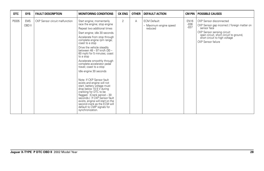| <b>DTC</b> | <b>SYS</b>           | <b>FAULT DESCRIPTION</b>       | <b>MONITORING CONDITIONS</b>                                                                                                                                                                                                                                                                                                                                                                                                                                                                                                                                                                                                                                                                                                                                                 | <b>CK ENG</b> | <b>OTHER</b> | <b>DEFAULT ACTION</b>                                    | CM PIN                          | <b>POSSIBLE CAUSES</b>                                                                                                                                                                                                 |
|------------|----------------------|--------------------------------|------------------------------------------------------------------------------------------------------------------------------------------------------------------------------------------------------------------------------------------------------------------------------------------------------------------------------------------------------------------------------------------------------------------------------------------------------------------------------------------------------------------------------------------------------------------------------------------------------------------------------------------------------------------------------------------------------------------------------------------------------------------------------|---------------|--------------|----------------------------------------------------------|---------------------------------|------------------------------------------------------------------------------------------------------------------------------------------------------------------------------------------------------------------------|
| P0335      | <b>EMS</b><br>OBD II | CKP Sensor circuit malfunction | Start engine; momentarily<br>race the engine; stop engine<br>Repeat two additional times<br>Start engine; idle 30 seconds.<br>Accelerate from stop through<br>complete engine rpm range;<br>coast to a stop<br>Drive the vehicle steadily<br>between 48 – 97 km/h (30 –<br>60 mph) for 5 minutes; coast<br>to a stop<br>Accelerate smoothly through<br>complete accelerator pedal<br>travel; coast to a stop<br>Idle engine 30 seconds<br>Note: If CKP Sensor fault<br>exists and engine will not<br>start, battery voltage must<br>drop below 10.5 V during<br>cranking for DTC to be<br>flagged. (Crank period - 30<br>seconds.) If CKP Sensor fault<br>exists, engine will start on the<br>second crank as the ECM will<br>default to CMP signals for<br>synchronization. | 2             | A            | <b>ECM Default:</b><br>- Maximum engine speed<br>reduced | <b>EN16</b><br>$-036$<br>$-037$ | CKP Sensor disconnected<br>CKP Sensor gap incorrect / foreign matter on<br>sensor face<br>CKP Sensor sensing circuit:<br>open circuit, short circuit to ground,<br>short circuit to high voltage<br>CKP Sensor failure |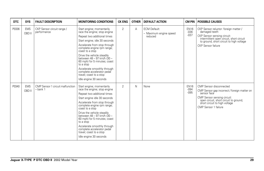| <b>DTC</b> | <b>SYS</b>           | <b>FAULT DESCRIPTION</b>                     | <b>MONITORING CONDITIONS</b>                                                                                                                                                                                                                                                                                                                                                                                                          | <b>CK ENG</b>  | <b>OTHER</b> | <b>DEFAULT ACTION</b>                                    | CM PIN                           | <b>POSSIBLE CAUSES</b>                                                                                                                                                                                                   |
|------------|----------------------|----------------------------------------------|---------------------------------------------------------------------------------------------------------------------------------------------------------------------------------------------------------------------------------------------------------------------------------------------------------------------------------------------------------------------------------------------------------------------------------------|----------------|--------------|----------------------------------------------------------|----------------------------------|--------------------------------------------------------------------------------------------------------------------------------------------------------------------------------------------------------------------------|
| P0336      | <b>EMS</b><br>OBD II | CKP Sensor circuit range /<br>performance    | Start engine; momentarily<br>race the engine; stop engine<br>Repeat two additional times<br>Start engine; idle 30 seconds<br>Accelerate from stop through<br>complete engine rpm range;<br>coast to a stop<br>Drive the vehicle steadily<br>between 48 - 97 km/h (30 -<br>60 mph) for 5 minutes; coast<br>to a stop<br>Accelerate smoothly through<br>complete accelerator pedal<br>travel: coast to a stop<br>Idle engine 30 seconds | $\overline{2}$ | A            | <b>ECM Default:</b><br>- Maximum engine speed<br>reduced | <b>EN16</b><br>$-036$<br>$-037$  | CKP Sensor reluctor: foreign matter /<br>damaged teeth<br>CKP Sensor sensing circuit:<br>intermittent open circuit, short circuit<br>to ground, short circuit to high voltage<br><b>CKP</b> Sensor failure               |
| P0340      | <b>EMS</b><br>OBD II | CMP Sensor 1 circuit malfunction<br>- bank 1 | Start engine; momentarily<br>race the engine; stop engine<br>Repeat two additional times<br>Start engine idle 30 seconds<br>Accelerate from stop through<br>complete engine rpm range;<br>coast to a stop<br>Drive the vehicle steadily<br>between 48 - 97 km/h (30 -<br>60 mph) for 5 minutes; coast<br>to a stop<br>Accelerate smoothly through<br>complete accelerator pedal<br>travel; coast to a stop<br>Idle engine 30 seconds  | $\overline{2}$ | N            | None                                                     | <b>EN16</b><br>$-094$<br>$-0.95$ | CMP Sensor disconnected<br>CMP Sensor gap incorrect / foreign matter on<br>sensor face<br>CMP Sensor sensing circuit:<br>open circuit, short circuit to ground,<br>short circuit to high voltage<br>CMP Sensor 1 failure |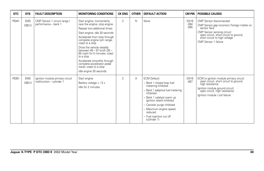| <b>DTC</b> | <b>SYS</b>           | <b>FAULT DESCRIPTION</b>                                    | <b>MONITORING CONDITIONS</b>                                                                                                                                                                                                                                                                                                                                                                                                          | <b>CK ENG</b>  | <b>OTHER</b> | <b>DEFAULT ACTION</b>                                                                                                                                                                                                                                                                           | CM PIN                           | <b>POSSIBLE CAUSES</b>                                                                                                                                                                                                   |
|------------|----------------------|-------------------------------------------------------------|---------------------------------------------------------------------------------------------------------------------------------------------------------------------------------------------------------------------------------------------------------------------------------------------------------------------------------------------------------------------------------------------------------------------------------------|----------------|--------------|-------------------------------------------------------------------------------------------------------------------------------------------------------------------------------------------------------------------------------------------------------------------------------------------------|----------------------------------|--------------------------------------------------------------------------------------------------------------------------------------------------------------------------------------------------------------------------|
| P0341      | <b>EMS</b><br>OBD II | CMP Sensor 1 circuit range /<br>performance - bank 1        | Start engine; momentarily<br>race the engine; stop engine<br>Repeat two additional times<br>Start engine; idle 30 seconds<br>Accelerate from stop through<br>complete engine rpm range;<br>coast to a stop<br>Drive the vehicle steadily<br>between 48 - 97 km/h (30 -<br>60 mph) for 5 minutes; coast<br>to a stop<br>Accelerate smoothly through<br>complete accelerator pedal<br>travel; coast to a stop<br>Idle engine 30 seconds | $\overline{2}$ | N            | None                                                                                                                                                                                                                                                                                            | <b>EN16</b><br>$-094$<br>$-0.95$ | CMP Sensor disconnected<br>CMP Sensor gap incorrect / foreign matter on<br>sensor face<br>CMP Sensor sensing circuit:<br>open circuit, short circuit to ground,<br>short circuit to high voltage<br>CMP Sensor 1 failure |
| P0351      | <b>EMS</b><br>OBD II | Ignition module primary circuit<br>malfunction - cylinder 1 | Start engine<br>Battery voltage > 12 v<br>Idle for 2 minutes                                                                                                                                                                                                                                                                                                                                                                          | 2              | Α            | <b>ECM Default:</b><br>- Bank 1 closed loop fuel<br>metering inhibited<br>- Bank 1 adaptive fuel metering<br>inhibited<br>- Bank 1 catalyst warm up<br>ignition retard inhibited<br>- Canister purge inhibited<br>- Maximum engine speed<br>reduced<br>- Fuel injection cut off<br>(cylinder 1) | <b>EN16</b><br>$-087$            | ECM to ignition module primary circuit:<br>open circuit, short circuit to ground,<br>high resistance<br>Ignition module ground circuit:<br>open circuit, high resistance<br>Ignition module / coil failure               |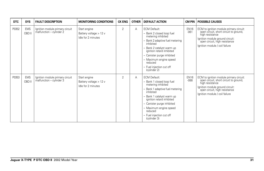| <b>DTC</b> | <b>SYS</b>           | <b>FAULT DESCRIPTION</b>                                    | <b>MONITORING CONDITIONS</b>                                   | <b>CK ENG</b>  | <b>OTHER</b> | <b>DEFAULT ACTION</b>                                                                                                                                                                                                                                                                           |                       | <b>CM PIN   POSSIBLE CAUSES</b>                                                                                                                                                                            |
|------------|----------------------|-------------------------------------------------------------|----------------------------------------------------------------|----------------|--------------|-------------------------------------------------------------------------------------------------------------------------------------------------------------------------------------------------------------------------------------------------------------------------------------------------|-----------------------|------------------------------------------------------------------------------------------------------------------------------------------------------------------------------------------------------------|
| P0352      | <b>EMS</b><br>OBD II | Ignition module primary circuit<br>malfunction - cylinder 2 | Start engine<br>Battery voltage > 12 v<br>Idle for 2 minutes   | $\overline{2}$ | A            | <b>ECM Default:</b><br>- Bank 2 closed loop fuel<br>metering inhibited<br>- Bank 2 adaptive fuel metering<br>inhibited<br>- Bank 2 catalyst warm up<br>ignition retard inhibited<br>- Canister purge inhibited<br>- Maximum engine speed<br>reduced<br>- Fuel injection cut off<br>(cylinder 2) | <b>EN16</b><br>$-061$ | ECM to ignition module primary circuit:<br>open circuit, short circuit to ground,<br>high resistance<br>Ignition module ground circuit:<br>open circuit, high resistance<br>Ignition module / coil failure |
| P0353      | <b>EMS</b><br>OBD II | Ignition module primary circuit<br>malfunction - cylinder 3 | Start engine<br>Battery voltage $> 12$ v<br>Idle for 2 minutes | $\overline{2}$ | A            | <b>ECM Default:</b><br>- Bank 1 closed loop fuel<br>metering inhibited<br>- Bank 1 adaptive fuel metering<br>inhibited<br>- Bank 1 catalyst warm up<br>ignition retard inhibited<br>- Canister purge inhibited<br>- Maximum engine speed<br>reduced<br>- Fuel injection cut off<br>(cylinder 3) | <b>EN16</b><br>$-088$ | ECM to ignition module primary circuit:<br>open circuit, short circuit to ground,<br>high resistance<br>Ignition module ground circuit:<br>open circuit, high resistance<br>Ignition module / coil failure |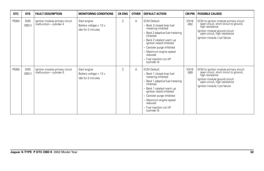| <b>DTC</b> | <b>SYS</b>           | <b>FAULT DESCRIPTION</b>                                    | <b>MONITORING CONDITIONS</b>                                   | <b>CK ENG</b>  | <b>OTHER</b> | <b>DEFAULT ACTION</b>                                                                                                                                                                                                                                                                       |                       | <b>CM PIN   POSSIBLE CAUSES</b>                                                                                                                                                                            |
|------------|----------------------|-------------------------------------------------------------|----------------------------------------------------------------|----------------|--------------|---------------------------------------------------------------------------------------------------------------------------------------------------------------------------------------------------------------------------------------------------------------------------------------------|-----------------------|------------------------------------------------------------------------------------------------------------------------------------------------------------------------------------------------------------|
| P0354      | <b>EMS</b><br>OBD II | Ignition module primary circuit<br>malfunction - cylinder 4 | Start engine<br>Battery voltage $> 12$ v<br>Idle for 2 minutes | $\overline{2}$ | A            | <b>ECM Default:</b><br>- Bank 2 closed loop fuel<br>metering inhibited<br>Bank 2 adaptive fuel metering<br>inhibited<br>Bank 2 catalyst warm up<br>ignition retard inhibited<br>- Canister purge inhibited<br>- Maximum engine speed<br>reduced<br>- Fuel injection cut off<br>(cylinder 4) | <b>EN16</b><br>$-062$ | ECM to ignition module primary circuit:<br>open circuit, short circuit to ground,<br>high resistance<br>Ignition module ground circuit:<br>open circuit, high resistance<br>Ignition module / coil failure |
| P0355      | <b>EMS</b><br>OBD II | Ignition module primary circuit<br>malfunction – cylinder 5 | Start engine<br>Battery voltage > 12 v<br>Idle for 2 minutes   | $\overline{2}$ | A            | <b>ECM Default:</b><br>- Bank 1 closed loop fuel<br>metering inhibited<br>Bank 1 adaptive fuel metering<br>inhibited<br>Bank 1 catalyst warm up<br>ignition retard inhibited<br>- Canister purge inhibited<br>- Maximum engine speed<br>reduced<br>- Fuel injection cut off<br>(cylinder 5) | <b>EN16</b><br>$-089$ | ECM to ignition module primary circuit:<br>open circuit, short circuit to ground,<br>high resistance<br>Ignition module ground circuit:<br>open circuit, high resistance<br>Ignition module / coil failure |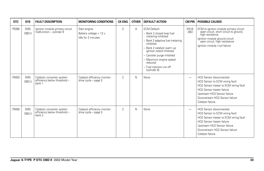| DTC   | <b>SYS</b>           | <b>FAULT DESCRIPTION</b>                                             | <b>MONITORING CONDITIONS</b>                                 | <b>CK ENG</b>  | <b>OTHER</b> | <b>DEFAULT ACTION</b>                                                                                                                                                                                                                                                                           |                          | <b>CM PIN POSSIBLE CAUSES</b>                                                                                                                                                                                                                           |
|-------|----------------------|----------------------------------------------------------------------|--------------------------------------------------------------|----------------|--------------|-------------------------------------------------------------------------------------------------------------------------------------------------------------------------------------------------------------------------------------------------------------------------------------------------|--------------------------|---------------------------------------------------------------------------------------------------------------------------------------------------------------------------------------------------------------------------------------------------------|
| P0356 | <b>EMS</b><br>OBD II | Ignition module primary circuit<br>malfunction - cylinder 6          | Start engine<br>Battery voltage > 12 v<br>Idle for 2 minutes | $\overline{2}$ | A            | <b>ECM Default:</b><br>- Bank 2 closed loop fuel<br>metering inhibited<br>- Bank 2 adaptive fuel metering<br>inhibited<br>- Bank 2 catalyst warm up<br>ignition retard inhibited<br>- Canister purge inhibited<br>- Maximum engine speed<br>reduced<br>- Fuel injection cut off<br>(cylinder 6) | <b>EN16</b><br>$-063$    | ECM to ignition module primary circuit:<br>open circuit, short circuit to ground,<br>high resistance<br>Ignition module ground circuit:<br>open circuit, high resistance<br>Ignition module / coil failure                                              |
| P0420 | <b>EMS</b><br>OBD II | Catalytic converter system<br>efficiency below threshold -<br>bank 1 | Catalyst efficiency monitor<br>drive cycle - page 5          | 2              | N            | None                                                                                                                                                                                                                                                                                            | $\overline{\phantom{0}}$ | HO2 Sensor disconnected<br>HO2 Sensor to ECM wiring fault<br>HO2 Sensor heater to ECM wiring fault<br>HO2 Sensor heater failure<br>Upstream HO2 Sensor failure<br>Downstream HO <sub>2</sub> Sensor failure<br>Catalyst failure                         |
| P0430 | <b>EMS</b><br>OBD II | Catalytic converter system<br>efficiency below threshold -<br>bank 2 | Catalyst efficiency monitor<br>drive cycle - page 5          | $\overline{2}$ | N            | None                                                                                                                                                                                                                                                                                            | $\overline{\phantom{0}}$ | HO <sub>2</sub> Sensor disconnected<br>HO2 Sensor to ECM wiring fault<br>HO2 Sensor heater to ECM wiring fault<br>HO <sub>2</sub> Sensor heater failure<br>Upstream HO2 Sensor failure<br>Downstream HO <sub>2</sub> Sensor failure<br>Catalyst failure |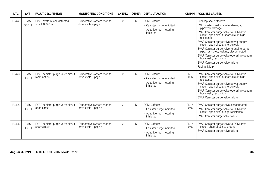| <b>DTC</b> | <b>SYS</b>           | <b>FAULT DESCRIPTION</b>                           | <b>MONITORING CONDITIONS</b>                           | <b>CK ENG</b>  | <b>OTHER</b> | <b>DEFAULT ACTION</b>                                                                      | <b>CM PIN</b>            | <b>POSSIBLE CAUSES</b>                                                                                                                                                                                                                                                                                                                                                                                                                                                                            |
|------------|----------------------|----------------------------------------------------|--------------------------------------------------------|----------------|--------------|--------------------------------------------------------------------------------------------|--------------------------|---------------------------------------------------------------------------------------------------------------------------------------------------------------------------------------------------------------------------------------------------------------------------------------------------------------------------------------------------------------------------------------------------------------------------------------------------------------------------------------------------|
| P0442      | <b>EMS</b><br>OBD II | EVAP system leak detected -<br>small (0.040 in.)   | Evaporative system monitor<br>drive cycle - page 6     | $\mathfrak{D}$ | N            | <b>ECM Default:</b><br>- Canister purge inhibited<br>- Adaptive fuel metering<br>inhibited | $\overline{\phantom{0}}$ | Fuel cap seal defective<br>EVAP system leak (canister damage,<br>pipework damage)<br>EVAP Canister purge valve to ECM drive<br>circuit: open circuit, short circuit, high<br>resistance<br>EVAP Canister purge valve power supply<br>circuit: open circuit, short circuit<br>EVAP Canister purge valve to engine purge<br>pipe: restricted, leaking, disconnected<br>EVAP Canister purge valve operating vacuum<br>hose leak / restriction<br>EVAP Canister purge valve failure<br>Fuel tank leak |
| P0443      | <b>EMS</b><br>OBD II | EVAP canister purge valve circuit<br>malfunction   | Evaporative system monitor<br>drive cycle - page 6     | $\overline{2}$ | N            | <b>ECM Default:</b><br>- Canister purge inhibited<br>- Adaptive fuel metering<br>inhibited | <b>EN16</b><br>$-066$    | EVAP Canister purge valve to ECM drive<br>circuit: open circuit, short circuit, high<br>resistance<br>EVAP Canister purge valve power supply<br>circuit: open circuit, short circuit<br>EVAP Canister purge valve operating vacuum<br>hose leak / restriction<br>EVAP Canister purge valve failure                                                                                                                                                                                                |
| P0444      | <b>EMS</b><br>OBD II | EVAP canister purge valve circuit<br>open circuit  | Evaporative system monitor<br>drive cycle - page 6.    | $\overline{2}$ | N            | <b>ECM Default:</b><br>- Canister purge inhibited<br>- Adaptive fuel metering<br>inhibited | <b>EN16</b><br>$-066$    | EVAP Canister purge valve disconnected<br>EVAP Canister purge valve to ECM drive<br>circuit: open circuit, high resistance<br>EVAP Canister purge valve failure                                                                                                                                                                                                                                                                                                                                   |
| P0445      | <b>EMS</b><br>OBD II | EVAP canister purge valve circuit<br>short circuit | Evaporative system monitor<br>drive $cycle - page 6$ . | $\overline{2}$ | N            | <b>ECM Default:</b><br>- Canister purge inhibited<br>- Adaptive fuel metering<br>inhibited | <b>EN16</b><br>$-066$    | EVAP Canister purge valve to ECM drive<br>circuit: short circuit to ground<br>EVAP Canister purge valve failure                                                                                                                                                                                                                                                                                                                                                                                   |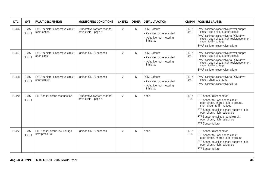| <b>DTC</b> | <b>SYS</b>           | <b>FAULT DESCRIPTION</b>                           | <b>MONITORING CONDITIONS</b>                       | <b>CK ENG</b>  | <b>OTHER</b> | <b>DEFAULT ACTION</b>                                                                      | <b>CM PIN</b>         | <b>POSSIBLE CAUSES</b>                                                                                                                                                                                                                                                                                              |
|------------|----------------------|----------------------------------------------------|----------------------------------------------------|----------------|--------------|--------------------------------------------------------------------------------------------|-----------------------|---------------------------------------------------------------------------------------------------------------------------------------------------------------------------------------------------------------------------------------------------------------------------------------------------------------------|
| P0446      | <b>EMS</b><br>OBD II | EVAP canister close valve circuit<br>malfunction   | Evaporative system monitor<br>drive cycle - page 6 | $\overline{2}$ | N            | <b>ECM Default:</b><br>- Canister purge inhibited<br>- Adaptive fuel metering<br>inhibited | <b>EN16</b><br>$-067$ | EVAP canister close valve power supply<br>circuit: open circuit, short circuit<br>EVAP canister close valve to ECM drive<br>circuit: open circuit, high resistance, short<br>circuit to B+ voltage<br>EVAP canister close valve failure                                                                             |
| P0447      | <b>EMS</b><br>OBD II | EVAP canister close valve circuit<br>open circuit  | lanition ON 10 seconds                             | $\overline{2}$ | N            | <b>ECM Default:</b><br>- Canister purge inhibited<br>- Adaptive fuel metering<br>inhibited | <b>EN16</b><br>$-067$ | EVAP canister close valve power supply<br>circuit: open circuit, short circuit<br>EVAP canister close valve to ECM drive<br>circuit: open circuit, high resistance, short<br>circuit to B+ voltage<br>EVAP canister close valve failure                                                                             |
| P0448      | <b>EMS</b><br>OBD II | EVAP canister close valve circuit<br>short circuit | lanition ON 10 seconds                             | $\overline{2}$ | N            | <b>ECM Default:</b><br>- Canister purge inhibited<br>- Adaptive fuel metering<br>inhibited | <b>EN16</b><br>$-067$ | EVAP canister close valve to ECM drive<br>circuit: short to ground<br>EVAP canister close valve failure                                                                                                                                                                                                             |
| P0450      | <b>EMS</b><br>OBD II | FTP Sensor circuit malfunction                     | Evaporative system monitor<br>drive cycle - page 6 | $\overline{2}$ | N            | None                                                                                       | <b>EN16</b><br>$-104$ | FTP Sensor disconnected<br>FTP Sensor to ECM sense circuit:<br>open circuit, short circuit to ground,<br>short circuit to B+ voltage<br>FTP Sensor to splice sensor supply circuit:<br>open circuit, high resistance<br>FTP Sensor to splice ground circuit:<br>open circuit, high resistance<br>FTP Sensor failure |
| P0452      | <b>EMS</b><br>OBD II | FTP Sensor circuit low voltage<br>(low pressure)   | lanition ON 10 seconds                             | $\overline{2}$ | $\mathsf{N}$ | None                                                                                       | <b>EN16</b><br>$-104$ | FTP Sensor disconnected<br>FTP Sensor to ECM sense circuit:<br>open circuit, short circuit to ground<br>FTP Sensor to splice sensor supply circuit:<br>open circuit, high resistance<br>FTP Sensor failure                                                                                                          |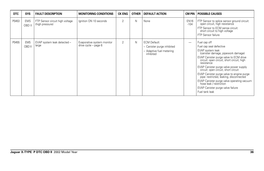| <b>DTC</b> | <b>SYS</b>           | <b>FAULT DESCRIPTION</b>                           | <b>MONITORING CONDITIONS</b>                       | <b>CK ENG</b>  | <b>OTHER</b> | <b>DEFAULT ACTION</b>                                                                      |                          | <b>CM PIN   POSSIBLE CAUSES</b>                                                                                                                                                                                                                                                                                                                                                                                                                                                                                   |
|------------|----------------------|----------------------------------------------------|----------------------------------------------------|----------------|--------------|--------------------------------------------------------------------------------------------|--------------------------|-------------------------------------------------------------------------------------------------------------------------------------------------------------------------------------------------------------------------------------------------------------------------------------------------------------------------------------------------------------------------------------------------------------------------------------------------------------------------------------------------------------------|
| P0453      | <b>EMS</b><br>OBD II | FTP Sensor circuit high voltage<br>(high pressure) | Ignition ON 10 seconds                             | $\overline{2}$ | N            | None                                                                                       | <b>EN16</b><br>$-104$    | FTP Sensor to splice sensor ground circuit:<br>open circuit, high resistance<br>FTP Sensor to ECM sense circuit:<br>short circuit to high voltage<br>FTP Sensor failure                                                                                                                                                                                                                                                                                                                                           |
| P0455      | <b>EMS</b><br>OBD II | EVAP system leak detected -<br>large               | Evaporative system monitor<br>drive cycle - page 6 | $\overline{2}$ | N            | <b>ECM Default:</b><br>- Canister purge inhibited<br>- Adaptive fuel metering<br>inhibited | $\overline{\phantom{0}}$ | Fuel cap off<br>Fuel cap seal defective<br>EVAP system leak<br>(canister damage, pipework damage)<br>EVAP Canister purge valve to ECM drive<br>circuit: open circuit, short circuit, high<br>resistance<br>EVAP Canister purge valve power supply<br>circuit: open circuit, short circuit<br>EVAP Canister purge valve to engine purge<br>pipe: restricted, leaking, disconnected<br>EVAP Canister purge valve operating vacuum<br>hose leak / restriction<br>EVAP Canister purge valve failure<br>Fuel tank leak |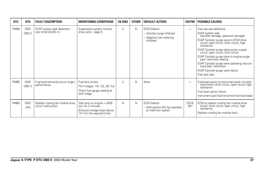| <b>DTC</b> | <b>SYS</b>           | <b>FAULT DESCRIPTION</b>                                 | <b>MONITORING CONDITIONS</b>                                                                                    | <b>CK ENG</b>  | <b>OTHER</b> | <b>DEFAULT ACTION</b>                                                                      |                          | <b>CM PIN   POSSIBLE CAUSES</b>                                                                                                                                                                                                                                                                                                                                                                                                                                                     |
|------------|----------------------|----------------------------------------------------------|-----------------------------------------------------------------------------------------------------------------|----------------|--------------|--------------------------------------------------------------------------------------------|--------------------------|-------------------------------------------------------------------------------------------------------------------------------------------------------------------------------------------------------------------------------------------------------------------------------------------------------------------------------------------------------------------------------------------------------------------------------------------------------------------------------------|
| P0456      | <b>EMS</b><br>OBD II | EVAP system leak detected -<br>very small (0.020 in.)    | Evaporative system monitor<br>drive cycle - page 6                                                              | $\overline{2}$ | $\mathsf{N}$ | <b>ECM Default:</b><br>- Canister purge inhibited<br>- Adaptive fuel metering<br>inhibited | $\overline{\phantom{0}}$ | Fuel cap seal defective<br>EVAP system leak<br>(canister damage, pipework damage)<br>EVAP Canister purge valve to ECM drive<br>circuit: open circuit, short circuit, high<br>resistance<br>EVAP Canister purge valve power supply<br>circuit: open circuit, short circuit<br>EVAP Canister purge valve to engine purge<br>pipe: restricted, leaking<br>EVAP Canister purge valve operating vacuum<br>hose leak / restriction<br>EVAP Canister purge valve failure<br>Fuel tank leak |
| P0460      | <b>EMS</b><br>OBD II | Fuel level sensor(s) circuit range /<br>performance      | Fuel tank empty<br>Fill in stages: 1/4, 1/2, 3/4, full<br>Check fuel gauge reading at<br>each stage             | $\overline{2}$ | N            | None                                                                                       | $\overline{\phantom{0}}$ | Fuel level sensor to instrument pack circuit(s):<br>intermittent short circuit, open circuit, high<br>resistance<br>Fuel level sensor failure<br>Instrument pack fault (incorrect fuel level data)                                                                                                                                                                                                                                                                                  |
| P0480      | <b>EMS</b><br>JAG    | Radiator cooling fan module drive<br>circuit malfunction | Start and run engine > 2000<br>rpm for 2 minutes<br>(Ensures voltage stays above<br>14 V for the required time) | N              | $\mathsf{N}$ | <b>ECM Default:</b><br>- With ignition ON, fan operates<br>at maximum speed                | <b>EN16</b><br>$-051$    | ECM to radiator cooling fan module drive<br>circuit: short circuit, open circuit, high<br>resistance<br>Radiator cooling fan module fault                                                                                                                                                                                                                                                                                                                                           |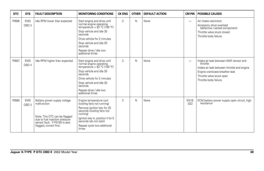| <b>DTC</b> | <b>SYS</b>           | <b>FAULT DESCRIPTION</b>                                                                                                                                                    | <b>MONITORING CONDITIONS</b>                                                                                                                                                                                                                          | <b>CK ENG</b>  | <b>OTHER</b> | <b>DEFAULT ACTION</b> | CM PIN                   | <b>POSSIBLE CAUSES</b>                                                                                                                                                                    |
|------------|----------------------|-----------------------------------------------------------------------------------------------------------------------------------------------------------------------------|-------------------------------------------------------------------------------------------------------------------------------------------------------------------------------------------------------------------------------------------------------|----------------|--------------|-----------------------|--------------------------|-------------------------------------------------------------------------------------------------------------------------------------------------------------------------------------------|
| P0506      | <b>EMS</b><br>OBD II | Idle RPM lower than expected                                                                                                                                                | Start engine and drive until<br>normal engine operating<br>temperature > 82 °C (180 °F)<br>Stop vehicle and idle 30<br>seconds<br>Drive vehicle for 2 minutes<br>Stop vehicle and idle 30<br>seconds<br>Repeat drive / idle two<br>additional times   | $\overline{2}$ | N            | None                  |                          | Air intake restriction<br>Accessory drive overload<br>(defective / seized component)<br>Throttle valve stuck closed<br>Throttle body failure                                              |
| P0507      | <b>EMS</b><br>OBD II | Idle RPM higher than expected                                                                                                                                               | Start engine and drive until<br>normal engine operating<br>temperature > $82 °C$ (180 °F)<br>Stop vehicle and idle 30<br>seconds<br>Drive vehicle for 2 minutes<br>Stop vehicle and idle 30<br>seconds<br>Repeat drive / idle two<br>additional times | $\overline{2}$ | N            | None                  | $\overline{\phantom{m}}$ | Intake air leak between MAF sensor and<br>throttle<br>Intake air leak between throttle and engine<br>Engine crankcase breather leak<br>Throttle valve stuck open<br>Throttle body failure |
| P0560      | <b>EMS</b><br>OBD II | Battery power supply voltage<br>malfunction<br>Note: This DTC can be flagged<br>due to fuel injection pressure<br>sensor fault. If P0193 is also<br>flagged, correct first. | Engine temperature cool<br>(cooling fans not running)<br>Remove ignition key for 20<br>seconds (cooling fans not<br>running)<br>Ignition key in, position II for 5<br>seconds (do not start)<br>Repeat cycle two additional<br>times                  | $\overline{2}$ | N            | None                  | <b>EN16</b><br>$-022$    | ECM battery power supply open circuit, high<br>resistance                                                                                                                                 |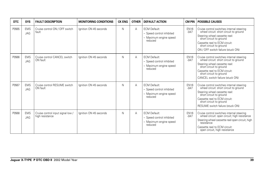| <b>DTC</b> | <b>SYS</b>               | <b>FAULT DESCRIPTION</b>                             | <b>MONITORING CONDITIONS</b> | <b>CK ENG</b> | <b>OTHER</b> | <b>DEFAULT ACTION</b>                                                                 | <b>CM PIN</b>         | <b>POSSIBLE CAUSES</b>                                                                                                                                                                                                                            |
|------------|--------------------------|------------------------------------------------------|------------------------------|---------------|--------------|---------------------------------------------------------------------------------------|-----------------------|---------------------------------------------------------------------------------------------------------------------------------------------------------------------------------------------------------------------------------------------------|
| P0565      | <b>EMS</b><br>JAG        | Cruise control ON / OFF switch<br>fault              | Ignition ON 45 seconds       | N             | A            | <b>ECM Default:</b><br>- Speed control inhibited<br>- Maximum engine speed<br>reduced | <b>EN16</b><br>$-047$ | Cruise control switches internal steering<br>wheel circuit: short circuit to ground<br>Steering wheel cassette reel:<br>short circuit to ground<br>Cassette reel to ECM circuit:<br>short circuit to ground<br>ON / OFF switch failure (stuck ON) |
| P0566      | <b>EMS</b><br><b>JAG</b> | Cruise control CANCEL switch<br>ON fault             | Ignition ON 45 seconds       | N             | Α            | <b>ECM Default:</b><br>- Speed control inhibited<br>- Maximum engine speed<br>reduced | <b>EN16</b><br>$-047$ | Cruise control switches internal steering<br>wheel circuit: short circuit to ground<br>Steering wheel cassette reel:<br>short circuit to ground<br>Cassette reel to ECM circuit:<br>short circuit to ground<br>CANCEL switch failure (stuck ON)   |
| P0567      | <b>EMS</b><br><b>JAG</b> | Cruise control RESUME switch<br>ON fault             | Ignition ON 45 seconds       | N             | Α            | <b>ECM Default:</b><br>- Speed control inhibited<br>- Maximum engine speed<br>reduced | <b>EN16</b><br>$-047$ | Cruise control switches internal steering<br>wheel circuit: short circuit to ground<br>Steering wheel cassette reel:<br>short circuit to ground<br>Cassette reel to ECM circuit:<br>short circuit to ground<br>RESUME switch failure (stuck ON)   |
| P0568      | <b>EMS</b><br><b>JAG</b> | Cruise control input signal low /<br>high resistance | Ignition ON 45 seconds       | N             | Α            | <b>ECM Default:</b><br>- Speed control inhibited<br>- Maximum engine speed<br>reduced | <b>EN16</b><br>$-047$ | Cruise control switches internal steering<br>wheel circuit: open circuit; high resistance<br>Steering wheel cassette reel open circuit, high<br>resistance<br>Cassette reel to ECM circuit:<br>open circuit, high resistance                      |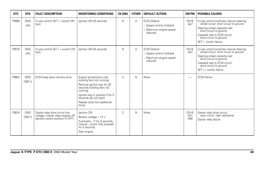| <b>DTC</b> | <b>SYS</b>               | <b>FAULT DESCRIPTION</b>                                                                                     | <b>MONITORING CONDITIONS</b>                                                                                                                                                                                                          | <b>CK ENG</b>  | <b>OTHER</b> | <b>DEFAULT ACTION</b>                                                                 | <b>CM PIN</b>                   | <b>POSSIBLE CAUSES</b>                                                                                                                                                                                                                |
|------------|--------------------------|--------------------------------------------------------------------------------------------------------------|---------------------------------------------------------------------------------------------------------------------------------------------------------------------------------------------------------------------------------------|----------------|--------------|---------------------------------------------------------------------------------------|---------------------------------|---------------------------------------------------------------------------------------------------------------------------------------------------------------------------------------------------------------------------------------|
| P0569      | <b>EMS</b><br><b>JAG</b> | Cruise control SET / - switch ON<br>fault                                                                    | lanition ON 45 seconds                                                                                                                                                                                                                | N              | A            | <b>ECM Default:</b><br>- Speed control inhibited<br>- Maximum engine speed<br>reduced | <b>EN16</b><br>$-047$           | Cruise control switches internal steering<br>wheel circuit: short circuit to ground<br>Steering wheel cassette reel:<br>short circuit to ground<br>Cassette reel to ECM circuit:<br>short circuit to ground<br>SET / - switch failure |
| P0570      | <b>EMS</b><br><b>JAG</b> | Cruise control SET / + switch ON<br>fault                                                                    | lanition ON 45 seconds                                                                                                                                                                                                                | N              | А            | <b>ECM Default:</b><br>- Speed control inhibited<br>- Maximum engine speed<br>reduced | <b>EN16</b><br>$-047$           | Cruise control switches internal steering<br>wheel circuit: short circuit to ground<br>Steering wheel cassette reel:<br>short circuit to ground<br>Cassette reel to ECM circuit:<br>short circuit to ground<br>SET / + switch failure |
| P0603      | <b>EMS</b><br>OBD II     | ECM Keep alive memory error                                                                                  | Engine temperature cool<br>(cooling fans not running)<br>Remove ignition key for 20<br>seconds (cooling fans not<br>running)<br>Ignition key in, position II for 5<br>seconds (do not start)<br>Repeat cycle two additional<br>times. | $\overline{2}$ | N            | None                                                                                  |                                 | <b>ECM Failure</b>                                                                                                                                                                                                                    |
| P0616      | <b>EMS</b><br>OBD II     | Starter relay drive circuit low<br>voltage / starter relay request off<br>(ignition switch position III OFF) | Ignition ON<br>Battery voltage > 12 v<br>Automatic - P for 5 seconds;<br>manual - clutch fully pressed<br>for 5 seconds<br>Start engine                                                                                               | $\overline{2}$ | $\mathsf{N}$ | None                                                                                  | <b>EN16</b><br>$-041$<br>$-006$ | Starter relay drive circuit:<br>open circuit, high resistance<br>Starter relay failure                                                                                                                                                |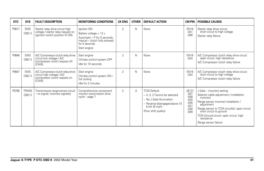| <b>DTC</b> | <b>SYS</b>             | <b>FAULT DESCRIPTION</b>                                                                                    | <b>MONITORING CONDITIONS</b>                                                                                                            | <b>CK ENG</b>  | <b>OTHER</b> | <b>DEFAULT ACTION</b>                                                                                                                                      | <b>CM PIN</b>                                                                      | <b>POSSIBLE CAUSES</b>                                                                                                                                                                                                                                                                                 |
|------------|------------------------|-------------------------------------------------------------------------------------------------------------|-----------------------------------------------------------------------------------------------------------------------------------------|----------------|--------------|------------------------------------------------------------------------------------------------------------------------------------------------------------|------------------------------------------------------------------------------------|--------------------------------------------------------------------------------------------------------------------------------------------------------------------------------------------------------------------------------------------------------------------------------------------------------|
| P0617      | <b>EMS</b><br>OBD II   | Starter relay drive circuit high<br>voltage / starter relay request on<br>(ignition switch position III ON) | Ignition ON<br>Battery voltage > 12 v<br>Automatic - P for 5 seconds:<br>manual - clutch fully pressed<br>for 5 seconds<br>Start engine | $\overline{2}$ | N            | None                                                                                                                                                       | <b>EN16</b><br>$-041$<br>$-006$                                                    | Starter relay drive circuit:<br>short circuit to high voltage<br>Starter relay failure                                                                                                                                                                                                                 |
| P0646      | <b>EMS</b><br>OBD II   | A/C Compressor clutch relay drive<br>circuit low voltage / A/C<br>(compressor clutch request off<br>[CAN])  | Start engine<br>Climate control system OFF<br>Idle for 10 seconds                                                                       | $\overline{2}$ | N            | None                                                                                                                                                       | <b>EN16</b><br>$-0.34$                                                             | A/C Compressor clutch relay drive circuit:<br>open circuit, high resistance<br>A/C Compressor clutch relay failure                                                                                                                                                                                     |
| P0647      | <b>EMS</b><br>OBD II   | A/C Compressor clutch relay drive<br>circuit high voltage / A/C<br>(compressor clutch request on<br>[CAN]   | Start engine<br>Climate control system ON -<br>full cooling<br>Idle for 2 minutes                                                       | $\overline{2}$ | N            | None                                                                                                                                                       | <b>EN16</b><br>$-0.34$                                                             | A/C Compressor clutch relay drive circuit:<br>short circuit to high voltage<br>A/C Compressor clutch relay failure                                                                                                                                                                                     |
| P0706      | <b>TRANS</b><br>OBD II | Transmission range sensor circuit<br>- no signal; incorrect signal(s)                                       | Comprehensive component<br>monitor transmission drive<br>cycle – page 7                                                                 | $\overline{2}$ | A            | <b>TCM Default:</b><br>- 4, 3, 2 Cannot be selected<br>- No J Gate illumination<br>- Reverse disengaged above 10<br>$km/h$ (6 mph)<br>(Poor shift quality) | <b>JB131</b><br>$-007$<br>$-008$<br>$-025$<br>$-026$<br>$-027$<br>$-030$<br>$-009$ | J Gate - incorrect setting<br>Selector cable adjustment / installation<br>incorrect<br>Range sensor incorrect installation /<br>adjustment<br>Range sensor to TCM circuit(s): open circuit,<br>short circuit to ground<br>TCM Ground circuit: open circuit, high<br>resistance<br>Range sensor failure |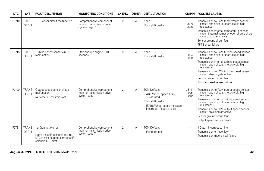| <b>DTC</b> | <b>SYS</b>             | <b>FAULT DESCRIPTION</b>                                                                                               | <b>MONITORING CONDITIONS</b>                                            | <b>CK ENG</b>  | <b>OTHER</b> | <b>DEFAULT ACTION</b>                                                                                                                               | CM PIN                           | <b>POSSIBLE CAUSES</b>                                                                                                                                                                                                                                                                                                                                    |
|------------|------------------------|------------------------------------------------------------------------------------------------------------------------|-------------------------------------------------------------------------|----------------|--------------|-----------------------------------------------------------------------------------------------------------------------------------------------------|----------------------------------|-----------------------------------------------------------------------------------------------------------------------------------------------------------------------------------------------------------------------------------------------------------------------------------------------------------------------------------------------------------|
| P0710      | <b>TRANS</b><br>OBD II | <b>TFT Sensor circuit malfunction</b>                                                                                  | Comprehensive component<br>monitor transmission drive<br>cycle - page 7 | $\overline{2}$ | A            | None<br>(Poor shift quality)                                                                                                                        | JB131<br>$-039$<br>$-020$        | Transmission to TCM temperature sensor<br>circuit: open circuit, short circuit, high<br>resistance<br>Transmission internal temperature sensor<br>circuit (internal harness): open circuit, short<br>circuit; high resistance<br>Sensor ground circuit fault<br><b>TFT Sensor failure</b>                                                                 |
| P0715      | <b>TRANS</b><br>OBD II | Turbine speed sensor circuit<br>malfunction                                                                            | Start and run engine - 10<br>seconds                                    | $\overline{2}$ | A            | None<br>(Poor shift quality)                                                                                                                        | <b>JB131</b><br>$-024$<br>$-020$ | Transmission to TCM turbine speed sensor<br>circuit: open circuit, short circuit, high<br>resistance<br>Transmission internal turbine speed sensor<br>circuit: open circuit, short circuit, high<br>resistance<br>Transmission to TCM turbine speed sensor<br>circuit: shielding defective<br>Sensor ground circuit fault<br>Turbine speed sensor failure |
| P0720      | <b>TRANS</b><br>OBD II | Output speed sensor circuit<br>malfunction<br>(Automatic Transmission)                                                 | Comprehensive component<br>monitor transmission drive<br>cycle - page 7 | $\overline{2}$ | A            | <b>TCM Default:</b><br>- ABS Wheel speed (CAN)<br>substituted<br>(Poor shift quality)<br>- If ABS Wheel speed message<br>incorrect - fixed 4th gear | JB131<br>$-005$<br>$-020$        | Transmission to TCM output speed sensor<br>circuit: open circuit, short circuit, high<br>resistance<br>Transmission internal output speed sensor<br>circuit: open circuit, short circuit, high<br>resistance<br>Transmission to TCM output speed sensor<br>circuit: shielding defective<br>Sensor ground circuit fault<br>Output speed sensor failure     |
| P0731      | <b>TRANS</b><br>OBD II | 1st Gear ratio error<br>Note: If a shift solenoid failure<br>DTC is also flagged, correct shift<br>solenoid DTC first. | Comprehensive component<br>monitor transmission drive<br>cycle - page 7 | $\overline{2}$ | A            | <b>TCM Default:</b><br>- Fixed 4th gear                                                                                                             |                                  | J Gate - incorrect setting<br>Transmission oil level low<br>Transmission mechanical failure                                                                                                                                                                                                                                                               |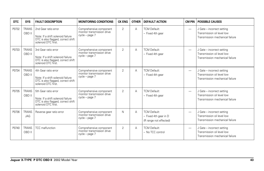| DTC   | <b>SYS</b>                 | <b>FAULT DESCRIPTION</b>                                                                                               | <b>MONITORING CONDITIONS</b>                                            | <b>CK ENG</b>  | <b>OTHER</b> | <b>DEFAULT ACTION</b>                                                  | CM PIN                   | <b>POSSIBLE CAUSES</b>                                                                      |
|-------|----------------------------|------------------------------------------------------------------------------------------------------------------------|-------------------------------------------------------------------------|----------------|--------------|------------------------------------------------------------------------|--------------------------|---------------------------------------------------------------------------------------------|
| P0732 | <b>TRANS</b><br>OBD II     | 2nd Gear ratio error<br>Note: If a shift solenoid failure<br>DTC is also flagged, correct shift<br>solenoid DTC first. | Comprehensive component<br>monitor transmission drive<br>cycle - page 7 | $\overline{2}$ | A            | <b>TCM Default:</b><br>- Fixed 4th gear                                | $\overline{\phantom{0}}$ | J Gate - incorrect setting<br>Transmission oil level low<br>Transmission mechanical failure |
| P0733 | <b>TRANS</b><br>OBD II     | 3rd Gear ratio error<br>Note: If a shift solenoid failure<br>DTC is also flagged, correct shift<br>solenoid DTC first. | Comprehensive component<br>monitor transmission drive<br>cycle - page 7 | $\overline{2}$ | Α            | <b>TCM Default:</b><br>- Fixed 4th gear                                | $\overline{\phantom{0}}$ | J Gate - incorrect setting<br>Transmission oil level low<br>Transmission mechanical failure |
| P0734 | <b>TRANS</b><br>OBD II     | 4th Gear ratio error<br>Note: If a shift solenoid failure<br>DTC is also flagged, correct shift<br>solenoid DTC first. | Comprehensive component<br>monitor transmission drive<br>cycle - page 7 | $\overline{2}$ | Α            | <b>TCM Default:</b><br>- Fixed 4th gear                                | $\overline{\phantom{0}}$ | J Gate - incorrect setting<br>Transmission oil level low<br>Transmission mechanical failure |
| P0735 | <b>TRANS</b><br>OBD II     | 5th Gear ratio error<br>Note: If a shift solenoid failure<br>DTC is also flagged, correct shift<br>solenoid DTC first. | Comprehensive component<br>monitor transmission drive<br>cycle - page 7 | $\overline{2}$ | A            | <b>TCM Default:</b><br>- Fixed 4th gear                                | $\overline{\phantom{0}}$ | J Gate - incorrect setting<br>Transmission oil level low<br>Transmission mechanical failure |
| P0736 | <b>TRANS</b><br><b>JAG</b> | Reverse gear ratio error                                                                                               | Comprehensive component<br>monitor transmission drive<br>cycle - page 7 | N              | Α            | <b>TCM Default:</b><br>- Fixed 4th gear in D<br>(R range not effected) | -                        | J Gate - incorrect setting<br>Transmission oil level low<br>Transmission mechanical failure |
| P0740 | <b>TRANS</b><br>OBD II     | TCC malfunction                                                                                                        | Comprehensive component<br>monitor transmission drive<br>cycle - page 7 | $\overline{2}$ | Α            | <b>TCM Default:</b><br>- No TCC control                                | $\overline{\phantom{0}}$ | J Gate - incorrect setting<br>Transmission oil level low<br>Transmission mechanical failure |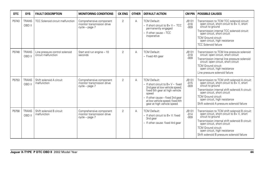| <b>DTC</b> | <b>SYS</b>             | <b>FAULT DESCRIPTION</b>                              | <b>MONITORING CONDITIONS</b>                                            | <b>CK ENG</b>  | <b>OTHER</b> | <b>DEFAULT ACTION</b>                                                                                                                                                                                                                             | <b>CM PIN</b>                    | <b>POSSIBLE CAUSES</b>                                                                                                                                                                                                                                                                                          |
|------------|------------------------|-------------------------------------------------------|-------------------------------------------------------------------------|----------------|--------------|---------------------------------------------------------------------------------------------------------------------------------------------------------------------------------------------------------------------------------------------------|----------------------------------|-----------------------------------------------------------------------------------------------------------------------------------------------------------------------------------------------------------------------------------------------------------------------------------------------------------------|
| P0743      | <b>TRANS</b><br>OBD II | TCC Solenoid circuit malfunction                      | Comprehensive component<br>monitor transmission drive<br>cycle – page 7 | $\mathfrak{D}$ | A            | <b>TCM Default:</b><br>$-$ If short circuit to B+ V - TCC<br>permanently engaged<br>- If other cause - TCC<br>inoperative                                                                                                                         | JB131<br>$-016$<br>$-009$        | Transmission to TCM TCC solenoid circuit:<br>open circuit, short circuit to B+V, short<br>circuit to ground<br>Transmission internal TCC solenoid circuit:<br>open circuit, short circuit<br><b>TCM Ground circuit:</b><br>open circuit, high resistance<br><b>TCC Solenoid failure</b>                         |
| P0748      | <b>TRANS</b><br>OBD II | Line pressure control solenoid<br>circuit malfunction | Start and run engine - 10<br>seconds                                    | $\overline{2}$ | Α            | <b>TCM Default:</b><br>- Fixed 4th gear                                                                                                                                                                                                           | <b>JB131</b><br>$-018$<br>$-009$ | Transmission to TCM line pressure solenoid<br>circuit: open circuit, short circuit<br>Transmission internal line pressure solenoid<br>circuit: open circuit, short circuit<br><b>TCM Ground circuit:</b><br>open circuit, high resistance<br>Line pressure solenoid failure                                     |
| P0753      | <b>TRANS</b><br>OBD II | Shift solenoid A circuit<br>malfunction               | Comprehensive component<br>monitor transmission drive<br>cycle – page 7 | $\overline{2}$ | Α            | <b>TCM Default:</b><br>$-$ If short circuit to $B + V -$ fixed<br>2nd gear at low vehicle speed;<br>fixed 5th gear at high vehicle<br>speed<br>- If other cause - fixed 3rd gear<br>at low vehicle speed; fixed 4th<br>gear at high vehicle speed | JB131<br>$-015$<br>$-009$        | Transmission to TCM shift solenoid A circuit:<br>open circuit, short circuit to B+ V, short<br>circuit to ground<br>Transmission internal shift solenoid A circuit:<br>open circuit, short circuit<br><b>TCM Ground circuit:</b><br>open circuit, high resistance<br>Shift solenoid A pressure solenoid failure |
| P0758      | <b>TRANS</b><br>OBD II | Shift solenoid B circuit<br>malfunction               | Comprehensive component<br>monitor transmission drive<br>cycle - page 7 | $\overline{2}$ | Α            | <b>TCM Default:</b><br>$-$ If short circuit to B+ V: fixed<br>3nd gear<br>- If other cause: fixed 4rd gear                                                                                                                                        | JB131<br>$-014$<br>$-009$        | Transmission to TCM shift solenoid B circuit:<br>open circuit, short circuit to B+V, short<br>circuit to ground<br>Transmission internal shift solenoid B circuit:<br>open circuit, short circuit<br><b>TCM Ground circuit:</b><br>open circuit, high resistance<br>Shift solenoid B pressure solenoid failure  |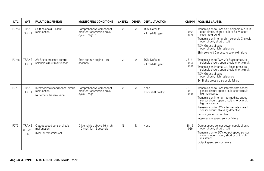| <b>DTC</b> | <b>SYS</b>                      | <b>FAULT DESCRIPTION</b>                                                     | <b>MONITORING CONDITIONS</b>                                              | <b>CK ENG</b>  | <b>OTHER</b> | <b>DEFAULT ACTION</b>                   | CM PIN                    | <b>POSSIBLE CAUSES</b>                                                                                                                                                                                                                                                                                                                                                        |
|------------|---------------------------------|------------------------------------------------------------------------------|---------------------------------------------------------------------------|----------------|--------------|-----------------------------------------|---------------------------|-------------------------------------------------------------------------------------------------------------------------------------------------------------------------------------------------------------------------------------------------------------------------------------------------------------------------------------------------------------------------------|
| P0763      | <b>TRANS</b><br>OBD II          | Shift solenoid C circuit<br>malfunction                                      | Comprehensive component<br>monitor transmission drive<br>$cycle - page 7$ | $\overline{2}$ | Α            | <b>TCM Default:</b><br>- Fixed 4th gear | JB131<br>$-052$<br>$-009$ | Transmission to TCM shift solenoid C circuit:<br>open circuit, short circuit to B+V, short<br>circuit to ground<br>Transmission internal shift solenoid C circuit:<br>open circuit, short circuit<br><b>TCM Ground circuit:</b><br>open circuit, high resistance<br>Shift solenoid C pressure solenoid failure                                                                |
| P0778      | <b>TRANS</b><br>OBD II          | 2/4 Brake pressure control<br>solenoid circuit malfunction                   | Start and run engine - 10<br>seconds                                      | $\overline{2}$ | А            | <b>TCM Default:</b><br>- Fixed 4th gear | JB131<br>$-003$<br>$-009$ | Transmission to TCM 2/4 Brake pressure<br>solenoid circuit: open circuit, short circuit<br>Transmission internal 2/4 Brake pressure<br>solenoid circuit: open circuit, short circuit<br><b>TCM Ground circuit:</b><br>open circuit, high resistance<br>2/4 Brake pressure solenoid failure                                                                                    |
| P0791      | <b>TRANS</b><br>OBD II          | Intermediate speed sensor circuit<br>malfunction<br>(Automatic transmission) | Comprehensive component<br>monitor transmission drive<br>cycle - page 7   | $\mathfrak{p}$ | А            | None<br>(Poor shift quality)            | JB131<br>$-021$<br>$-020$ | Transmission to TCM intermediate speed<br>sensor circuit: open circuit, short circuit,<br>high resistance<br>Transmission internal intermediate speed<br>sensor circuit: open circuit, short circuit,<br>high resistance<br>Transmission to TCM intermediate speed<br>sensor circuit: shielding defective<br>Sensor ground circuit fault<br>Intermediate speed sensor failure |
| P0791      | <b>TRANS</b><br>$(ECM*)$<br>JAG | Output speed sensor circuit<br>malfunction<br>(Manual transmission)          | Drive vehicle above 16 km/h<br>(10 mph) for 15 seconds                    | $\mathsf{N}$   | N            | None                                    | <b>EN16</b><br>$-026$     | Output speed sensor power supply circuit:<br>open circuit, short circuit<br>Transmission to ECM output speed sensor<br>circuits: open circuit, short circuit, high<br>resistance<br>Output speed sensor failure                                                                                                                                                               |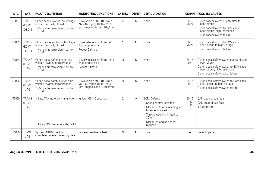| <b>DTC</b> | <b>SYS</b>                             | <b>FAULT DESCRIPTION</b>                                                                                      | <b>MONITORING CONDITIONS</b>                                                                     | <b>CK ENG</b>  | <b>OTHER</b> | <b>DEFAULT ACTION</b>                                                                                                                                                                | <b>CM PIN</b>                   | <b>POSSIBLE CAUSES</b>                                                                                                                                                          |
|------------|----------------------------------------|---------------------------------------------------------------------------------------------------------------|--------------------------------------------------------------------------------------------------|----------------|--------------|--------------------------------------------------------------------------------------------------------------------------------------------------------------------------------------|---------------------------------|---------------------------------------------------------------------------------------------------------------------------------------------------------------------------------|
| P0831      | <b>TRANS</b><br>$(ECM*)$<br>OBD II     | Clutch cancel switch low voltage<br>(switch normally closed)<br>* Manual transmission input to<br>ECM         | Drive vehicle 60 - 100 km/h<br>$(37 - 62$ mph); $1800 - 2500$<br>rpm; engine load $> 0.40$ g/rpm | $\overline{2}$ | N            | None                                                                                                                                                                                 | <b>EN16</b><br>$-033$           | Clutch cancel switch supply circuit:<br>open circuit<br>Clutch cancel switch to ECM circuit:<br>open circuit, high resistance<br>Clutch cancel switch failure                   |
| P0832      | <b>TRANS</b><br>$(ECM*)$<br>OBD II     | Clutch cancel switch high voltage<br>(switch normally closed)<br>* Manual transmission input to<br><b>ECM</b> | Drive vehicle: shift from 1st to<br>2nd; stop vehicle<br>Repeat 5 times                          | $\overline{2}$ | N            | None                                                                                                                                                                                 | <b>EN16</b><br>$-033$           | Clutch cancel switch to ECM circuit:<br>short circuit to high voltage<br>Clutch cancel switch failure                                                                           |
| P0834      | <b>TRANS</b><br>$(ECM*)$<br>JAG        | Clutch pedal safety switch low<br>voltage (switch normally open)<br>* Manual transmission input to<br>ECM     | Drive vehicle: shift from 1st to<br>2nd; stop vehicle<br>Repeat 5 times                          | N              | N            | None                                                                                                                                                                                 | <b>EN16</b><br>$-031$           | Clutch pedal safety switch supply circuit:<br>open circuit<br>Clutch pedal safety switch to ECM circuit:<br>open circuit, high resistance<br>Clutch pedal safety switch failure |
| P0835      | <b>TRANS</b><br>$(ECM*)$<br><b>JAG</b> | Clutch pedal safety switch high<br>voltage (switch normally open)<br>* Manual transmission input to<br>ECM    | Drive vehicle 60 - 100 km/h<br>$(37 - 62$ mph); $1800 - 2500$<br>rpm; engine load > 0.40 g/rpm   | N              | N            | None                                                                                                                                                                                 | <b>EN16</b><br>$-031$           | Clutch pedal safety switch to ECM circuit:<br>short circuit to high voltage<br>Clutch pedal safety switch failure                                                               |
| P0860      | <b>TRANS</b><br>$(ECM*)$<br><b>JAG</b> | J Gate CAN network malfunction<br>* J Gate / CAN monitored by ECM                                             | lanition ON 10 seconds                                                                           | $\overline{2}$ | Α            | <b>ECM Default:</b><br>- Speed control inhibited<br>- Maximum throttle opening for<br>N range inhibited<br>- Throttle opening limited to<br>30%<br>- Maximum engine speed<br>reduced | <b>EN16</b><br>$-123$<br>$-124$ | CAN open circuit fault<br>CAN short circuit fault<br>J Gate failure                                                                                                             |
| P1000      | <b>EMS</b><br><b>JAG</b>               | System (OBD) check not<br>complete since last memory clear                                                    | <b>System Readiness Test</b>                                                                     | N              | N            | None                                                                                                                                                                                 | -                               | Refer to page 3                                                                                                                                                                 |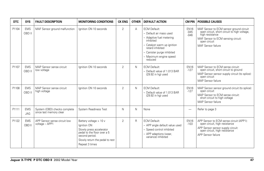| <b>DTC</b> | <b>SYS</b>           | <b>FAULT DESCRIPTION</b>                                | <b>MONITORING CONDITIONS</b>                                                                                                                                            | <b>CK ENG</b>  | <b>OTHER</b> | <b>DEFAULT ACTION</b>                                                                                                                                                                                         | <b>CM PIN</b>                   | <b>POSSIBLE CAUSES</b>                                                                                                                                                                 |
|------------|----------------------|---------------------------------------------------------|-------------------------------------------------------------------------------------------------------------------------------------------------------------------------|----------------|--------------|---------------------------------------------------------------------------------------------------------------------------------------------------------------------------------------------------------------|---------------------------------|----------------------------------------------------------------------------------------------------------------------------------------------------------------------------------------|
| P1104      | <b>EMS</b><br>OBD II | MAF Sensor ground malfunction                           | lanition ON 10 seconds                                                                                                                                                  | $\overline{2}$ | A            | <b>ECM Default:</b><br>- Default air mass used<br>- Adaptive fuel metering<br>inhibited<br>- Catalyst warm up ignition<br>retard inhibited<br>- Canister purge inhibited<br>- Maximum engine speed<br>reduced | <b>EN16</b><br>$-045$<br>$-046$ | MAF Sensor to ECM sensor ground circuit<br>open circuit, short circuit to high voltage,<br>high resistance<br>MAF Sensor to ECM sensing circuit:<br>open circuit<br>MAF Sensor failure |
| P1107      | <b>EMS</b><br>OBD II | MAP Sensor sense circuit<br>low voltage                 | lanition ON 10 seconds                                                                                                                                                  | $\overline{2}$ | N            | <b>ECM Default:</b><br>- Default value of 1.013 BAR<br>(29.92 in hq) used                                                                                                                                     | <b>EN16</b><br>$-127$           | MAP Sensor to ECM sense circuit:<br>open circuit, short circuit to ground<br>MAP Sensor sensor supply circuit (to splice):<br>open circuit<br>MAP Sensor failure                       |
| P1108      | <b>EMS</b><br>OBD II | MAP Sensor sense circuit<br>high voltage                | Ignition ON 10 seconds                                                                                                                                                  | 2              | N            | <b>ECM Default:</b><br>- Default value of 1.013 BAR<br>(29.92 in hg) used                                                                                                                                     | <b>EN16</b><br>$-127$           | MAP Sensor sensor ground circuit (to splice):<br>open circuit<br>MAP Sensor to ECM sense circuit:<br>short circuit to high voltage<br>MAP Sensor failure                               |
| P1111      | <b>EMS</b><br>JAG    | System (OBD) checks complete<br>since last memory clear | System Readiness Test                                                                                                                                                   | N              | N            | None                                                                                                                                                                                                          | -                               | Refer to page 3                                                                                                                                                                        |
| P1122      | <b>EMS</b><br>OBD II | APP Sensor sense circuit low<br>voltage - APP1          | Battery voltage > 10 v<br>Ignition ON<br>Slowly press accelerator<br>pedal to the floor over a 5<br>second period.<br>Slowly return the pedal to rest<br>Repeat 3 times | 2              | $\mathsf{R}$ | <b>ECM Default:</b><br>- APP angle default value used<br>- Speed control inhibited<br>- APP adaptions (wear.<br>variance) inhibited                                                                           | <b>EN16</b><br>$-103$           | APP Sensor to ECM sense circuit (APP1):<br>open circuit, high resistance<br>APP Sensor sensor supply circuit:<br>open circuit, high resistance<br>APP Sensor failure                   |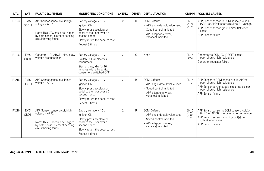| DTC   | <b>SYS</b>           | <b>FAULT DESCRIPTION</b>                                                                                                                       | <b>MONITORING CONDITIONS</b>                                                                                                                                           | <b>CK ENG</b>  | <b>OTHER</b> | <b>DEFAULT ACTION</b>                                                                                                               | <b>CM PIN</b>                   | <b>POSSIBLE CAUSES</b>                                                                                                                                                                    |
|-------|----------------------|------------------------------------------------------------------------------------------------------------------------------------------------|------------------------------------------------------------------------------------------------------------------------------------------------------------------------|----------------|--------------|-------------------------------------------------------------------------------------------------------------------------------------|---------------------------------|-------------------------------------------------------------------------------------------------------------------------------------------------------------------------------------------|
| P1123 | <b>EMS</b><br>OBD II | APP Sensor sense circuit high<br>voltage - APP1<br>Note: This DTC could be flagged<br>by both sensor element sensing<br>circuit having faults. | Battery voltage > 10 v<br>Ignition ON<br>Slowly press accelerator<br>pedal to the floor over a 5<br>second period<br>Slowly return the pedal to rest<br>Repeat 3 times | 2              | $\mathsf{R}$ | <b>ECM Default:</b><br>- APP angle default value used<br>- Speed control inhibited<br>- APP adaptions (wear,<br>variance) inhibited | <b>EN16</b><br>$-103$<br>$-102$ | APP Sensor sensor to ECM sense circuit(s)<br>(APP1 or APP2): short circuit to B+ voltage<br>APP Sensor sensor ground circuit(s): open<br>circuit<br>APP Sensor failure                    |
| P1146 | <b>EMS</b><br>OBD II | Generator "CHARGE" circuit low<br>voltage / request high                                                                                       | Battery voltage > 12 v<br>Switch OFF all electrical<br>consumers<br>Start engine; idle for 16<br>minutes with all electrical<br>consumers switched OFF                 | $\overline{2}$ | $\mathsf{C}$ | None                                                                                                                                | <b>EN16</b><br>$-053$           | Generator to ECM "CHARGE" circuit:<br>open circuit, high resistance<br>Generator regulator failure                                                                                        |
| P1215 | <b>EMS</b><br>OBD II | APP Sensor sense circuit low<br>voltage - APP2                                                                                                 | Battery voltage > 10 v<br>Ignition ON<br>Slowly press accelerator<br>pedal to the floor over a 5<br>second period<br>Slowly return the pedal to rest<br>Repeat 3 times | 2              | $\mathsf{R}$ | <b>ECM Default:</b><br>- APP angle default value used<br>- Speed control inhibited<br>- APP adaptions (wear,<br>variance) inhibited | <b>EN16</b><br>$-102$           | APP Sensor to ECM sense circuit (APP2):<br>open circuit, high resistance<br>APP Sensor sensor supply circuit (to splice):<br>open circuit, high resistance<br>APP Sensor failure          |
| P1216 | <b>EMS</b><br>OBD II | APP Sensor sense circuit high<br>voltage - APP2<br>Note: This DTC could be flagged<br>by both sensor element sensing<br>circuit having faults. | Battery voltage > 10 v<br>Ignition ON<br>Slowly press accelerator<br>pedal to the floor over a 5<br>second period<br>Slowly return the pedal to rest<br>Repeat 3 times | $\overline{2}$ | $\mathsf{R}$ | <b>ECM Default:</b><br>- APP angle default value used<br>- Speed control inhibited<br>- APP adaptions (wear,<br>variance) inhibited | <b>EN16</b><br>$-102$<br>$-103$ | APP Sensor sensor to ECM sense circuit(s)<br>(APP2 or APP1): short circuit to B+ voltage<br>APP Sensor sensor ground circuit(s) (to<br>splice): open circuit<br><b>APP Sensor failure</b> |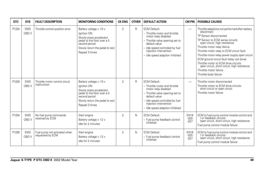| DTC   | <b>SYS</b>           | <b>FAULT DESCRIPTION</b>                         | <b>MONITORING CONDITIONS</b>                                                                                                                                           | <b>CK ENG</b>  | <b>OTHER</b> | <b>DEFAULT ACTION</b>                                                                                                                                                                                                            | <b>CM PIN</b>                   | <b>POSSIBLE CAUSES</b>                                                                                                                                                                                                                                                                                                                                                                                                                                                                |
|-------|----------------------|--------------------------------------------------|------------------------------------------------------------------------------------------------------------------------------------------------------------------------|----------------|--------------|----------------------------------------------------------------------------------------------------------------------------------------------------------------------------------------------------------------------------------|---------------------------------|---------------------------------------------------------------------------------------------------------------------------------------------------------------------------------------------------------------------------------------------------------------------------------------------------------------------------------------------------------------------------------------------------------------------------------------------------------------------------------------|
| P1224 | <b>EMS</b><br>OBD II | Throttle control position error                  | Battery voltage > 10 v<br>Ignition ON<br>Slowly press accelerator<br>pedal to the floor over a 5<br>second period<br>Slowly return the pedal to rest<br>Repeat 3 times | $\overline{2}$ | R            | <b>ECM Default:</b><br>- Throttle motor and throttle<br>motor relay disabled<br>- Throttle valve opening set to<br>default value<br>- Idle speed controlled by fuel<br>injection intervention<br>- Idle speed adaption inhibited | $\overline{\phantom{0}}$        | Throttle adaptions not performed after battery<br>disconnect<br>TP Sensor disconnected<br>TP Sensor to ECM sense circuits:<br>open circuit, high resistance<br>Throttle motor relay failure<br>Throttle motor relay to ECM circuit fault<br>Throttle motor relay power supply open circuit<br>ECM ground circuit fault (relay coil drive)<br>Throttle motor to ECM drive circuits:<br>open circuit, short circuit, high resistance<br>Throttle motor failure<br>Throttle body failure |
| P1229 | <b>EMS</b><br>OBD II | Throttle motor control circuit<br>malfunction    | Battery voltage > 10 v<br>Ignition ON<br>Slowly press accelerator<br>pedal to the floor over a 5<br>second period<br>Slowly return the pedal to rest<br>Repeat 3 times | $\overline{2}$ | R            | <b>ECM Default:</b><br>- Throttle motor and throttle<br>motor relay disabled<br>- Throttle valve opening set to<br>default value<br>- Idle speed controlled by fuel<br>injection intervention<br>- Idle speed adaption inhibited | $\overline{\phantom{0}}$        | Throttle motor disconnected<br>Throttle motor to ECM drive circuits:<br>short circuit or open circuit<br>Throttle motor failure                                                                                                                                                                                                                                                                                                                                                       |
| P1234 | <b>EMS</b><br>OBD II | No fuel pump commands<br>received by ECM         | Start engine<br>Battery voltage > 12 v<br>Idle for 2 minutes                                                                                                           | $\overline{2}$ | N            | <b>ECM Default:</b><br>- Fuel pump feedback control<br>inhibited                                                                                                                                                                 | <b>EN16</b><br>$-025$<br>$-027$ | ECM to fuel pump control module control and<br>/ or feedback circuits:<br>open circuit, short circuit, high resistance<br>Fuel pump control module failure                                                                                                                                                                                                                                                                                                                            |
| P1236 | <b>EMS</b><br>OBD II | Fuel pump not activated when<br>requested by ECM | Start engine<br>Battery voltage > 12 v<br>Idle for 2 minutes                                                                                                           | $\overline{2}$ | N            | <b>ECM Default:</b><br>- Fuel pump feedback control<br>inhibited                                                                                                                                                                 | <b>EN16</b><br>$-025$<br>$-027$ | ECM to fuel pump control module control and<br>/ or feedback circuits:<br>open circuit, short circuit, high resistance<br>Fuel pump control module failure                                                                                                                                                                                                                                                                                                                            |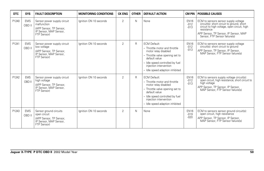| <b>DTC</b> | <b>SYS</b>           | <b>FAULT DESCRIPTION</b>                                                                                        | <b>MONITORING CONDITIONS</b> | <b>CK ENG</b>  | <b>OTHER</b> | <b>DEFAULT ACTION</b>                                                                                                                                                                                                            |                                 | <b>CM PIN   POSSIBLE CAUSES</b>                                                                                                                                                                                           |
|------------|----------------------|-----------------------------------------------------------------------------------------------------------------|------------------------------|----------------|--------------|----------------------------------------------------------------------------------------------------------------------------------------------------------------------------------------------------------------------------------|---------------------------------|---------------------------------------------------------------------------------------------------------------------------------------------------------------------------------------------------------------------------|
| P1240      | <b>EMS</b><br>OBD II | Sensor power supply circuit<br>malfunction<br>(APP Sensor, TP Sensor,<br>IP Sensor, MAP Sensor,<br>FTP Sensor)  | Ignition ON 10 seconds       | $\overline{2}$ | $\mathsf{N}$ | None                                                                                                                                                                                                                             | <b>EN16</b><br>$-012$<br>$-013$ | ECM to sensors sensor supply voltage<br>circuit(s): short circuit to ground, short<br>circuit to high voltage, open circuit, high<br>resistance<br>APP Sensor, TP Sensor, IP Sensor, MAP<br>Sensor, FTP Sensor failure(s) |
| P1241      | <b>EMS</b><br>OBD II | Sensor power supply circuit<br>low voltage<br>(APP Sensor, TP Sensor,<br>IP Sensor, MAP Sensor,<br>FTP Sensor)  | lanition ON 10 seconds       | $\overline{2}$ | R            | <b>ECM Default:</b><br>- Throttle motor and throttle<br>motor relay disabled<br>- Throttle valve opening set to<br>default value<br>- Idle speed controlled by fuel<br>injection intervention<br>- Idle speed adaption inhibited | <b>EN16</b><br>$-012$<br>$-013$ | ECM to sensors sensor supply voltage<br>circuit(s): short circuit to ground<br>APP Sensor, TP Sensor, IP Sensor,<br>MAP Sensor, FTP Sensor failure(s)                                                                     |
| P1242      | <b>EMS</b><br>OBD II | Sensor power supply circuit<br>high voltage<br>(APP Sensor, TP Sensor,<br>IP Sensor, MAP Sensor,<br>FTP Sensor) | Ignition ON 10 seconds       | $\mathfrak{D}$ | R            | <b>ECM Default:</b><br>- Throttle motor and throttle<br>motor relay disabled<br>- Throttle valve opening set to<br>default value<br>- Idle speed controlled by fuel<br>injection intervention<br>- Idle speed adaption inhibited | <b>EN16</b><br>$-012$<br>$-013$ | ECM to sensors supply voltage circuit(s):<br>open circuit, high resistance, short circuit to<br>high voltage<br>APP Sensor, TP Sensor, IP Sensor,<br>MAP Sensor, FTP Sensor failure(s)                                    |
| P1243      | <b>EMS</b><br>OBD II | Sensor ground circuits<br>open circuit<br>(APP Sensor, TP Sensor,<br>IP Sensor, MAP Sensor,<br>FTP Sensor)      | lanition ON 10 seconds       | $\overline{2}$ | $\mathsf{N}$ | None                                                                                                                                                                                                                             | <b>EN16</b><br>$-019$<br>$-020$ | ECM to sensors sensor ground circuit(s):<br>open circuit, high resistance<br>APP Sensor, TP Sensor, IP Sensor,<br>MAP Sensor, FTP Sensor failure(s)                                                                       |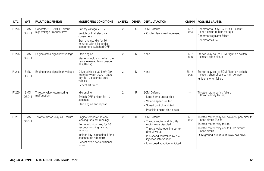| <b>DTC</b> | <b>SYS</b>           | <b>FAULT DESCRIPTION</b>                                 | <b>MONITORING CONDITIONS</b>                                                                                                                                                                                                         | <b>CK ENG</b>  | <b>OTHER</b> | <b>DEFAULT ACTION</b>                                                                                                                                                                                                            | <b>CM PIN</b>            | <b>POSSIBLE CAUSES</b>                                                                                                                                                                                             |
|------------|----------------------|----------------------------------------------------------|--------------------------------------------------------------------------------------------------------------------------------------------------------------------------------------------------------------------------------------|----------------|--------------|----------------------------------------------------------------------------------------------------------------------------------------------------------------------------------------------------------------------------------|--------------------------|--------------------------------------------------------------------------------------------------------------------------------------------------------------------------------------------------------------------|
| P1244      | <b>EMS</b><br>OBD II | Generator "CHARGE" circuit<br>high voltage / request low | Battery voltage > 12 v<br>Switch OFF all electrical<br>consumers<br>Start engine; idle for 16<br>minutes with all electrical<br>consumers switched OFF                                                                               | 2              | $\mathsf{C}$ | <b>ECM Default:</b><br>- Cooling fan speed increased                                                                                                                                                                             | <b>EN16</b><br>$-053$    | Generator to ECM "CHARGE" circuit:<br>short circuit to high voltage<br>Generator regulator failure<br>Generator failure                                                                                            |
| P1245      | <b>EMS</b><br>OBD II | Engine crank signal low voltage                          | Start engine<br>Starter should stop when the<br>key is released from position<br>III (CRANK)                                                                                                                                         | 2              | N            | None                                                                                                                                                                                                                             | <b>EN16</b><br>$-006$    | Starter relay coil to ECM / ignition switch<br>circuit: open circuit                                                                                                                                               |
| P1246      | <b>EMS</b><br>OBD II | Engine crank signal high voltage                         | Drive vehicle > 32 km/h (20<br>mph) between 2000 - 2500<br>rpm for 10 seconds; stop<br>vehicle<br>Repeat 10 times                                                                                                                    | $\overline{2}$ | N            | None                                                                                                                                                                                                                             | <b>EN16</b><br>$-006$    | Starter relay coil to ECM / ignition switch<br>circuit: short circuit to high voltage<br>Ignition switch failure                                                                                                   |
| P1250      | <b>EMS</b><br>OBD II | Throttle valve return spring<br>malfunction              | Idle engine<br>Switch OFF ignition for 10<br>seconds<br>Start engine and repeat                                                                                                                                                      | 2              | $\mathsf{R}$ | <b>ECM Default:</b><br>- Limp home unavailable<br>- Vehicle speed limited<br>- Speed control inhibited<br>- Possible engine shut down                                                                                            | $\overline{\phantom{m}}$ | Throttle return spring failure<br>(throttle body failure)                                                                                                                                                          |
| P1251      | <b>EMS</b><br>OBD II | Throttle motor relay OFF failure                         | Engine temperature cool<br>(cooling fans not running)<br>Remove ignition key for 20<br>seconds (cooling fans not<br>running)<br>Ignition key in, position II for 5<br>seconds (do not start)<br>Repeat cycle two additional<br>times | $\overline{2}$ | $\mathsf{R}$ | <b>ECM Default:</b><br>- Throttle motor and throttle<br>motor relay disabled<br>- Throttle valve opening set to<br>default value<br>- Idle speed controlled by fuel<br>injection intervention<br>- Idle speed adaption inhibited | <b>EN16</b><br>$-052$    | Throttle motor relay coil power supply circuit:<br>open circuit (fuse)<br>Throttle motor relay failure<br>Throttle motor relay coil to ECM circuit:<br>open circuit<br>ECM ground circuit fault (relay coil drive) |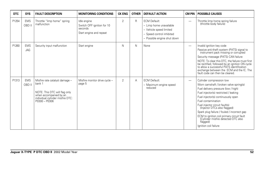| <b>DTC</b> | <b>SYS</b>           | <b>FAULT DESCRIPTION</b>                                                                                                                                 | <b>MONITORING CONDITIONS</b>                                                    | <b>CK ENG</b>  | <b>OTHER</b> | <b>DEFAULT ACTION</b>                                                                                                                 | CM PIN                   | <b>POSSIBLE CAUSES</b>                                                                                                                                                                                                                                                                                                                                                                                                                                    |
|------------|----------------------|----------------------------------------------------------------------------------------------------------------------------------------------------------|---------------------------------------------------------------------------------|----------------|--------------|---------------------------------------------------------------------------------------------------------------------------------------|--------------------------|-----------------------------------------------------------------------------------------------------------------------------------------------------------------------------------------------------------------------------------------------------------------------------------------------------------------------------------------------------------------------------------------------------------------------------------------------------------|
| P1254      | <b>EMS</b><br>OBD II | Throttle "limp home" spring<br>malfunction                                                                                                               | Idle engine<br>Switch OFF ignition for 10<br>seconds<br>Start engine and repeat | $\overline{2}$ | R            | <b>ECM Default:</b><br>- Limp home unavailable<br>- Vehicle speed limited<br>- Speed control inhibited<br>- Possible engine shut down | $\overline{\phantom{0}}$ | Throttle limp home spring failure<br>(throttle body failure)                                                                                                                                                                                                                                                                                                                                                                                              |
| P1260      | <b>EMS</b><br>JAG    | Security input malfunction                                                                                                                               | Start engine                                                                    | N              | N            | None                                                                                                                                  | $\overline{\phantom{0}}$ | Invalid ignition key code<br>Passive anti-theft system (PATS) signal to<br>instrument pack missing or corrupted<br>Security message (PATS) CAN failure<br>NOTE: To clear this DTC, the failure must first<br>be rectified, followed by an ignition ON cycle<br>to allow a successful PATS identification<br>exchange between the ECM and the IC. The<br>fault code can then be cleared.                                                                   |
| P1313      | <b>EMS</b><br>OBD II | Misfire rate catalyst damage -<br>bank 1<br>NOTE: This DTC will flag only<br>when accompanied by an<br>individual cylinder misfire DTC:<br>P0300 - P0306 | Misfire monitor drive cycle -<br>page 5                                         | $\overline{2}$ | Α            | <b>ECM Default:</b><br>- Maximum engine speed<br>reduced                                                                              |                          | Cylinder compression low<br>Worn camshaft / broken valve spring(s)<br>Fuel delivery pressure (low / high)<br>Fuel injector(s) restricted / leaking<br>Fuel injector(s) continuously open<br>Fuel contamination<br>Fuel injector circuit fault(s)<br>(Injector DTCs also flagged)<br>Spark plug failure / fouled / incorrect gap<br>ECM to ignition coil primary circuit fault<br>(Cylinder misfire detected DTC also<br>flagged)<br>lanition coil failure |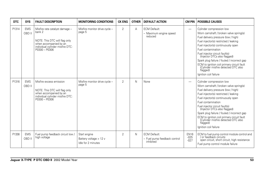| DTC.  | <b>SYS</b>           | <b>FAULT DESCRIPTION</b>                                                                                                                                 | <b>MONITORING CONDITIONS</b>                                 | <b>CK ENG</b>  | <b>OTHER</b> | <b>DEFAULT ACTION</b>                                            | <b>CM PIN</b>                   | <b>POSSIBLE CAUSES</b>                                                                                                                                                                                                                                                                                                                                                                                                                                    |
|-------|----------------------|----------------------------------------------------------------------------------------------------------------------------------------------------------|--------------------------------------------------------------|----------------|--------------|------------------------------------------------------------------|---------------------------------|-----------------------------------------------------------------------------------------------------------------------------------------------------------------------------------------------------------------------------------------------------------------------------------------------------------------------------------------------------------------------------------------------------------------------------------------------------------|
| P1314 | <b>EMS</b><br>OBD II | Misfire rate catalyst damage -<br>bank 2<br>NOTE: This DTC will flag only<br>when accompanied by an<br>individual cylinder misfire DTC:<br>P0300 - P0306 | Misfire monitor drive cycle -<br>page 5                      | $\overline{2}$ | A            | <b>ECM Default:</b><br>- Maximum engine speed<br>reduced         | $\overline{\phantom{0}}$        | Cylinder compression low<br>Worn camshaft / broken valve spring(s)<br>Fuel delivery pressure (low / high)<br>Fuel injector(s) restricted / leaking<br>Fuel injector(s) continuously open<br>Fuel contamination<br>Fuel injector circuit fault(s)<br>(Injector DTCs also flagged)<br>Spark plug failure / fouled / incorrect gap<br>ECM to ignition coil primary circuit fault<br>(Cylinder misfire detected DTC also<br>flagged)<br>lanition coil failure |
| P1316 | <b>EMS</b><br>OBD II | Misfire excess emission<br>NOTE: This DTC will flag only<br>when accompanied by an<br>individual cylinder misfire DTC:<br>$P0300 - P0306$                | Misfire monitor drive cycle -<br>page 5                      | $\mathfrak{D}$ | N            | None                                                             | $\overline{\phantom{0}}$        | Cylinder compression low<br>Worn camshaft / broken valve spring(s)<br>Fuel delivery pressure (low / high)<br>Fuel injector(s) restricted / leaking<br>Fuel injector(s) continuously open<br>Fuel contamination<br>Fuel injector circuit fault(s)<br>(Injector DTCs also flagged)<br>Spark plug failure / fouled / incorrect gap<br>ECM to ignition coil primary circuit fault<br>(Cylinder misfire detected DTC also<br>flagged)<br>Ignition coil failure |
| P1338 | <b>EMS</b><br>OBD II | Fuel pump feedback circuit low /<br>high voltage                                                                                                         | Start engine<br>Battery voltage > 12 v<br>Idle for 2 minutes | $\overline{2}$ | $\mathsf{N}$ | <b>ECM Default:</b><br>- Fuel pump feedback control<br>inhibited | <b>EN16</b><br>$-025$<br>$-027$ | ECM to fuel pump control module control and<br>/ or feedback circuits:<br>open circuit, short circuit, high resistance<br>Fuel pump control module failure                                                                                                                                                                                                                                                                                                |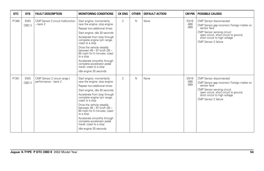| <b>DTC</b> | <b>SYS</b>           | <b>FAULT DESCRIPTION</b>                             | <b>MONITORING CONDITIONS</b>                                                                                                                                                                                                                                                                                                                                                                                                          | <b>CK ENG</b>  | <b>OTHER</b> | <b>DEFAULT ACTION</b> | <b>CM PIN</b>                   | <b>POSSIBLE CAUSES</b>                                                                                                                                                                                                   |
|------------|----------------------|------------------------------------------------------|---------------------------------------------------------------------------------------------------------------------------------------------------------------------------------------------------------------------------------------------------------------------------------------------------------------------------------------------------------------------------------------------------------------------------------------|----------------|--------------|-----------------------|---------------------------------|--------------------------------------------------------------------------------------------------------------------------------------------------------------------------------------------------------------------------|
| P1340      | <b>EMS</b><br>OBD II | CMP Sensor 2 circuit malfunction<br>$-$ bank 2       | Start engine; momentarily<br>race the engine; stop engine<br>Repeat two additional times<br>Start engine; idle 30 seconds<br>Accelerate from stop through<br>complete engine rpm range;<br>coast to a stop<br>Drive the vehicle steadily<br>between 48 - 97 km/h (30 -<br>60 mph) for 5 minutes; coast<br>to a stop<br>Accelerate smoothly through<br>complete accelerator pedal<br>travel; coast to a stop<br>Idle engine 30 seconds | $\overline{2}$ | N            | None                  | <b>EN16</b><br>$-068$<br>$-069$ | CMP Sensor disconnected<br>CMP Sensor gap incorrect / foreign matter on<br>sensor face<br>CMP Sensor sensing circuit:<br>open circuit, short circuit to ground,<br>short circuit to high voltage<br>CMP Sensor 2 failure |
| P1341      | <b>EMS</b><br>OBD II | CMP Sensor 2 circuit range /<br>performance - bank 2 | Start engine; momentarily<br>race the engine; stop engine<br>Repeat two additional times<br>Start engine; idle 30 seconds<br>Accelerate from stop through<br>complete engine rpm range;<br>coast to a stop<br>Drive the vehicle steadily<br>between 48 - 97 km/h (30 -<br>60 mph) for 5 minutes; coast<br>to a stop<br>Accelerate smoothly through<br>complete accelerator pedal<br>travel; coast to a stop<br>Idle engine 30 seconds | $\overline{2}$ | N            | None                  | <b>EN16</b><br>$-068$<br>$-069$ | CMP Sensor disconnected<br>CMP Sensor gap incorrect / foreign matter on<br>sensor face<br>CMP Sensor sensing circuit:<br>open circuit, short circuit to ground,<br>short circuit to high voltage<br>CMP Sensor 2 failure |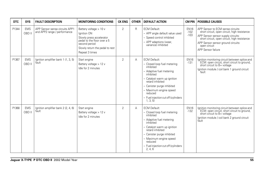| <b>DTC</b> | <b>SYS</b>           | <b>FAULT DESCRIPTION</b>                                       | <b>MONITORING CONDITIONS</b>                                                                                                                                           | <b>CK ENG</b>  | <b>OTHER</b> | <b>DEFAULT ACTION</b>                                                                                                                                                                                                                                                            | <b>CM PIN</b>                   | <b>POSSIBLE CAUSES</b>                                                                                                                                                                                                                              |
|------------|----------------------|----------------------------------------------------------------|------------------------------------------------------------------------------------------------------------------------------------------------------------------------|----------------|--------------|----------------------------------------------------------------------------------------------------------------------------------------------------------------------------------------------------------------------------------------------------------------------------------|---------------------------------|-----------------------------------------------------------------------------------------------------------------------------------------------------------------------------------------------------------------------------------------------------|
| P1344      | <b>EMS</b><br>OBD II | APP Sensor sense circuits APP1<br>and APP2 range / performance | Battery voltage > 10 v<br>Ignition ON<br>Slowly press accelerator<br>pedal to the floor over a 5<br>second period<br>Slowly return the pedal to rest<br>Repeat 3 times | 2              | $\mathsf{R}$ | <b>ECM Default:</b><br>- APP angle default value used<br>- Speed control inhibited<br>- APP adaptions (wear.<br>variance) inhibited                                                                                                                                              | <b>EN16</b><br>$-102$<br>$-103$ | APP Sensor to ECM sense circuits:<br>short circuit, open circuit, high resistance<br>APP Sensor sensor supply circuits:<br>short circuit, open circuit, high resistance<br>APP Sensor sensor ground circuits:<br>open circuit<br>APP Sensor failure |
| P1367      | <b>EMS</b><br>OBD II | Ignition amplifier bank 1 (1, 3, 5)<br>fault                   | Start engine<br>Battery voltage > 12 v<br>Idle for 2 minutes                                                                                                           | 2              | A            | <b>ECM Default:</b><br>- Closed loop fuel metering<br>inhibited<br>- Adaptive fuel metering<br>inhibited<br>- Catalyst warm up ignition<br>retard inhibited<br>- Canister purge inhibited<br>- Maximum engine speed<br>reduced<br>- Fuel injection cut off (cylinders<br>1, 3, 5 | <b>EN16</b><br>$-131$           | Ignition monitoring circuit between splice and<br>ECM: open circuit, short circuit to ground,<br>short circuit to B+ voltage<br>Ignition module / coil bank 1 ground circuit<br>fault                                                               |
| P1368      | <b>EMS</b><br>OBD II | Ignition amplifier bank 2 (2, 4, 6)<br>făult                   | Start engine<br>Battery voltage > 12 y<br>Idle for 2 minutes                                                                                                           | $\overline{2}$ | A            | <b>ECM Default:</b><br>- Closed loop fuel metering<br>inhibited<br>- Adaptive fuel metering<br>inhibited<br>- Catalyst warm up ignition<br>retard inhibited<br>- Canister purge inhibited<br>- Maximum engine speed<br>reduced<br>- Fuel injection cut off (cylinders<br>2, 4, 6 | <b>EN16</b><br>$-132$           | Ignition monitoring circuit between splice and<br>ECM: open circuit, short circuit to ground,<br>short circuit to B+ voltage<br>Ignition module / coil bank 2 ground circuit<br>fault                                                               |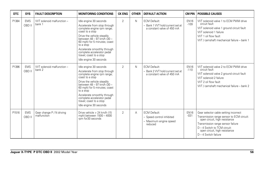| <b>DTC</b> | <b>SYS</b>           | <b>FAULT DESCRIPTION</b>                 | <b>MONITORING CONDITIONS</b>                                                                                                                                                                                                                                                                                                       | <b>CK ENG</b>  | <b>OTHER</b> | <b>DEFAULT ACTION</b>                                                                 | <b>CM PIN</b>         | <b>POSSIBLE CAUSES</b>                                                                                                                                                                                                                              |
|------------|----------------------|------------------------------------------|------------------------------------------------------------------------------------------------------------------------------------------------------------------------------------------------------------------------------------------------------------------------------------------------------------------------------------|----------------|--------------|---------------------------------------------------------------------------------------|-----------------------|-----------------------------------------------------------------------------------------------------------------------------------------------------------------------------------------------------------------------------------------------------|
| P1384      | <b>EMS</b><br>OBD II | WT solenoid malfunction -<br>bank 1      | Idle engine 30 seconds<br>Accelerate from stop through<br>complete engine rpm range;<br>coast to a stop<br>Drive the vehicle steadily<br>between 48 - 97 km/h (30 -<br>60 mph) for 5 minutes; coast<br>to a stop<br>Accelerate smoothly through<br>complete accelerator pedal<br>travel; coast to a stop<br>Idle engine 30 seconds | $\overline{2}$ | $\mathsf{N}$ | <b>ECM Default:</b><br>- Bank 1 VVT hold current set at<br>a constant valve of 450 mA | <b>EN16</b><br>$-109$ | VVT solenoid valve 1 to ECM PWM drive<br>circuit fault<br>VVT solenoid valve 1 ground circuit fault<br>VVT solenoid 1 failure<br>VVT 1 oil flow fault<br>VVT / camshaft mechanical failure - bank 1                                                 |
| P1396      | <b>EMS</b><br>OBD II | WT solenoid malfunction -<br>bank 2      | Idle engine 30 seconds<br>Accelerate from stop through<br>complete engine rpm range;<br>coast to a stop<br>Drive the vehicle steadily<br>between 48 - 97 km/h (30 -<br>60 mph) for 5 minutes; coast<br>to a stop<br>Accelerate smoothly through<br>complete accelerator pedal<br>travel; coast to a stop<br>Idle engine 30 seconds | $\overline{2}$ | $\mathsf{N}$ | <b>ECM Default:</b><br>- Bank 2 VVT hold current set at<br>a constant valve of 450 mA | <b>EN16</b><br>$-110$ | VVT solenoid valve 2 to ECM PWM drive<br>circuit fault<br>VVT solenoid valve 2 ground circuit fault<br>VVT solenoid 2 failure<br>VVT 2 oil flow fault<br>VVT / camshaft mechanical failure - bank 2                                                 |
| P1516      | <b>EMS</b><br>OBD II | Gear change P / N driving<br>malfunction | Drive vehicle > 24 km/h (15)<br>mph) between 1500 - 4000<br>rpm for 30 seconds                                                                                                                                                                                                                                                     | $\overline{2}$ | A            | <b>ECM Default:</b><br>- Speed control inhibited<br>- Maximum engine speed<br>reduced | <b>EN16</b><br>$-031$ | Gear selector cable setting incorrect<br>Transmission range sensor to ECM circuit:<br>open circuit, high resistance<br>Transmission range sensor failure<br>D - 4 Switch to TCM circuit:<br>open circuit, high resistance<br>$D - 4$ Switch failure |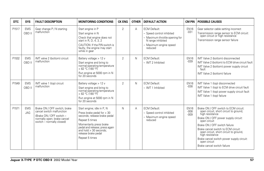| <b>DTC</b> | <b>SYS</b>               | <b>FAULT DESCRIPTION</b>                                                                                                                          | <b>MONITORING CONDITIONS</b>                                                                                                                                                                                                               | <b>CK ENG</b>  | <b>OTHER</b> | <b>DEFAULT ACTION</b>                                                                                                                        | <b>CM PIN</b>                   | <b>POSSIBLE CAUSES</b>                                                                                                                                                                                                                                                                                                                                                                      |
|------------|--------------------------|---------------------------------------------------------------------------------------------------------------------------------------------------|--------------------------------------------------------------------------------------------------------------------------------------------------------------------------------------------------------------------------------------------|----------------|--------------|----------------------------------------------------------------------------------------------------------------------------------------------|---------------------------------|---------------------------------------------------------------------------------------------------------------------------------------------------------------------------------------------------------------------------------------------------------------------------------------------------------------------------------------------------------------------------------------------|
| P1517      | <b>EMS</b><br>OBD II     | Gear change P / N starting<br>malfunction                                                                                                         | Start engine in P<br>Start engine in N<br>Check that engine does not<br>start in R, D, 4, 3, 2<br>CAUTION: If the P/N switch is<br>faulty, the engine may start<br>while in gear                                                           | 2              | A            | <b>ECM Default:</b><br>- Speed control inhibited<br>- Maximum throttle opening for<br>N range inhibited<br>- Maximum engine speed<br>reduced | <b>EN16</b><br>$-031$           | Gear selector cable setting incorrect<br>Transmission range sensor to ECM circuit:<br>open circuit or high resistance<br>Transmission range sensor failure                                                                                                                                                                                                                                  |
| P1532      | <b>EMS</b><br>OBD II     | IMT valve 2 (bottom) circuit<br>malfunction                                                                                                       | Battery voltage > 12 v<br>Start engine and bring to<br>normal operating temperature<br>> 82 °C (180 °F)<br>Run engine at 5000 rpm in N<br>for 20 seconds                                                                                   | 2              | N            | <b>ECM Default:</b><br>- IMT 2 Inhibited                                                                                                     | <b>EN16</b><br>$-039$           | IMT Valve 2 (bottom) disconnected<br>IMT Valve 2 (bottom) to ECM drive circuit fault<br>IMT Valve 2 (bottom) power supply circuit<br>fault<br>IMT Valve 2 (bottom) failure                                                                                                                                                                                                                  |
| P1549      | <b>EMS</b><br>OBD II     | IMT valve 1 (top) circuit<br>malfunction                                                                                                          | Battery voltage > 12 v<br>Start engine and bring to<br>normal operating temperature<br>> 82 °C (180 °F)<br>Run engine at 5000 rpm in N<br>for 20 seconds                                                                                   | $\overline{2}$ | N            | <b>ECM Default:</b><br>- IMT 1 Inhibited                                                                                                     | <b>EN16</b><br>$-038$           | IMT Valve 1 (top) disconnected<br>IMT Valve 1 (top) to ECM drive circuit fault<br>IMT Valve 1 (top) power supply circuit fault<br>IMT Valve 1 (top) failure                                                                                                                                                                                                                                 |
| P1571      | <b>EMS</b><br><b>JAG</b> | Brake ON / OFF switch; brake<br>cancel switch malfunction<br>(Brake ON / OFF switch -<br>normally open; brake cancel<br>switch - normally closed) | Start engine; idle in P, N<br>Press brake pedal for > 30<br>seconds; release brake pedal<br>Repeat 5 times<br>Momentarily press brake<br>pedal and release; press again<br>and hold > 30 seconds:<br>release brake pedal<br>Repeat 5 times | N              | Α            | <b>ECM Default:</b><br>- Speed control inhibited<br>- Maximum engine speed<br>reduced                                                        | <b>EN16</b><br>$-008$<br>$-009$ | Brake ON / OFF switch to ECM circuit:<br>open circuit, short circuit to ground,<br>high resistance<br>Brake ON / OFF power supply circuit:<br>open circuit<br>Brake ON / OFF switch failure<br>Brake cancel switch to ECM circuit:<br>open circuit, short circuit to ground,<br>high resistance<br>Brake cancel switch power supply circuit:<br>open circuit<br>Brake cancel switch failure |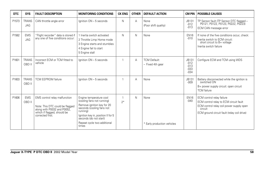| DTC   | <b>SYS</b>                 | <b>FAULT DESCRIPTION</b>                                                                                                                           | <b>MONITORING CONDITIONS</b>                                                                                                                                                                                                         | <b>CK ENG</b> | <b>OTHER</b> | <b>DEFAULT ACTION</b>                   | <b>CM PIN</b>                                   | <b>POSSIBLE CAUSES</b>                                                                                                                                                    |
|-------|----------------------------|----------------------------------------------------------------------------------------------------------------------------------------------------|--------------------------------------------------------------------------------------------------------------------------------------------------------------------------------------------------------------------------------------|---------------|--------------|-----------------------------------------|-------------------------------------------------|---------------------------------------------------------------------------------------------------------------------------------------------------------------------------|
| P1573 | <b>TRANS</b><br><b>JAG</b> | CAN throttle angle error                                                                                                                           | Ignition ON - 5 seconds                                                                                                                                                                                                              | N             | A            | None<br>(Poor shift quality)            | JB131<br>$-012$<br>$-013$                       | TP Sensor fault (TP Sensor DTC flagged -<br>P0121, P0122, P0123, P0222, P0223)<br>ECM CAN message error                                                                   |
| P1582 | <b>EMS</b><br><b>JAG</b>   | "Flight recorder" data is stored if<br>any one of five conditions occur:                                                                           | 1 Inertia switch activated<br>2 Throttle Limp Home mode<br>3 Engine starts and stumbles<br>4 Engine fail to start<br>5 Engine stall                                                                                                  | N             | $\mathsf{N}$ | None                                    | <b>EN16</b><br>$-010$                           | If none of the five conditions occur, check:<br>Inertia switch to ECM circuit:<br>short circuit to B+ voltage<br>Inertia switch failure                                   |
| P1601 | <b>TRANS</b><br>OBD II     | Incorrect ECM or TCM fitted to<br>vehicle                                                                                                          | Ignition ON - 5 seconds                                                                                                                                                                                                              |               | A            | <b>TCM Default:</b><br>- Fixed 4th gear | JB131<br>$-012$<br>$-013$<br>$-0.33$<br>$-0.34$ | Configure ECM and TCM using WDS                                                                                                                                           |
| P1603 | <b>TRANS</b><br>OBD II     | <b>TCM EEPROM failure</b>                                                                                                                          | Ignition ON - 5 seconds                                                                                                                                                                                                              |               | A            | None                                    | JB131<br>$-009$                                 | Battery disconnected while the ignition is<br>switched ON<br>B+ power supply circuit: open circuit<br><b>TCM</b> failure                                                  |
| P1606 | <b>EMS</b><br>OBD II       | EMS control relay malfunction<br>Note: This DTC could be flagged<br>along with P0032 and P0052,<br>which if flagged, should be<br>corrected first. | Engine temperature cool<br>(cooling fans not running)<br>Remove ignition key for 20<br>seconds (cooling fans not<br>running)<br>Ignition key in, position II for 5<br>seconds (do not start)<br>Repeat cycle two additional<br>times | $2*$          | N            | None<br>* Early production vehicles     | <b>EN16</b><br>$-040$                           | ECM control relay failure<br>ECM control relay to ECM circuit fault<br>ECM control relay coil power supply open<br>circuit<br>ECM ground circuit fault (relay coil drive) |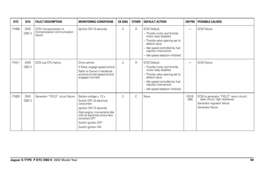| <b>DTC</b> | <b>SYS</b>           | <b>FAULT DESCRIPTION</b>                                         | <b>MONITORING CONDITIONS</b>                                                                                                                                                                                               | <b>CK ENG</b>  | <b>OTHER</b> | <b>DEFAULT ACTION</b>                                                                                                                                                                                                            | <b>CM PIN</b>         | <b>POSSIBLE CAUSES</b>                                                                                                        |
|------------|----------------------|------------------------------------------------------------------|----------------------------------------------------------------------------------------------------------------------------------------------------------------------------------------------------------------------------|----------------|--------------|----------------------------------------------------------------------------------------------------------------------------------------------------------------------------------------------------------------------------------|-----------------------|-------------------------------------------------------------------------------------------------------------------------------|
| P1609      | <b>EMS</b><br>OBD II | ECM microprocessor to<br>microprocessor communication<br>failure | Ignition ON 10 seconds                                                                                                                                                                                                     | $\overline{2}$ | R            | <b>ECM Default:</b><br>- Throttle motor and throttle<br>motor relay disabled<br>- Throttle valve opening set to<br>default value<br>- Idle speed controlled by fuel<br>injection intervention<br>- Idle speed adaption inhibited |                       | <b>ECM Failure</b>                                                                                                            |
| P1611      | <b>EMS</b><br>OBD II | ECM sub CPU failure                                              | Drive vehicle<br>If fitted, engage speed control<br>Refer to Owner's Handbook<br>and ensure that speed control<br>engages normally                                                                                         | $\overline{2}$ | R            | <b>ECM Default:</b><br>- Throttle motor and throttle<br>motor relay disabled<br>- Throttle valve opening set to<br>default value<br>- Idle speed controlled by fuel<br>injection intervention<br>- Idle speed adaption inhibited |                       | <b>ECM Failure</b>                                                                                                            |
| P1629      | <b>EMS</b><br>OBD II | Generator "FIELD" circuit failure                                | Battery voltage > 12 v<br>Switch OFF all electrical<br>consumers<br>Ignition ON 15 seconds<br>Start engine; momentarily idle<br>with all electrical consumers<br>switched OFF<br>Switch ignition OFF<br>Switch ignition ON | $\overline{2}$ | C            | None                                                                                                                                                                                                                             | <b>EN16</b><br>$-065$ | ECM to generator "FIELD" return circuit:<br>open circuit, high resistance<br>Generator regulator failure<br>Generator failure |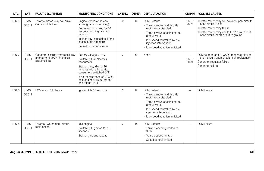| <b>DTC</b> | <b>SYS</b>           | <b>FAULT DESCRIPTION</b>                                                          | <b>MONITORING CONDITIONS</b>                                                                                                                                                                                                             | <b>CK ENG</b>  | <b>OTHER</b> | <b>DEFAULT ACTION</b>                                                                                                                                                                                                            | <b>CM PIN</b>                                     | <b>POSSIBLE CAUSES</b>                                                                                                                                                                             |
|------------|----------------------|-----------------------------------------------------------------------------------|------------------------------------------------------------------------------------------------------------------------------------------------------------------------------------------------------------------------------------------|----------------|--------------|----------------------------------------------------------------------------------------------------------------------------------------------------------------------------------------------------------------------------------|---------------------------------------------------|----------------------------------------------------------------------------------------------------------------------------------------------------------------------------------------------------|
| P1631      | <b>EMS</b><br>OBD II | Throttle motor relay coil drive<br>circuit OFF failure                            | Engine temperature cool<br>(cooling fans not running)<br>Remove ignition key for 20<br>seconds (cooling fans not<br>runnina)<br>Ignition key in, position II for 5<br>seconds (do not start)<br>Repeat cycle twice more                  | $\overline{2}$ | R            | <b>ECM Default:</b><br>- Throttle motor and throttle<br>motor relay disabled<br>- Throttle valve opening set to<br>default value<br>- Idle speed controlled by fuel<br>injection intervention<br>- Idle speed adaption inhibited | <b>EN16</b><br>$-052$                             | Throttle motor relay coil power supply circuit:<br>open circuit (fuse)<br>Throttle motor relay failure<br>Throttle motor relay coil to ECM drive circuit:<br>open circuit, short circuit to ground |
| P1632      | <b>EMS</b><br>OBD II | Generator charge system failure /<br>generator "LOAD" feedback<br>circuit failure | Battery voltage > 12 v<br>Switch OFF all electrical<br>consumers<br>Start engine; idle for 16<br>minutes with all electrical<br>consumers switched OFF<br>If no reoccurrence of DTC(s):<br>hold engine > 1500 rpm for<br>one minute in N | $\overline{2}$ | C            | None                                                                                                                                                                                                                             | $\overline{\phantom{0}}$<br><b>EN16</b><br>$-079$ | ECM to generator "LOAD" feedback circuit:<br>short circuit, open circuit, high resistance<br>Generator regulator failure<br>Generator failure                                                      |
| P1633      | <b>EMS</b><br>OBD II | ECM main CPU failure                                                              | lanition ON 10 seconds                                                                                                                                                                                                                   | $\overline{2}$ | R            | <b>ECM Default:</b><br>- Throttle motor and throttle<br>motor relay disabled<br>- Throttle valve opening set to<br>default value<br>- Idle speed controlled by fuel<br>injection intervention<br>- Idle speed adaption inhibited | $\overline{\phantom{0}}$                          | <b>ECM Failure</b>                                                                                                                                                                                 |
| P1634      | <b>EMS</b><br>OBD II | Throttle "watch dog" circuit<br>malfunction                                       | Idle engine<br>Switch OFF ignition for 10<br>seconds<br>Start engine and repeat                                                                                                                                                          | $\overline{2}$ | R            | <b>ECM Default:</b><br>- Throttle opening limited to<br>30%<br>- Vehicle speed limited<br>- Speed control limited                                                                                                                | -                                                 | <b>ECM Failure</b>                                                                                                                                                                                 |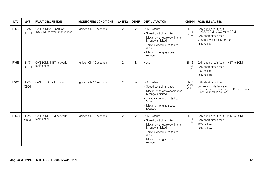| DTC   | <b>SYS</b>           | <b>FAULT DESCRIPTION</b>                           | <b>MONITORING CONDITIONS</b> | <b>CK ENG</b>  | <b>OTHER</b> | <b>DEFAULT ACTION</b>                                                                                                                                                                | <b>CM PIN</b>                   | <b>POSSIBLE CAUSES</b>                                                                                                           |
|-------|----------------------|----------------------------------------------------|------------------------------|----------------|--------------|--------------------------------------------------------------------------------------------------------------------------------------------------------------------------------------|---------------------------------|----------------------------------------------------------------------------------------------------------------------------------|
| P1637 | <b>EMS</b><br>OBD II | CAN ECM to ABS/TCCM<br>(DSCCM) network malfunction | lanition ON 10 seconds       | $\overline{2}$ | Α            | <b>ECM Default:</b><br>- Speed control inhibited<br>- Maximum throttle opening for<br>N range inhibited<br>- Throttle opening limited to<br>30%<br>- Maximum engine speed<br>reduced | <b>EN16</b><br>$-123$<br>$-124$ | CAN open circuit fault -<br>ABS/TCCM (DSCCM) to ECM<br>CAN short circuit fault<br>ABS/TCCM (DSCCM) failure<br><b>ECM</b> failure |
| P1638 | <b>EMS</b><br>OBD II | CAN ECM / INST network<br>malfunction              | Ignition ON 10 seconds       | $\overline{2}$ | N            | None                                                                                                                                                                                 | <b>EN16</b><br>$-123$<br>$-124$ | CAN open circuit fault - INST to ECM<br>CAN short circuit fault<br><b>INST</b> failure<br><b>ECM</b> failure                     |
| P1642 | <b>EMS</b><br>OBD II | CAN circuit malfunction                            | lanition ON 10 seconds       | $\overline{2}$ | Α            | <b>ECM Default:</b><br>- Speed control inhibited<br>- Maximum throttle opening for<br>N range inhibited<br>- Throttle opening limited to<br>30%<br>- Maximum engine speed<br>reduced | <b>EN16</b><br>$-123$<br>$-124$ | CAN short circuit fault<br>Control module failure -<br>check for additional flagged DTC(s) to locate<br>control module source    |
| P1643 | <b>EMS</b><br>OBD II | CAN ECM / TCM network<br>malfunction               | Ignition ON 10 seconds       | $\overline{2}$ | Α            | <b>ECM Default:</b><br>- Speed control inhibited<br>- Maximum throttle opening for<br>N range inhibited<br>- Throttle opening limited to<br>30%<br>- Maximum engine speed<br>reduced | <b>EN16</b><br>$-123$<br>$-124$ | CAN open circuit fault - TCM to ECM<br>CAN short circuit fault<br><b>TCM</b> failure<br><b>ECM</b> failure                       |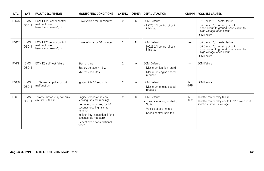| <b>DTC</b> | <b>SYS</b>           | <b>FAULT DESCRIPTION</b>                                                | <b>MONITORING CONDITIONS</b>                                                                                                                                                                                                         | <b>CK ENG</b>  | <b>OTHER</b> | <b>DEFAULT ACTION</b>                                                                                               | <b>CM PIN</b>            | <b>POSSIBLE CAUSES</b>                                                                                                                                            |
|------------|----------------------|-------------------------------------------------------------------------|--------------------------------------------------------------------------------------------------------------------------------------------------------------------------------------------------------------------------------------|----------------|--------------|---------------------------------------------------------------------------------------------------------------------|--------------------------|-------------------------------------------------------------------------------------------------------------------------------------------------------------------|
| P1646      | <b>EMS</b><br>OBD II | ECM HO2 Sensor control<br>malfunction -<br>bank 1 upstream (1/1)        | Drive vehicle for 10 minutes                                                                                                                                                                                                         | $\overline{2}$ | N            | <b>ECM Default:</b><br>- HO2S 1/1 control circuit<br>inhibited                                                      | $\overline{\phantom{0}}$ | HO2 Sensor 1/1 heater failure<br>HO2 Sensor 1/1 sensing circuit:<br>short circuit to ground, short circuit to<br>high voltage, open circuit<br><b>ECM Failure</b> |
| P1647      | <b>EMS</b><br>OBD II | <b>ECM HO2 Sensor control</b><br>malfunction -<br>bank 2 upstream (2/1) | Drive vehicle for 10 minutes                                                                                                                                                                                                         | $\overline{2}$ | N            | <b>ECM Default:</b><br>- HO2S 2/1 control circuit<br>inhibited                                                      |                          | HO2 Sensor 2/1 heater failure<br>HO2 Sensor 2/1 sensing circuit:<br>short circuit to ground, short circuit to<br>high voltage, open circuit<br><b>ECM Failure</b> |
| P1648      | <b>EMS</b><br>OBD II | <b>ECM KS self test failure</b>                                         | Start engine<br>Battery voltage > 12 v.<br>Idle for 2 minutes                                                                                                                                                                        | $\overline{2}$ | Α            | <b>ECM Default:</b><br>- Maximum ignition retard<br>- Maximum engine speed<br>reduced                               |                          | <b>ECM Failure</b>                                                                                                                                                |
| P1656      | <b>EMS</b><br>OBD II | TP Sensor amplifier circuit<br>malfunction                              | lanition ON 10 seconds                                                                                                                                                                                                               | $\overline{2}$ | Α            | <b>ECM Default:</b><br>- Maximum engine speed<br>reduced                                                            | <b>EN16</b><br>$-075$    | <b>ECM Failure</b>                                                                                                                                                |
| P1657      | <b>EMS</b><br>OBD II | Throttle motor relay coil drive<br>circuit ON failure                   | Engine temperature cool<br>(cooling fans not running)<br>Remove ignition key for 20<br>seconds (cooling fans not<br>running)<br>Ignition key in, position II for 5<br>seconds (do not start)<br>Repeat cycle two additional<br>times | $\overline{2}$ | R            | <b>ECM Default:</b><br>- Throttle opening limited to<br>30%<br>- Vehicle speed limited<br>- Speed control inhibited | <b>EN16</b><br>$-052$    | Throttle motor relay failure<br>Throttle motor relay coil to ECM drive circuit:<br>short circuit to B+ voltage                                                    |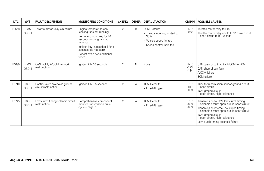| <b>DTC</b> | <b>SYS</b>             | <b>FAULT DESCRIPTION</b>                              | <b>MONITORING CONDITIONS</b>                                                                                                                                                                                                         | <b>CK ENG</b>  | <b>OTHER</b> | <b>DEFAULT ACTION</b>                                                                                               | <b>CM PIN</b>                   | <b>POSSIBLE CAUSES</b>                                                                                                                                                                                                                                                           |
|------------|------------------------|-------------------------------------------------------|--------------------------------------------------------------------------------------------------------------------------------------------------------------------------------------------------------------------------------------|----------------|--------------|---------------------------------------------------------------------------------------------------------------------|---------------------------------|----------------------------------------------------------------------------------------------------------------------------------------------------------------------------------------------------------------------------------------------------------------------------------|
| P1658      | <b>EMS</b><br>OBD II   | Throttle motor relay ON failure                       | Engine temperature cool<br>(cooling fans not running)<br>Remove ignition key for 20<br>seconds (cooling fans not<br>running)<br>Ignition key in, position II for 5<br>seconds (do not start)<br>Repeat cycle two additional<br>times | $\overline{2}$ | R            | <b>ECM Default:</b><br>- Throttle opening limited to<br>30%<br>- Vehicle speed limited<br>- Speed control inhibited | <b>EN16</b><br>$-052$           | Throttle motor relay failure<br>Throttle motor relay coil to ECM drive circuit:<br>short circuit to B+ voltage                                                                                                                                                                   |
| P1699      | <b>EMS</b><br>OBD II   | CAN ECM / A/CCM network<br>malfunction                | Ignition ON 10 seconds                                                                                                                                                                                                               | $\overline{2}$ | N            | None                                                                                                                | <b>EN16</b><br>$-123$<br>$-124$ | CAN open circuit fault - A/CCM to ECM<br>CAN short circuit fault<br>A/CCM failure<br><b>ECM</b> failure                                                                                                                                                                          |
| P1710      | <b>TRANS</b><br>OBD II | Control valve solenoids ground<br>circuit malfunction | Ignition ON - 5 seconds                                                                                                                                                                                                              | $\overline{2}$ | A            | <b>TCM Default:</b><br>- Fixed 4th gear                                                                             | JB131<br>$-017$<br>$-009$       | TCM to transmission sensor ground circuit:<br>open circuit<br>TCM ground circuit:<br>open circuit, high resistance                                                                                                                                                               |
| P1745      | <b>TRANS</b><br>OBD II | Low clutch timing solenoid circuit<br>malfunction     | Comprehensive component<br>monitor transmission drive<br>cycle - page 7                                                                                                                                                              | $\overline{2}$ | А            | <b>TCM Default:</b><br>- Fixed 4th gear                                                                             | JB131<br>$-053$<br>$-009$       | Transmission to TCM low clutch timing<br>solenoid circuit: open circuit, short circuit<br>Transmission internal low clutch timing<br>solenoid circuit: open circuit, short circuit<br>TCM ground circuit:<br>open circuit, high resistance<br>Low clutch timing solenoid failure |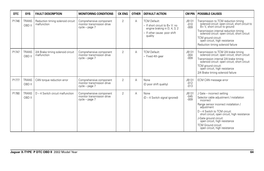| <b>DTC</b> | <b>SYS</b>             | <b>FAULT DESCRIPTION</b>                         | <b>MONITORING CONDITIONS</b>                                            | <b>CK ENG</b>  | <b>OTHER</b> | <b>DEFAULT ACTION</b>                                                                                                                  | CM PIN                    | <b>POSSIBLE CAUSES</b>                                                                                                                                                                                                                                                                                                                        |
|------------|------------------------|--------------------------------------------------|-------------------------------------------------------------------------|----------------|--------------|----------------------------------------------------------------------------------------------------------------------------------------|---------------------------|-----------------------------------------------------------------------------------------------------------------------------------------------------------------------------------------------------------------------------------------------------------------------------------------------------------------------------------------------|
| P1746      | <b>TRANS</b><br>OBD II | Reduction timing solenoid circuit<br>malfunction | Comprehensive component<br>monitor transmission drive<br>cycle - page 7 | $\overline{2}$ | A            | <b>TCM Default:</b><br>$-$ If short circuit to $B + V$ : no<br>engine braking in D, 4, 3, 2<br>- If other cause: poor shift<br>quality | JB131<br>$-010$<br>$-009$ | Transmission to TCM reduction timing<br>solenoid circuit: open circuit, short circuit to<br>B+V, short circuit to ground<br>Transmission internal reduction timing<br>solenoid circuit: open circuit, short circuit<br>TCM ground circuit:<br>open circuit, high resistance<br>Reduction timing solenoid failure                              |
| P1747      | <b>TRANS</b><br>OBD II | 2/4 Brake timing solenoid circuit<br>malfunction | Comprehensive component<br>monitor transmission drive<br>cycle - page 7 | $\overline{2}$ | А            | <b>TCM Default:</b><br>- Fixed 4th gear                                                                                                | JB131<br>$-004$<br>$-009$ | Transmission to TCM 2/4 brake timing<br>solenoid circuit: open circuit, short circuit<br>Transmission internal 2/4 brake timing<br>solenoid circuit: open circuit, short circuit<br>TCM ground circuit:<br>open circuit, high resistance<br>2/4 Brake timing solenoid failure                                                                 |
| P1777      | <b>TRANS</b><br>OBD II | CAN torque reduction error                       | Comprehensive component<br>monitor transmission drive<br>cycle – page 7 | $\overline{2}$ | A            | None<br>(D poor shift quality)                                                                                                         | JB131<br>$-012$<br>$-013$ | ECM CAN message error                                                                                                                                                                                                                                                                                                                         |
| P1780      | <b>TRANS</b><br>OBD II | D - 4 Switch circuit malfunction                 | Comprehensive component<br>monitor transmission drive<br>cycle - page 7 | $\overline{2}$ | A            | None<br>(D - 4 Switch signal ignored)                                                                                                  | JB131<br>$-045$<br>$-009$ | J Gate - incorrect setting<br>Selector cable adjustment / installation<br>incorrect<br>Range sensor incorrect installation /<br>adjustment<br>D - 4 Switch to TCM circuit:<br>short circuit, open circuit, high resistance<br>J-Gate ground circuit:<br>open circuit, high resistance<br>TCM Ground circuit:<br>open circuit, high resistance |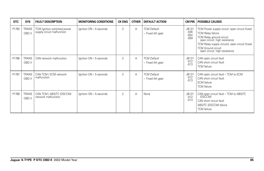| <b>DTC</b> | <b>SYS</b>             | <b>FAULT DESCRIPTION</b>                                  | <b>MONITORING CONDITIONS</b> | <b>CK ENG</b> | <b>OTHER</b> | <b>DEFAULT ACTION</b>                  | <b>CM PIN</b>                       | <b>POSSIBLE CAUSES</b>                                                                                                                                                                                                                                   |
|------------|------------------------|-----------------------------------------------------------|------------------------------|---------------|--------------|----------------------------------------|-------------------------------------|----------------------------------------------------------------------------------------------------------------------------------------------------------------------------------------------------------------------------------------------------------|
| P1793      | <b>TRANS</b><br>OBD II | TCM Ignition switched power<br>supply circuit malfunction | Ignition ON - 5 seconds      | 2             | A            | <b>TCM Default</b><br>- Fixed 4th gear | JB131<br>$-036$<br>$-054$<br>$-009$ | TCM Power supply circuit: open circuit (fuse)<br><b>TCM Relay failure</b><br>TCM Relay ground circuit:<br>open circuit, high resistance<br>TCM Relay supply circuits: open circuit (fuse)<br><b>TCM Ground circuit:</b><br>open circuit, high resistance |
| P1796      | <b>TRANS</b><br>OBD II | CAN network malfunction                                   | Ignition ON - 5 seconds      | 2             | A            | <b>TCM Default</b><br>- Fixed 4th gear | JB131<br>$-012$<br>$-013$           | CAN open circuit fault<br>CAN short circuit fault<br><b>TCM</b> failure                                                                                                                                                                                  |
| P1797      | <b>TRANS</b><br>OBD II | CAN TCM / ECM network<br>malfunction                      | Ignition ON - 5 seconds      | 2             | A            | <b>TCM Default</b><br>- Fixed 4th gear | JB131<br>$-012$<br>$-013$           | CAN open circuit fault - TCM to ECM<br>CAN short circuit fault<br><b>ECM</b> failure<br><b>TCM</b> failure                                                                                                                                               |
| P1799      | <b>TRANS</b><br>OBD II | CAN TCM / ABS/TC (DSCCM)<br>network malfunction           | Ignition ON - 5 seconds      | 2             | A            | None                                   | JB131<br>$-012$<br>$-013$           | CAN open circuit fault - TCM to ABS/TC<br>(DSCCM)<br>CAN short circuit fault<br>ABS/TC (DSCCM) failure<br><b>TCM</b> failure                                                                                                                             |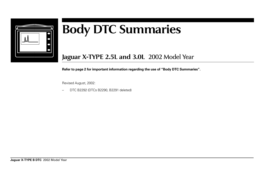

## **Body DTC Summaries**

**Jaguar X-TYPE 2.5L and 3.0L** 2002 Model Year

**Refer to page 2 for important information regarding the use of "Body DTC Summaries".**

Revised August, 2002:

– DTC B2292 (DTCs B2290, B2291 deleted)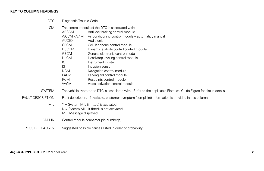## **KEY TO COLUMN HEADINGS**

DTC Diagnostic Trouble Code.

| CM                       |                          | The control module(s) the DTC is associated with:                                                                   |
|--------------------------|--------------------------|---------------------------------------------------------------------------------------------------------------------|
|                          | ABSCM                    | Anti-lock braking control module                                                                                    |
|                          | $A/CCM - A/M$            | Air conditioning control module – automatic / manual                                                                |
|                          | <b>AUDIO</b>             | Audio unit                                                                                                          |
|                          | <b>CPCM</b>              | Cellular phone control module                                                                                       |
|                          | <b>DSCCM</b>             | Dynamic stability control control module                                                                            |
|                          | <b>GECM</b>              | General electronic control module                                                                                   |
|                          | <b>HLCM</b>              | Headlamp leveling control module                                                                                    |
|                          | IC                       | Instrument cluster                                                                                                  |
|                          | IS.                      | Intrusion sensor                                                                                                    |
|                          | <b>NCM</b>               | Navigation control module                                                                                           |
|                          | <b>PACM</b>              | Parking aid control module                                                                                          |
|                          | <b>RCM</b>               | Restraints control module                                                                                           |
|                          | <b>VACM</b>              | Voice activation control module                                                                                     |
| <b>SYSTEM</b>            |                          | The vehicle system the DTC is associated with. Refer to the applicable Electrical Guide Figure for circuit details. |
| <b>FAULT DESCRIPTION</b> |                          | Fault description. If available, customer symptom (complaint) information is provided in this column.               |
| <b>MIL</b>               |                          | $Y = System MIL$ (if fitted) is activated.                                                                          |
|                          |                          | $N =$ System MIL (if fitted) is not activated.                                                                      |
|                          | $M =$ Message displayed. |                                                                                                                     |
| CM PIN                   |                          | Control module connector pin number(s)                                                                              |
|                          |                          |                                                                                                                     |
| POSSIBLE CAUSES          |                          | Suggested possible causes listed in order of probability.                                                           |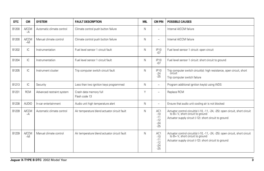| <b>DTC</b> | <b>CM</b>            | <b>SYSTEM</b>             | <b>FAULT DESCRIPTION</b>                     | <b>MIL</b> | <b>CM PIN</b>                                    | <b>POSSIBLE CAUSES</b>                                                                                                                                                     |
|------------|----------------------|---------------------------|----------------------------------------------|------------|--------------------------------------------------|----------------------------------------------------------------------------------------------------------------------------------------------------------------------------|
| B1200      | <b>A/CCM</b><br>$-A$ | Automatic climate control | Climate control push button failure          | N          | $\overline{\phantom{m}}$                         | Internal A/CCM failure                                                                                                                                                     |
| B1200      | <b>A/CCM</b><br>$-M$ | Manual climate control    | Climate control push button failure          | N          | $\overline{\phantom{a}}$                         | Internal A/CCM failure                                                                                                                                                     |
| B1202      | IC                   | Instrumentation           | Fuel level sensor 1 circuit fault            | N          | <b>IP10</b><br>$-07$                             | Fuel level sensor 1 circuit: open circuit                                                                                                                                  |
| B1204      | IC                   | Instrumentation           | Fuel level sensor 1 circuit fault            | N          | <b>IP10</b><br>$-07$                             | Fuel level sensor 1 circuit: short circuit to ground                                                                                                                       |
| B1205      | IC                   | Instrument cluster        | Trip computer switch circuit fault           | N          | <b>IP10</b><br>$-24$<br>$-25$                    | Trip computer switch circuit(s): high resistance, open circuit, short<br>circuit<br>Trip computer switch failure                                                           |
| B1213      | IC                   | Security                  | Less than two ignition keys programmed       | N          | $\overline{\phantom{a}}$                         | Program additional ignition key(s) using WDS                                                                                                                               |
| B1231      | <b>RCM</b>           | Advanced restraint system | Crash data memory full<br>Flash code 13      | Υ          | $\overline{\phantom{a}}$                         | Replace RCM                                                                                                                                                                |
| B1238      | <b>AUDIO</b>         | In-car entertainment      | Audio unit high temperature alert            | N          | $\overline{\phantom{a}}$                         | Ensure that audio unit cooling air is not blocked                                                                                                                          |
| B1239      | <b>A/CCM</b><br>$-A$ | Automatic climate control | Air temperature blend actuator circuit fault | N          | AC1<br>$-10$<br>$-11$<br>$-12$<br>$-24$<br>$-25$ | Actuator control circuit(s) (-10, -11, -24, -25): open circuit, short circuit<br>to B+V, short circuit to ground<br>Actuator supply circuit (-12): short circuit to ground |
| B1239      | <b>A/CCM</b><br>$-M$ | Manual climate control    | Air temperature blend actuator circuit fault | N          | AC1<br>$-10$<br>$-11$<br>$-12$<br>$-24$<br>$-25$ | Actuator control circuit(s) (-10, -11, -24, -25): open circuit, short circuit to B+ V, short circuit to ground<br>Actuator supply circuit (-12): short circuit to ground   |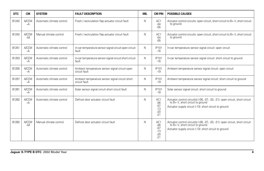| <b>DTC</b> | <b>CM</b>            | <b>SYSTEM</b>             | <b>FAULT DESCRIPTION</b>                                         | <b>MIL</b> | <b>CM PIN</b>                                    | <b>POSSIBLE CAUSES</b>                                                                                                                                                      |
|------------|----------------------|---------------------------|------------------------------------------------------------------|------------|--------------------------------------------------|-----------------------------------------------------------------------------------------------------------------------------------------------------------------------------|
| B1242      | <b>A/CCM</b><br>$-A$ | Automatic climate control | Fresh / recirculation flap actuator circuit fault                | N          | AC1<br>$-04$<br>$-0.5$                           | Actuator control circuits: open circuit, short circuit to B+V, short circuit<br>to ground                                                                                   |
| B1242      | <b>A/CCM</b><br>$-M$ | Manual climate control    | Fresh / recirculation flap actuator circuit fault                | N          | AC1<br>$-04$<br>$-05$                            | Actuator control circuits: open circuit, short circuit to B+V, short circuit<br>to ground                                                                                   |
| B1251      | <b>A/CCM</b><br>$-A$ | Automatic climate control | In-car temperature sensor signal circuit open circuit<br>fault   | N          | <b>IP101</b><br>$-16$                            | In-car temperature sensor signal circuit: open circuit                                                                                                                      |
| B1253      | <b>A/CCM</b><br>$-A$ | Automatic climate control | In-car temperature sensor signal circuit short circuit<br>fault  | N          | IP101<br>$-16$                                   | In-car temperature sensor signal circuit: short circuit to ground                                                                                                           |
| B1255      | <b>A/CCM</b><br>$-A$ | Automatic climate control | Ambient temperature sensor signal circuit open<br>circuit fault  | N          | <b>IP101</b><br>$-19$                            | Ambient temperature sensor signal circuit: open circuit                                                                                                                     |
| B1257      | <b>A/CCM</b><br>$-A$ | Automatic climate control | Ambient temperature sensor signal circuit short<br>circuit fault | N          | <b>IP101</b><br>$-19$                            | Ambient temperature sensor signal circuit: short circuit to ground                                                                                                          |
| B1261      | <b>A/CCM</b><br>$-A$ | Automatic climate control | Solar sensor signal circuit short circuit fault                  | N          | IP101<br>$-18$                                   | Solar sensor signal circuit: short circuit to ground                                                                                                                        |
| B1262      | <b>A/CCM</b><br>$-A$ | Automatic climate control | Defrost door actuator circuit fault                              | N          | AC1<br>$-06$<br>$-07$<br>$-13$<br>$-20$<br>$-21$ | Actuator control circuit(s) (-06, -07, -20, -21): open circuit, short circuit<br>to B+ V, short circuit to ground<br>Actuator supply circuit (-13): short circuit to ground |
| B1262      | <b>A/CCM</b><br>$-M$ | Manual climate control    | Defrost door actuator circuit fault                              | N          | AC1<br>$-06$<br>$-07$<br>$-13$<br>$-20$<br>$-21$ | Actuator control circuit(s) (-06, -07, -20, -21): open circuit, short circuit<br>to B+ V, short circuit to ground<br>Actuator supply circuit (-13): short circuit to ground |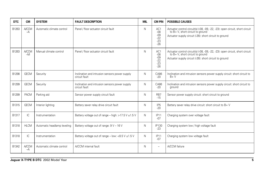| <b>DTC</b> | <b>CM</b>            | <b>SYSTEM</b>               | <b>FAULT DESCRIPTION</b>                                        | <b>MIL</b> | <b>CM PIN</b>                                    | <b>POSSIBLE CAUSES</b>                                                                                                                                                      |
|------------|----------------------|-----------------------------|-----------------------------------------------------------------|------------|--------------------------------------------------|-----------------------------------------------------------------------------------------------------------------------------------------------------------------------------|
| B1263      | <b>A/CCM</b><br>$-A$ | Automatic climate control   | Panel / floor actuator circuit fault                            | N          | AC1<br>$-08$<br>$-09$<br>$-22$<br>$-23$<br>$-26$ | Actuator control circuit(s) (-08, -09, -22, -23): open circuit, short circuit<br>to B+ V, short circuit to ground<br>Actuator supply circuit (-26): short circuit to ground |
| B1263      | <b>A/CCM</b><br>$-M$ | Manual climate control      | Panel / floor actuator circuit fault                            | N          | AC1<br>$-08$<br>$-09$<br>$-22$<br>$-23$<br>$-26$ | Actuator control circuit(s) (-08, -09, -22, -23): open circuit, short circuit<br>to B+ V, short circuit to ground<br>Actuator supply circuit (-26): short circuit to ground |
| B1298      | <b>GECM</b>          | Security                    | Inclination and intrusion sensors power supply<br>circuit fault | N          | CA86<br>$-20$                                    | Inclination and intrusion sensors power supply circuit: short circuit to<br>$B + V$                                                                                         |
| B1299      | <b>GECM</b>          | Security                    | Inclination and intrusion sensors power supply<br>circuit fault | N          | CA86<br>$-20$                                    | Inclination and intrusion sensors power supply circuit: short circuit to<br>ground                                                                                          |
| B1299      | <b>PACM</b>          | Parking aid                 | Sensor power supply circuit fault                               | N          | RB7<br>$-15$                                     | Sensor power supply circuit: short circuit to ground                                                                                                                        |
| B1315      | <b>GECM</b>          | Interior lighting           | Battery saver relay drive circuit fault                         | N          | IP <sub>5</sub><br>$-20$                         | Battery saver relay drive circuit: short circuit to B+V                                                                                                                     |
| B1317      | IC                   | Instrumentation             | Battery voltage out of range – high: $>17.5$ V $\pm$ 1.5 V      | N          | IP11<br>$-07$                                    | Charging system over voltage fault                                                                                                                                          |
| B1318      | <b>HLCM</b>          | Automatic headlamp leveling | Battery voltage out of range: 9 V - 16 V                        | N          | IP130<br>$-23$                                   | Charging system low / high voltage fault                                                                                                                                    |
| B1318      | IC                   | Instrumentation             | Battery voltage out of range - low: <8.5 V $\pm$ 1.5 V          | N          | IP11<br>$-07$                                    | Charging system low voltage fault                                                                                                                                           |
| B1342      | <b>A/CCM</b><br>$-A$ | Automatic climate control   | A/CCM internal fault                                            | N          | $\equiv$                                         | A/CCM failure                                                                                                                                                               |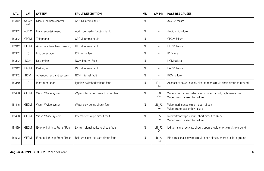| <b>DTC</b> | <b>CM</b>            | <b>SYSTEM</b>                   | <b>FAULT DESCRIPTION</b>                | <b>MIL</b>   | <b>CM PIN</b>            | <b>POSSIBLE CAUSES</b>                                                                            |
|------------|----------------------|---------------------------------|-----------------------------------------|--------------|--------------------------|---------------------------------------------------------------------------------------------------|
| B1342      | <b>A/CCM</b><br>$-M$ | Manual climate control          | A/CCM internal fault                    | N            | -                        | A/CCM failure                                                                                     |
| B1342      | <b>AUDIO</b>         | In-car entertainment            | Audio unit radio function fault         | $\mathsf{N}$ | $=$                      | Audio unit failure                                                                                |
| B1342      | <b>CPCM</b>          | Telephone                       | CPCM internal fault                     | N            | $\overline{\phantom{0}}$ | <b>CPCM</b> failure                                                                               |
| B1342      | <b>HLCM</b>          | Automatic headlamp leveling     | HLCM internal fault                     | N            | -                        | <b>HLCM</b> failure                                                                               |
| B1342      | IC                   | Instrumentation                 | IC internal fault                       | N            | $\overline{\phantom{0}}$ | IC failure                                                                                        |
| B1342      | <b>NCM</b>           | Navigation                      | NCM internal fault                      | N            | -                        | <b>NCM</b> failure                                                                                |
| B1342      | PACM                 | Parking aid                     | PACM internal fault                     | N            | $\overline{\phantom{0}}$ | PACM failure                                                                                      |
| B1342      | <b>RCM</b>           | Advanced restraint system       | RCM internal fault                      | N            | -                        | <b>RCM</b> failure                                                                                |
| B1359      | IC                   | Instrumentation                 | Ignition switched voltage fault         | N            | IP11<br>$-13$            | Accessory power supply circuit: open circuit, short circuit to ground                             |
| B1438      | <b>GECM</b>          | Wash / Wipe system              | Wiper intermittent select circuit fault | N            | IP <sub>6</sub><br>$-04$ | Wiper intermittent select circuit: open circuit, high resistance<br>Wiper switch assembly failure |
| B1446      | <b>GECM</b>          | Wash / Wipe system              | Wiper park sense circuit fault          | N            | <b>JB172</b><br>$-02$    | Wiper park sense circuit: open circuit<br>Wiper motor assembly failure                            |
| B1450      | <b>GECM</b>          | Wash / Wipe system              | Intermittent wipe circuit fault         | N            | IP <sub>5</sub><br>$-04$ | Intermittent wipe circuit: short circuit to B+V<br>Wiper switch assembly failure                  |
| B1499      | <b>GECM</b>          | Exterior lighting: Front / Rear | LH turn signal activate circuit fault   | N            | <b>JB172</b><br>$-04$    | LH turn signal activate circuit: open circuit, short circuit to ground                            |
| B1503      | <b>GECM</b>          | Exterior lighting: Front / Rear | RH turn signal activate circuit fault   | N            | <b>JB172</b><br>$-03$    | RH turn signal activate circuit: open circuit, short circuit to ground                            |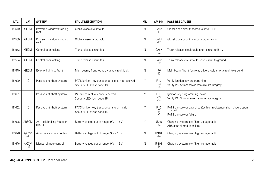| <b>DTC</b> | <b>CM</b>            | <b>SYSTEM</b>                           | <b>FAULT DESCRIPTION</b>                                                        | <b>MIL</b> | <b>CM PIN</b>                 | <b>POSSIBLE CAUSES</b>                                                                                        |
|------------|----------------------|-----------------------------------------|---------------------------------------------------------------------------------|------------|-------------------------------|---------------------------------------------------------------------------------------------------------------|
| B1549      | <b>GECM</b>          | Powered windows; sliding<br>roof        | Global close circuit fault                                                      | N          | CA87<br>$-17$                 | Global close circuit: short circuit to B+ V                                                                   |
| B1550      | <b>GECM</b>          | Powered windows; sliding<br>roof        | Global close circuit fault                                                      | N          | CA87<br>$-17$                 | Global close circuit: short circuit to ground                                                                 |
| B1553      | <b>GECM</b>          | Central door locking                    | Trunk release circuit fault                                                     | N          | CA87<br>$-02$                 | Trunk release circuit fault: short circuit to B+V                                                             |
| B1554      | <b>GECM</b>          | Central door locking                    | Trunk release circuit fault                                                     | N          | CA87<br>$-02$                 | Trunk release circuit fault: short circuit to ground                                                          |
| B1570      | <b>GECM</b>          | Exterior lighting: Front                | Main beam / front fog relay drive circuit fault                                 | N          | IP <sub>6</sub><br>$-13$      | Main beam / front fog relay drive circuit: short circuit to ground                                            |
| B1600      | IC                   | Passive anti-theft system               | PATS ignition key transponder signal not received<br>Security LED flash code 13 | Υ          | IP10<br>$-03$<br>$-04$        | Verify ignition key programming<br>Verify PATS transceiver data circuits integrity                            |
| B1601      | IC                   | Passive anti-theft system               | PATS incorrect key code received<br>Security LED flash code 15                  | Υ          | <b>IP10</b><br>$-03$<br>$-04$ | Ignition key programming invalid<br>Verify PATS transceiver data circuits integrity                           |
| B1602      | IC                   | Passive anti-theft system               | PATS ignition key transponder signal invalid<br>Security LED flash code 14      | Υ          | <b>IP10</b><br>$-03$<br>$-04$ | PATS transceiver data circuit(s): high resistance, short circuit, open<br>circuit<br>PATS transceiver failure |
| B1676      | ABSCM                | Anti-lock braking / traction<br>control | Battery voltage out of range: 9 V - 16 V                                        | Υ          | <b>JB45</b><br>$-23$          | Charging system low / high voltage fault<br>ABS control module failure                                        |
| B1676      | <b>A/CCM</b><br>$-A$ | Automatic climate control               | Battery voltage out of range: 9 V - 16 V                                        | N          | IP101<br>$-14$                | Charging system low / high voltage fault                                                                      |
| B1676      | <b>A/CCM</b><br>$-M$ | Manual climate control                  | Battery voltage out of range: 9 V - 16 V                                        | N          | IP101<br>$-14$                | Charging system low / high voltage fault                                                                      |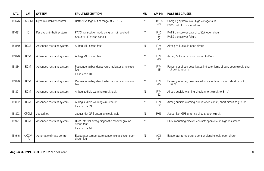| <b>DTC</b> | <b>CM</b>            | <b>SYSTEM</b>             | <b>FAULT DESCRIPTION</b>                                                        | <b>MIL</b> | <b>CM PIN</b>                 | <b>POSSIBLE CAUSES</b>                                                                        |
|------------|----------------------|---------------------------|---------------------------------------------------------------------------------|------------|-------------------------------|-----------------------------------------------------------------------------------------------|
| B1676      | <b>DSCCM</b>         | Dynamic stability control | Battery voltage out of range: 9 V - 16 V                                        | Υ          | JB185<br>$-23$                | Charging system low / high voltage fault<br>DSC control module failure                        |
| B1681      | IC.                  | Passive anti-theft system | PATS transceiver module signal not received<br>Security LED flash code 11       | Y          | <b>IP10</b><br>$-03$<br>$-04$ | PATS transceiver data circuit(s): open circuit<br>PATS transceiver failure                    |
| B1869      | <b>RCM</b>           | Advanced restraint system | Airbag MIL circuit fault                                                        | N          | IP74<br>$-19$                 | Airbag MIL circuit: open circuit                                                              |
| B1870      | <b>RCM</b>           | Advanced restraint system | Airbag MIL circuit fault                                                        | Υ          | IP74<br>$-19$                 | Airbag MIL circuit: short circuit to B+ V                                                     |
| B1884      | <b>RCM</b>           | Advanced restraint system | Passenger airbag deactivated indicator lamp circuit<br>fault<br>Flash code 18   | Υ          | IP74<br>$-15$                 | Passenger airbag deactivated indicator lamp circuit: open circuit, short<br>circuit to ground |
| B1890      | <b>RCM</b>           | Advanced restraint system | Passenger airbag deactivated indicator lamp circuit<br>fault                    | Y          | IP74<br>$-15$                 | Passenger airbag deactivated indicator lamp circuit: short circuit to<br>$B + V$              |
| B1891      | <b>RCM</b>           | Advanced restraint system | Airbag audible warning circuit fault                                            | N          | IP74<br>$-22$                 | Airbag audible warning circuit: short circuit to B+ V                                         |
| B1892      | <b>RCM</b>           | Advanced restraint system | Airbag audible warning circuit fault<br>Flash code 53                           | Y          | IP74<br>$-22$                 | Airbag audible warning circuit: open circuit, short circuit to ground                         |
| B1893      | <b>CPCM</b>          | <b>JaquarNet</b>          | Jaguar Net GPS antenna circuit fault                                            | N          | PH <sub>5</sub>               | Jaguar Net GPS antenna circuit: open circuit                                                  |
| B1921      | <b>RCM</b>           | Advanced restraint system | RCM internal airbag diagnostic monitor ground<br>circuit fault<br>Flash code 14 | Υ          | $\overline{\phantom{m}}$      | RCM mounting bracket contact: open circuit, high resistance                                   |
| B1946      | <b>A/CCM</b><br>$-A$ | Automatic climate control | Evaporator temperature sensor signal circuit open<br>circuit fault              | N          | AC1<br>$-14$                  | Evaporator temperature sensor signal circuit: open circuit                                    |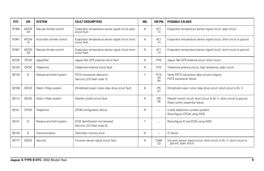| <b>DTC</b> | <b>CM</b>            | <b>SYSTEM</b>             | <b>FAULT DESCRIPTION</b>                                            | <b>MIL</b> | <b>CM PIN</b>             | <b>POSSIBLE CAUSES</b>                                                                                |
|------------|----------------------|---------------------------|---------------------------------------------------------------------|------------|---------------------------|-------------------------------------------------------------------------------------------------------|
| B1946      | <b>A/CCM</b><br>$-M$ | Manual climate control    | Evaporator temperature sensor signal circuit open<br>circuit fault  | Ν          | AC1<br>$-14$              | Evaporator temperature sensor signal circuit: open circuit                                            |
| B1947      | <b>A/CCM</b><br>$-A$ | Automatic climate control | Evaporator temperature sensor signal circuit short<br>circuit fault | Ν          | AC1<br>$-14$              | Evaporator temperature sensor signal circuit: short circuit to ground                                 |
| B1947      | <b>A/CCM</b><br>$-M$ | Manual climate control    | Evaporator temperature sensor signal circuit short<br>circuit fault | Ν          | AC1<br>$-14$              | Evaporator temperature sensor signal circuit: short circuit to ground                                 |
| B2102      | <b>CPCM</b>          | JaquarNet                 | Jaguar Net GPS antenna circuit fault                                | Ν          | PH <sub>5</sub>           | Jaguar Net GPS antenna circuit: short circuit                                                         |
| B2103      | <b>CPCM</b>          | Telephone                 | Telephone antenna circuit fault                                     | N          | PH <sub>3</sub>           | Telephone antenna circuit: high resistance, open circuit                                              |
| B2103      | IC                   | Passive anti-theft system | PATS transceiver data error<br>Security LED flash code 12           | Υ          | IP10<br>$-03$<br>$-04$    | Verify PATS transceiver data circuits integrity<br>PATS transceiver failure                           |
| B2108      | <b>GECM</b>          | Wash / Wipe system        | Windshield wiper motor relay drive circuit fault                    | Ν          | IP <sub>5</sub><br>$-21$  | Windshield wiper motor relay drive circuit: short circuit to B+V                                      |
| B2114      | <b>GECM</b>          | Wash / Wipe system        | Washer switch circuit fault                                         | Ν          | IP <sub>6</sub><br>$-0.5$ | Washer switch circuit: short circuit to B+V, short circuit to ground<br>Wiper switch assembly failure |
| B2141      | <b>CPCM</b>          | Telephone                 | CPCM configuration failure                                          | Ν          | $\equiv$                  | Invalid telephone numbers present<br>Reconfigure CPCM using WDS                                       |
| B2141      | IC                   | Passive anti-theft system | ECM identification not received<br>Security LED flash code 22       | Υ          |                           | Reconfigure IC and ECM using WDS                                                                      |
| B2143      | IC                   | Instrumentation           | Odometer memory error                                               | Ν          |                           | IC failure                                                                                            |
| B2177      | <b>GECM</b>          | Security                  | Intrusion sensor signal circuit fault                               | N          | CA86<br>$-23$             | Intrusion sensor signal circuit: short circuit to B+V, short circuit to<br>ground, open circuit       |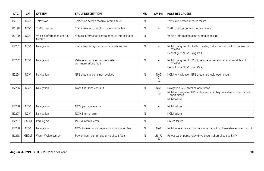| <b>DTC</b> | <b>CM</b>   | <b>SYSTEM</b>                         | <b>FAULT DESCRIPTION</b>                                   | <b>MIL</b> | <b>CM PIN</b>            | <b>POSSIBLE CAUSES</b>                                                                                                                     |
|------------|-------------|---------------------------------------|------------------------------------------------------------|------------|--------------------------|--------------------------------------------------------------------------------------------------------------------------------------------|
| B2197      | <b>NCM</b>  | Television                            | Television screen module internal fault                    | Ν          | $\overline{a}$           | Television screen module failure                                                                                                           |
| B2198      | <b>NCM</b>  | Traffic master                        | Traffic master control module internal fault               | N          | ۳                        | Traffic master control module failure                                                                                                      |
| B2199      | <b>NCM</b>  | Vehicle information control<br>system | Vehicle information control module internal fault          | N          | $\overline{a}$           | Vehicle information control module failure                                                                                                 |
| B2201      | <b>NCM</b>  | Navigation                            | Traffic master system communications fault                 | N          | ۳                        | NCM configured for traffic master; traffic master control module not<br>installed<br>Reconfigure NCM using WDS                             |
| B2202      | <b>NCM</b>  | Navigation                            | Vehicle information control system<br>communications fault | Ν          | $\overline{\phantom{0}}$ | NCM configured for VICS; vehicle information control module not<br>installed<br>Reconfigure NCM using WDS                                  |
| B2204      | <b>NCM</b>  | Navigation                            | GPS antenna signal not received                            | Ν          | NA6<br>$-01$<br>$-02$    | NCM to Navigation GPS antenna circuit: open circuit                                                                                        |
| B2205      | <b>NCM</b>  | Navigation                            | NCM GPS receiver fault                                     | N          | NA6<br>$-01$<br>$-02$    | Navigation GPS antenna obstructed<br>NCM to Navigation GPS antenna circuit: high resistance, open circuit,<br>short circuit<br>NCM failure |
| B2206      | <b>NCM</b>  | Navigation                            | NCM gyroscope error                                        | N          | $\overline{\phantom{0}}$ | <b>NCM</b> failure                                                                                                                         |
| B2207      | <b>NCM</b>  | Navigation                            | NCM internal error                                         | N          | ۳                        | <b>NCM</b> failure                                                                                                                         |
| B2207      | <b>PACM</b> | Parking aid                           | PACM internal error                                        | Ν          | ۳                        | PACM failure                                                                                                                               |
| B2208      | <b>NCM</b>  | Navigation                            | NCM to telematics display communication fault              | Ν          | NA <sub>1</sub>          | NCM to telematics communication circuit: high resistance, open circuit                                                                     |
| B2258      | <b>GECM</b> | Wash / Wipe system                    | Power wash pump relay drive circuit fault                  | Ν          | <b>JB172</b><br>$-23$    | Power wash pump relay drive circuit: short circuit to B+V                                                                                  |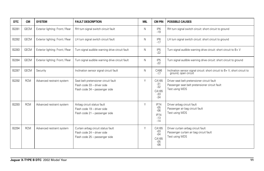| <b>DTC</b> | <b>CM</b>   | <b>SYSTEM</b>                   | <b>FAULT DESCRIPTION</b>                                                                              | <b>MIL</b> | <b>CM PIN</b>                                      | <b>POSSIBLE CAUSES</b>                                                                                          |
|------------|-------------|---------------------------------|-------------------------------------------------------------------------------------------------------|------------|----------------------------------------------------|-----------------------------------------------------------------------------------------------------------------|
| B2281      | <b>GECM</b> | Exterior lighting: Front / Rear | RH turn signal switch circuit fault                                                                   | N          | IP <sub>6</sub><br>$-19$                           | RH turn signal switch circuit: short circuit to ground                                                          |
| B2282      | <b>GECM</b> | Exterior lighting: Front / Rear | LH turn signal switch circuit fault                                                                   | N          | IP <sub>6</sub><br>$-17$                           | LH turn signal switch circuit: short circuit to ground                                                          |
| B2283      | <b>GECM</b> | Exterior lighting: Front / Rear | Turn signal audible warning drive circuit fault                                                       | N          | IP <sub>5</sub><br>$-22$                           | Turn signal audible warning drive circuit: short circuit to B+ V                                                |
| B2284      | <b>GECM</b> | Exterior lighting: Front / Rear | Turn signal audible warning drive circuit fault                                                       | N          | IP <sub>5</sub><br>$-22$                           | Turn signal audible warning drive circuit: short circuit to ground                                              |
| B2287      | <b>GECM</b> | Security                        | Inclination sensor signal circuit fault                                                               | N          | CA86<br>$-17$                                      | Inclination sensor signal circuit: short circuit to B+ V, short circuit to<br>ground, open circuit              |
| B2292      | <b>RCM</b>  | Advanced restraint system       | Seat belt pretensioner circuit fault<br>Flash code 33 - driver side<br>Flash code 34 - passenger side | Y          | CA165<br>$-31$<br>$-32$<br>CA165<br>$-33$<br>$-34$ | Driver seat belt pretensioner circuit fault<br>Passenger seat belt pretensioner circuit fault<br>Test using WDS |
| B2293      | <b>RCM</b>  | Advanced restraint system       | Airbag circuit status fault<br>Flash code 19 - driver side<br>Flash code 21 - passenger side          | Υ          | IP74<br>$-05$<br>$-06$<br>IP74<br>$-13$<br>$-14$   | Driver airbag circuit fault<br>Passenger air bag circuit fault<br>Test using WDS                                |
| B2294      | <b>RCM</b>  | Advanced restraint system       | Curtain airbag circuit status fault<br>Flash code 24 - driver side<br>Flash code 25 - passenger side  | Υ          | CA165<br>$-03$<br>$-04$<br>CA165<br>$-05$<br>$-06$ | Driver curtain airbag circuit fault<br>Passenger curtain air bag circuit fault<br>Test using WDS                |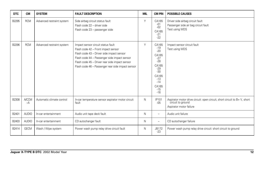| <b>DTC</b> | <b>CM</b>            | <b>SYSTEM</b>             | <b>FAULT DESCRIPTION</b>                                                                                                                                                                                                                                                      | <b>MIL</b> | <b>CM PIN</b>                                                                                                                       | <b>POSSIBLE CAUSES</b>                                                                                                    |
|------------|----------------------|---------------------------|-------------------------------------------------------------------------------------------------------------------------------------------------------------------------------------------------------------------------------------------------------------------------------|------------|-------------------------------------------------------------------------------------------------------------------------------------|---------------------------------------------------------------------------------------------------------------------------|
| B2295      | <b>RCM</b>           | Advanced restraint system | Side airbag circuit status fault<br>Flash code 22 - driver side<br>Flash code 23 - passenger side                                                                                                                                                                             | Y          | CA165<br>$-01$<br>$-02$<br>CA165<br>$-21$<br>$-22$                                                                                  | Driver side airbag circuit fault<br>Passenger side air bag circuit fault<br>Test using WDS                                |
| B2296      | <b>RCM</b>           | Advanced restraint system | Impact sensor circuit status fault<br>Flash code 42 - Front impact sensor<br>Flash code 43 - Driver side impact sensor<br>Flash code 44 - Passenger side impact sensor<br>Flash code 45 - Driver rear side impact sensor<br>Flash code 46 - Passenger rear side impact sensor | Y          | CA165<br>$-19$<br>$-20$<br>CA165<br>$-27$<br>$-28$<br>CA165<br>$-29$<br>$-30$<br>CA165<br>$-13$<br>$-14$<br>CA165<br>$-15$<br>$-16$ | Impact sensor circuit fault<br>Test using WDS                                                                             |
| B2308      | <b>A/CCM</b><br>$-A$ | Automatic climate control | In-car temperature sensor aspirator motor circuit<br>fault                                                                                                                                                                                                                    | N          | IP101<br>$-0.5$                                                                                                                     | Aspirator motor drive circuit: open circuit, short circuit to B+ V, short<br>circuit to ground<br>Aspirator motor failure |
| B2401      | <b>AUDIO</b>         | In-car entertainment      | Audio unit tape deck fault                                                                                                                                                                                                                                                    | N          | $\overline{\phantom{0}}$                                                                                                            | Audio unit failure                                                                                                        |
| B2403      | <b>AUDIO</b>         | In-car entertainment      | CD autochanger fault                                                                                                                                                                                                                                                          | N          | ۰                                                                                                                                   | CD autochanger failure                                                                                                    |
| B2414      | <b>GECM</b>          | Wash / Wipe system        | Power wash pump relay drive circuit fault                                                                                                                                                                                                                                     | Ν          | <b>JB172</b><br>$-23$                                                                                                               | Power wash pump relay drive circuit: short circuit to ground                                                              |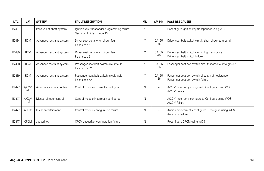| <b>DTC</b> | <b>CM</b>            | <b>SYSTEM</b>             | <b>FAULT DESCRIPTION</b>                                                   | <b>MIL</b> | <b>CM PIN</b>            | <b>POSSIBLE CAUSES</b>                                                                    |
|------------|----------------------|---------------------------|----------------------------------------------------------------------------|------------|--------------------------|-------------------------------------------------------------------------------------------|
| B2431      | IC                   | Passive anti-theft system | Ignition key transponder programming failure<br>Security LED flash code 13 | Υ          | $\overline{\phantom{0}}$ | Reconfigure ignition key transponder using WDS                                            |
| B2434      | <b>RCM</b>           | Advanced restraint system | Driver seat belt switch circuit fault<br>Flash code 51                     | Υ          | CA165<br>$-25$           | Driver seat belt switch circuit: short circuit to ground                                  |
| B2435      | <b>RCM</b>           | Advanced restraint system | Driver seat belt switch circuit fault<br>Flash code 51                     | Υ          | CA165<br>$-25$           | Driver seat belt switch circuit: high resistance<br>Driver seat belt switch failure       |
| B2438      | <b>RCM</b>           | Advanced restraint system | Passenger seat belt switch circuit fault<br>Flash code 52                  | Υ          | CA165<br>$-26$           | Passenger seat belt switch circuit: short circuit to ground                               |
| B2439      | <b>RCM</b>           | Advanced restraint system | Passenger seat belt switch circuit fault<br>Flash code 52                  | Υ          | CA165<br>$-26$           | Passenger seat belt switch circuit: high resistance<br>Passenger seat belt switch failure |
| B2477      | <b>A/CCM</b><br>$-A$ | Automatic climate control | Control module incorrectly configured                                      | N          | $\overline{\phantom{0}}$ | A/CCM incorrectly configured. Configure using WDS.<br>A/CCM failure                       |
| B2477      | <b>A/CCM</b><br>$-M$ | Manual climate control    | Control module incorrectly configured                                      | N          | $\overline{\phantom{0}}$ | A/CCM incorrectly configured. Configure using WDS.<br>A/CCM failure                       |
| B2477      | <b>AUDIO</b>         | In-car entertainment      | Control module configuration failure                                       | N          | $\overline{\phantom{0}}$ | Audio unit incorrectly configured. Configure using WDS.<br>Audio unit failure             |
| B2477      | <b>CPCM</b>          | JaguarNet                 | CPCM JaguarNet configuration failure                                       | Ν          | $\overline{\phantom{0}}$ | Reconfigure CPCM using WDS                                                                |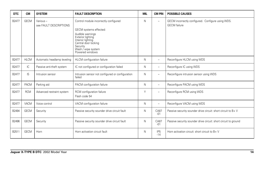| <b>DTC</b> | <b>CM</b>   | <b>SYSTEM</b>                      | <b>FAULT DESCRIPTION</b>                                                                                                                                                                                   | <b>MIL</b> | <b>CM PIN</b>            | <b>POSSIBLE CAUSES</b>                                                   |
|------------|-------------|------------------------------------|------------------------------------------------------------------------------------------------------------------------------------------------------------------------------------------------------------|------------|--------------------------|--------------------------------------------------------------------------|
| B2477      | <b>GECM</b> | Various-<br>see FAULT DESCRIPTIONS | Control module incorrectly configured<br>GECM systems effected:<br>Audible warnings<br>Exterior lighting<br>Interior lighting<br>Central door locking<br>Security<br>Wash / wipe system<br>Powered windows | N          | ÷                        | GECM incorrectly configured. Configure using WDS.<br><b>GECM</b> failure |
| B2477      | <b>HLCM</b> | Automatic headlamp leveling        | HLCM configuration failure                                                                                                                                                                                 | N          | -                        | Reconfigure HLCM using WDS                                               |
| B2477      | IC          | Passive anti-theft system          | IC not configured or configuration failed                                                                                                                                                                  | N          | L.                       | Reconfigure IC using WDS                                                 |
| B2477      | IS          | Intrusion sensor                   | Intrusion sensor not configured or configuration<br>failed                                                                                                                                                 | N          | $\overline{\phantom{0}}$ | Reconfigure intrusion sensor using WDS                                   |
| B2477      | PACM        | Parking aid                        | PACM configuration failure                                                                                                                                                                                 | N          | $\overline{\phantom{0}}$ | Reconfigure PACM using WDS                                               |
| B2477      | <b>RCM</b>  | Advanced restraint system          | RCM configuration failure<br>Flash code 54                                                                                                                                                                 | Υ          | $\overline{\phantom{0}}$ | Reconfigure RCM using WDS                                                |
| B2477      | VACM        | Voice control                      | VACM configuration failure                                                                                                                                                                                 | N          | $\overline{\phantom{0}}$ | Reconfigure VACM using WDS                                               |
| B2494      | <b>GECM</b> | Security                           | Passive security sounder drive circuit fault                                                                                                                                                               | N          | CA87<br>$-01$            | Passive security sounder drive circuit: short circuit to B+V             |
| B2496      | <b>GECM</b> | Security                           | Passive security sounder drive circuit fault                                                                                                                                                               | N          | <b>CA87</b><br>$-01$     | Passive security sounder drive circuit: short circuit to ground          |
| B2511      | <b>GECM</b> | Horn                               | Horn activation circuit fault                                                                                                                                                                              | N          | IP <sub>5</sub><br>$-14$ | Horn activation circuit: short circuit to $B + V$                        |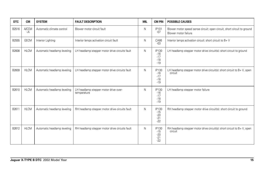| <b>DTC</b> | <b>CM</b>            | <b>SYSTEM</b>               | <b>FAULT DESCRIPTION</b>                             | <b>MIL</b> | <b>CM PIN</b>                                    | <b>POSSIBLE CAUSES</b>                                                                          |
|------------|----------------------|-----------------------------|------------------------------------------------------|------------|--------------------------------------------------|-------------------------------------------------------------------------------------------------|
| B2516      | <b>A/CCM</b><br>$-A$ | Automatic climate control   | Blower motor circuit fault                           | N          | <b>IP101</b><br>$-07$                            | Blower motor speed sense circuit: open circuit, short circuit to ground<br>Blower motor failure |
| B2555      | <b>GECM</b>          | Interior Lighting           | Interior lamps activation circuit fault              | N          | CA86<br>$-03$                                    | Interior lamps activation circuit: short circuit to B+ V                                        |
| B2608      | <b>HLCM</b>          | Automatic headlamp leveling | LH headlamp stepper motor drive circuits fault       | N          | <b>IP130</b><br>$-16$<br>$-17$<br>$-18$<br>$-19$ | LH headlamp stepper motor drive circuit(s): short circuit to ground                             |
| B2609      | <b>HLCM</b>          | Automatic headlamp leveling | LH headlamp stepper motor drive circuits fault       | N          | IP130<br>$-16$<br>$-17$<br>$-18$<br>$-19$        | LH headlamp stepper motor drive circuit(s): short circuit to B+V, open<br>circuit               |
| B2610      | <b>HLCM</b>          | Automatic headlamp leveling | LH headlamp stepper motor drive over-<br>temperature | N          | <b>IP130</b><br>$-16$<br>$-17$<br>$-18$<br>$-19$ | LH headlamp stepper motor failure                                                               |
| B2611      | <b>HLCM</b>          | Automatic headlamp leveling | RH headlamp stepper motor drive circuits fault       | N          | IP130<br>$-15$<br>$-20$<br>$-21$<br>$-22$        | RH headlamp stepper motor drive circuit(s): short circuit to ground                             |
| B2612      | <b>HLCM</b>          | Automatic headlamp leveling | RH headlamp stepper motor drive circuits fault       | N          | IP130<br>$-15$<br>$-20$<br>$-21$<br>$-22$        | RH headlamp stepper motor drive circuit(s): short circuit to B+V, open<br>circuit               |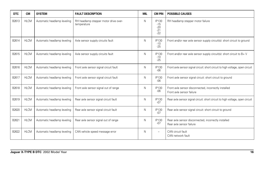| <b>DTC</b> | <b>CM</b>   | <b>SYSTEM</b>               | <b>FAULT DESCRIPTION</b>                             | <b>MIL</b> | <b>CM PIN</b>                                    | <b>POSSIBLE CAUSES</b>                                                             |
|------------|-------------|-----------------------------|------------------------------------------------------|------------|--------------------------------------------------|------------------------------------------------------------------------------------|
| B2613      | <b>HLCM</b> | Automatic headlamp leveling | RH headlamp stepper motor drive over-<br>temperature | N          | <b>IP130</b><br>$-15$<br>$-20$<br>$-21$<br>$-22$ | RH headlamp stepper motor failure                                                  |
| B2614      | <b>HLCM</b> | Automatic headlamp leveling | Axle sensor supply circuits fault                    | N          | IP130<br>$-10$<br>$-25$                          | Front and/or rear axle sensor supply circuit(s): short circuit to ground           |
| B2615      | <b>HLCM</b> | Automatic headlamp leveling | Axle sensor supply circuits fault                    | N          | <b>IP130</b><br>$-10$<br>$-25$                   | Front and/or rear axle sensor supply circuit(s): short circuit to $B + V$          |
| B2616      | <b>HLCM</b> | Automatic headlamp leveling | Front axle sensor signal circuit fault               | N          | <b>IP130</b><br>$-06$                            | Front axle sensor signal circuit: short circuit to high voltage, open circuit      |
| B2617      | <b>HLCM</b> | Automatic headlamp leveling | Front axle sensor signal circuit fault               | N          | <b>IP130</b><br>$-06$                            | Front axle sensor signal circuit: short circuit to ground                          |
| B2618      | <b>HLCM</b> | Automatic headlamp leveling | Front axle sensor signal out of range                | N          | <b>IP130</b><br>$-06$                            | Front axle sensor disconnected, incorrectly installed<br>Front axle sensor failure |
| B2619      | <b>HLCM</b> | Automatic headlamp leveling | Rear axle sensor signal circuit fault                | N          | <b>IP130</b><br>$-07$                            | Rear axle sensor signal circuit: short circuit to high voltage, open circuit       |
| B2620      | <b>HLCM</b> | Automatic headlamp leveling | Rear axle sensor signal circuit fault                | N          | <b>IP130</b><br>$-07$                            | Rear axle sensor signal circuit: short circuit to ground                           |
| B2621      | <b>HLCM</b> | Automatic headlamp leveling | Rear axle sensor signal out of range                 | N          | <b>IP130</b><br>$-07$                            | Rear axle sensor disconnected, incorrectly installed<br>Rear axle sensor failure   |
| B2622      | <b>HLCM</b> | Automatic headlamp leveling | CAN vehicle speed message error                      | N          | $\equiv$                                         | CAN circuit fault<br>CAN network fault                                             |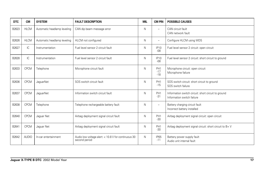| <b>DTC</b> | <b>CM</b>    | <b>SYSTEM</b>               | <b>FAULT DESCRIPTION</b>                                             | <b>MIL</b> | <b>CM PIN</b>                     | <b>POSSIBLE CAUSES</b>                                                            |
|------------|--------------|-----------------------------|----------------------------------------------------------------------|------------|-----------------------------------|-----------------------------------------------------------------------------------|
| B2623      | <b>HLCM</b>  | Automatic headlamp leveling | CAN dip beam message error                                           | N          | ۳                                 | CAN circuit fault<br>CAN network fault                                            |
| B2626      | <b>HLCM</b>  | Automatic headlamp leveling | HLCM not configured                                                  | N          | ۳                                 | Configure HLCM using WDS                                                          |
| B2627      | IC           | Instrumentation             | Fuel level sensor 2 circuit fault                                    | N          | <b>IP10</b><br>$-08$              | Fuel level sensor 2 circuit: open circuit                                         |
| B2628      | IC           | Instrumentation             | Fuel level sensor 2 circuit fault                                    | N          | <b>IP10</b><br>$-08$              | Fuel level sensor 2 circuit: short circuit to ground                              |
| B2633      | <b>CPCM</b>  | Telephone                   | Microphone circuit fault                                             | N          | PH <sub>1</sub><br>$-17$<br>$-18$ | Microphone circuit: open circuit<br>Microphone failure                            |
| B2636      | <b>CPCM</b>  | <b>JaquarNet</b>            | SOS switch circuit fault                                             | N          | PH <sub>1</sub><br>$-15$          | SOS switch circuit: short circuit to ground<br>SOS switch failure                 |
| B2637      | <b>CPCM</b>  | JaguarNet                   | Information switch circuit fault                                     | N          | PH <sub>1</sub><br>$-31$          | Information switch circuit: short circuit to ground<br>Information switch failure |
| B2638      | CPCM         | Telephone                   | Telephone rechargeable battery fault                                 | N          | ۳                                 | Battery charging circuit fault<br>Incorrect battery installed                     |
| B2640      | <b>CPCM</b>  | Jaquar Net                  | Airbag deployment signal circuit fault                               | N          | PH <sub>1</sub><br>$-30$          | Airbag deployment signal circuit: open circuit                                    |
| B2641      | <b>CPCM</b>  | Jaguar Net                  | Airbag deployment signal circuit fault                               | N          | PH <sub>1</sub><br>$-30$          | Airbag deployment signal circuit: short circuit to B+V                            |
| B2642      | <b>AUDIO</b> | In-car entertainment        | Audio low voltage alert: < 10.8 V for continuous 30<br>second period | N          | <b>IP65</b><br>$-11$              | Battery power supply fault<br>Audio unit internal fault                           |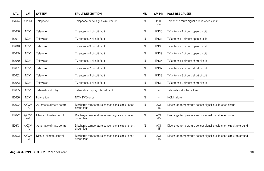| <b>DTC</b> | <b>CM</b>            | <b>SYSTEM</b>             | <b>FAULT DESCRIPTION</b>                                           | <b>MIL</b> | <b>CM PIN</b>            | <b>POSSIBLE CAUSES</b>                                               |
|------------|----------------------|---------------------------|--------------------------------------------------------------------|------------|--------------------------|----------------------------------------------------------------------|
| B2644      | <b>CPCM</b>          | Telephone                 | Telephone mute signal circuit fault                                | N          | PH <sub>1</sub><br>$-04$ | Telephone mute signal circuit: open circuit                          |
| B2646      | <b>NCM</b>           | Television                | TV antenna 1 circuit fault                                         | N          | <b>IP136</b>             | TV antenna 1 circuit: open circuit                                   |
| B2647      | <b>NCM</b>           | Television                | TV antenna 2 circuit fault                                         | N          | <b>IP137</b>             | TV antenna 2 circuit: open circuit                                   |
| B2648      | <b>NCM</b>           | Television                | TV antenna 3 circuit fault                                         | N          | <b>IP138</b>             | TV antenna 3 circuit: open circuit                                   |
| B2649      | <b>NCM</b>           | Television                | TV antenna 4 circuit fault                                         | N          | IP139                    | TV antenna 4 circuit: open circuit                                   |
| B2650      | <b>NCM</b>           | Television                | TV antenna 1 circuit fault                                         | N          | IP136                    | TV antenna 1 circuit: short circuit                                  |
| B2651      | <b>NCM</b>           | Television                | TV antenna 2 circuit fault                                         | N          | <b>IP137</b>             | TV antenna 2 circuit: short circuit                                  |
| B2652      | <b>NCM</b>           | Television                | TV antenna 3 circuit fault                                         | N          | <b>IP138</b>             | TV antenna 3 circuit: short circuit                                  |
| B2653      | <b>NCM</b>           | Television                | TV antenna 4 circuit fault                                         | N          | <b>IP139</b>             | TV antenna 4 circuit: short circuit                                  |
| B2655      | <b>NCM</b>           | Telematics display        | Telematics display internal fault                                  | N          | $\overline{\phantom{a}}$ | Telematics display failure                                           |
| B2656      | <b>NCM</b>           | Navigation                | NCM DVD error                                                      | N          | $\overline{\phantom{m}}$ | <b>NCM</b> failure                                                   |
| B2672      | <b>A/CCM</b><br>$-A$ | Automatic climate control | Discharge temperature sensor signal circuit open<br>circuit fault  | N          | AC1<br>$-15$             | Discharge temperature sensor signal circuit: open circuit            |
| B2672      | <b>A/CCM</b><br>$-M$ | Manual climate control    | Discharge temperature sensor signal circuit open<br>circuit fault  | N          | AC1<br>$-15$             | Discharge temperature sensor signal circuit: open circuit            |
| B2673      | <b>A/CCM</b><br>$-A$ | Automatic climate control | Discharge temperature sensor signal circuit short<br>circuit fault | N          | AC1<br>$-15$             | Discharge temperature sensor signal circuit: short circuit to ground |
| B2673      | <b>A/CCM</b><br>$-M$ | Manual climate control    | Discharge temperature sensor signal circuit short<br>circuit fault | N          | AC1<br>$-15$             | Discharge temperature sensor signal circuit: short circuit to ground |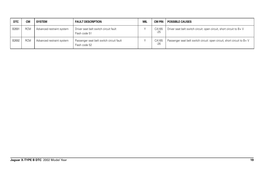| <b>DTC</b> | <b>CM</b>  | <b>SYSTEM</b>             | <b>FAULT DESCRIPTION</b>                                  | <b>MIL</b> | <b>CM PIN</b>  | <b>POSSIBLE CAUSES</b>                                                     |
|------------|------------|---------------------------|-----------------------------------------------------------|------------|----------------|----------------------------------------------------------------------------|
| B2691      | <b>RCM</b> | Advanced restraint system | Driver seat belt switch circuit fault<br>Flash code 51    |            | CA165<br>$-25$ | Driver seat belt switch circuit: open circuit, short circuit to B+V        |
| B2692      | <b>RCM</b> | Advanced restraint system | Passenger seat belt switch circuit fault<br>Flash code 52 |            | CA165<br>$-26$ | Passenger seat belt switch circuit: open circuit, short circuit to $B + V$ |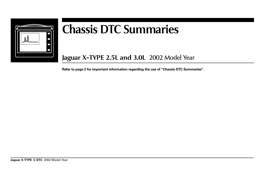

## **Chassis DTC Summaries**

**Jaguar X-TYPE 2.5L and 3.0L** 2002 Model Year

**Refer to page 2 for important information regarding the use of "Chassis DTC Summaries".**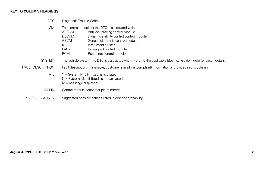## **KEY TO COLUMN HEADINGS**

DTC Diagnostic Trouble Code

CM The control module(s) the DTC is associated with: ABSCM Anti-lock braking control module DSCCM Dynamic stability control control module GECM General electronic control module IC Instrument cluster PACM Parking aid control module RCM Restraints control module SYSTEM The vehicle system the DTC is associated with. Refer to the applicable Electrical Guide Figure for circuit details. FAULT DESCRIPTION Fault description. If available, customer symptom (complaint) information is provided in this column. MIL  $Y = System \text{ MIL}$  (if fitted) is activated. N = System MIL (if fitted) is not activated.  $M =$  Message displayed. CM PIN Control module connector pin number(s) POSSIBLE CAUSES Suggested possible causes listed in order of probability.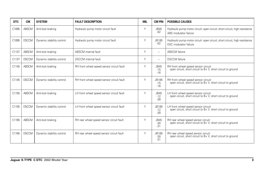| DTC.  | <b>CM</b>    | <b>SYSTEM</b>             | <b>FAULT DESCRIPTION</b>                  | <b>MIL</b> | <b>CM PIN</b>                 | <b>POSSIBLE CAUSES</b>                                                                              |
|-------|--------------|---------------------------|-------------------------------------------|------------|-------------------------------|-----------------------------------------------------------------------------------------------------|
| C1095 | <b>ABSCM</b> | Anti-lock braking         | Hydraulic pump motor circuit fault        | Y          | JB45<br>$-02$                 | Hydraulic pump motor circuit: open circuit, short circuit, high resistance<br>ABS modulator failure |
| C1095 | <b>DSCCM</b> | Dynamic stability control | Hydraulic pump motor circuit fault        | Υ          | JB185<br>$-02$                | Hydraulic pump motor circuit: open circuit, short circuit, high resistance<br>DSC modulator failure |
| C1137 | <b>ABSCM</b> | Anti-lock braking         | ABSCM internal fault                      | Υ          | $\overline{\phantom{0}}$      | <b>ABSCM</b> failure                                                                                |
| C1137 | <b>DSCCM</b> | Dynamic stability control | <b>DSCCM</b> internal fault               | Υ          | $\overline{\phantom{0}}$      | <b>DSCCM</b> failure                                                                                |
| C1145 | ABSCM        | Anti-lock braking         | RH front wheel speed sensor circuit fault | Y          | <b>JB45</b><br>$-15$<br>$-16$ | RH front wheel speed sensor circuit:<br>open circuit, short circuit to B+V, short circuit to ground |
| C1145 | <b>DSCCM</b> | Dynamic stability control | RH front wheel speed sensor circuit fault | Y          | JB185<br>$-15$<br>$-16$       | RH front wheel speed sensor circuit:<br>open circuit, short circuit to B+V, short circuit to ground |
| C1155 | ABSCM        | Anti-lock braking         | LH front wheel speed sensor circuit fault | Y          | <b>JB45</b><br>$-12$<br>$-28$ | LH front wheel speed sensor circuit:<br>open circuit, short circuit to B+V, short circuit to ground |
| C1155 | <b>DSCCM</b> | Dynamic stability control | LH front wheel speed sensor circuit fault | Y          | JB185<br>$-12$<br>$-28$       | LH front wheel speed sensor circuit:<br>open circuit, short circuit to B+V, short circuit to ground |
| C1165 | <b>ABSCM</b> | Anti-lock braking         | RH rear wheel speed sensor circuit fault  | Υ          | <b>JB45</b><br>$-30$<br>$-31$ | RH rear wheel speed sensor circuit:<br>open circuit, short circuit to B+V, short circuit to ground  |
| C1165 | <b>DSCCM</b> | Dynamic stability control | RH rear wheel speed sensor circuit fault  | Υ          | JB185<br>$-30$<br>$-31$       | RH rear wheel speed sensor circuit:<br>open circuit, short circuit to B+V, short circuit to ground  |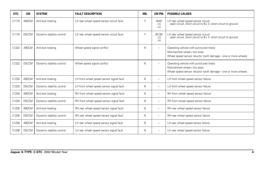| <b>DTC</b> | <b>CM</b>    | <b>SYSTEM</b>             | <b>FAULT DESCRIPTION</b>                 | <b>MIL</b> | <b>CM PIN</b>                 | <b>POSSIBLE CAUSES</b>                                                                                                                     |
|------------|--------------|---------------------------|------------------------------------------|------------|-------------------------------|--------------------------------------------------------------------------------------------------------------------------------------------|
| C1175      | ABSCM        | Anti-lock braking         | LH rear wheel speed sensor circuit fault | Υ          | <b>JB45</b><br>$-13$<br>$-14$ | LH rear wheel speed sensor circuit:<br>open circuit, short circuit to B+V, short circuit to ground                                         |
| C1175      | <b>DSCCM</b> | Dynamic stability control | LH rear wheel speed sensor circuit fault | Υ          | JB185<br>$-13$<br>$-14$       | LH rear wheel speed sensor circuit:<br>open circuit, short circuit to B+V, short circuit to ground                                         |
| C1222      | ABSCM        | Anti-lock braking         | Wheel speed signal conflict              | N          | $\overline{\phantom{0}}$      | Operating vehicle with punctured tire(s)<br>Mismatched wheel / tire sizes<br>Wheel speed sensor reluctor tooth damage - one or more wheels |
| C1222      | <b>DSCCM</b> | Dynamic stability control | Wheel speed signal conflict              | N          | $\overline{\phantom{0}}$      | Operating vehicle with punctured tire(s)<br>Mismatched wheel / tire sizes<br>Wheel speed sensor reluctor tooth damage - one or more wheels |
| C1233      | <b>ABSCM</b> | Anti-lock braking         | LH front wheel speed sensor signal fault | N          | $\overline{a}$                | LH front wheel speed sensor failure                                                                                                        |
| C1233      | <b>DSCCM</b> | Dynamic stability control | LH front wheel speed sensor signal fault | N          | ۳                             | LH front wheel speed sensor failure                                                                                                        |
| C1234      | <b>ABSCM</b> | Anti-lock braking         | RH front wheel speed sensor signal fault | N          | $\overline{\phantom{0}}$      | RH front wheel speed sensor failure                                                                                                        |
| C1234      | <b>DSCCM</b> | Dynamic stability control | RH front wheel speed sensor signal fault | N          | $\overline{a}$                | RH front wheel speed sensor failure                                                                                                        |
| C1235      | ABSCM        | Anti-lock braking         | RH rear wheel speed sensor signal fault  | N          | ۳                             | RH rear wheel speed sensor failure                                                                                                         |
| C1235      | <b>DSCCM</b> | Dynamic stability control | RH rear wheel speed sensor signal fault  | N          | $\overline{a}$                | RH rear wheel speed sensor failure                                                                                                         |
| C1236      | ABSCM        | Anti-lock braking         | LH rear wheel speed sensor signal fault  | N          | $\overline{a}$                | LH rear wheel speed sensor failure                                                                                                         |
| C1236      | <b>DSCCM</b> | Dynamic stability control | LH rear wheel speed sensor signal fault  | Ν          | -                             | LH rear wheel speed sensor failure                                                                                                         |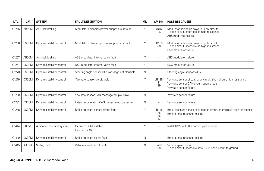| <b>DTC</b> | <b>CM</b>    | <b>SYSTEM</b>             | <b>FAULT DESCRIPTION</b>                        | <b>MIL</b> | <b>CM PIN</b>                    | <b>POSSIBLE CAUSES</b>                                                                                                                        |
|------------|--------------|---------------------------|-------------------------------------------------|------------|----------------------------------|-----------------------------------------------------------------------------------------------------------------------------------------------|
| C1266      | ABSCM        | Anti-lock braking         | Modulator solenoids power supply circuit fault  | Υ          | <b>JB45</b><br>$-06$             | Modulator solenoids power supply circuit:<br>open circuit, short circuit, high resistance<br>ABS modulator failure                            |
| C1266      | <b>DSCCM</b> | Dynamic stability control | Modulator solenoids power supply circuit fault  | $\vee$     | JB185<br>$-06$                   | Modulator solenoids power supply circuit:<br>open circuit, short circuit, high resistance<br>DSC modulator failure                            |
| C1267      | ABSCM        | Anti-lock braking         | ABS modulator internal valve fault              | $\vee$     | $\overline{\phantom{a}}$         | ABS modulator failure                                                                                                                         |
| C1267      | <b>DSCCM</b> | Dynamic stability control | DSC modulator internal valve fault              | Υ          | $\overline{\phantom{0}}$         | DSC modulator failure                                                                                                                         |
| C1278      | <b>DSCCM</b> | Dynamic stability control | Steering angle sensor CAN message not plausible | N          | $\overline{\phantom{a}}$         | Steering angle sensor failure                                                                                                                 |
| C1279      | <b>DSCCM</b> | Dynamic stability control | Yaw rate sensor circuit fault                   | $\vee$     | JB185<br>$-21$<br>$-39$          | Yaw rate sensor circuit: open circuit, short circuit, high resistance<br>Yaw rate sensor CAN circuit: open circuit<br>Yaw rate sensor failure |
| C1280      | <b>DSCCM</b> | Dynamic stability control | Yaw rate sensor CAN message not plausible       | N          | $\overline{\phantom{0}}$         | Yaw rate sensor failure                                                                                                                       |
| C1282      | <b>DSCCM</b> | Dynamic stability control | Lateral acceleration CAN message not plausible  | N          | $\overline{\phantom{a}}$         | Yaw rate sensor failure                                                                                                                       |
| C1288      | <b>DSCCM</b> | Dynamic stability control | Brake pressure sensor circuit fault             | Y          | JB185<br>$-25$<br>$-26$<br>$-42$ | Brake pressure sensor circuit: open circuit, short circuit, high resistance<br>Brake pressure sensor failure                                  |
| C1414      | <b>RCM</b>   | Advanced restraint system | Incorrect RCM installed<br>Flash code 15        | $\vee$     | $\overline{\phantom{0}}$         | Install RCM with the correct part number                                                                                                      |
| C1440      | <b>DSCCM</b> | Dynamic stability control | Brake pressure signal fault                     | N          | $\overline{\phantom{a}}$         | Brake pressure sensor failure                                                                                                                 |
| C1445      | <b>GECM</b>  | Sliding roof              | Vehicle speed circuit fault                     | N          | CA87<br>$-20$                    | Vehicle speed circuit:<br>open circuit, short circuit to B+V, short circuit to ground                                                         |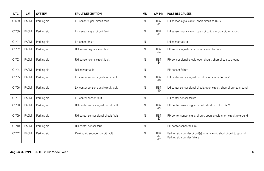| <b>DTC</b> | <b>CM</b>   | <b>SYSTEM</b> | <b>FAULT DESCRIPTION</b>              | <b>MIL</b> | <b>CM PIN</b>            | <b>POSSIBLE CAUSES</b>                                                                               |
|------------|-------------|---------------|---------------------------------------|------------|--------------------------|------------------------------------------------------------------------------------------------------|
| C1699      | <b>PACM</b> | Parking aid   | LH sensor signal circuit fault        | N          | RB7<br>$-11$             | LH sensor signal circuit: short circuit to B+ V                                                      |
| C1700      | <b>PACM</b> | Parking aid   | LH sensor signal circuit fault        | N          | RB7<br>$-11$             | LH sensor signal circuit: open circuit, short circuit to ground                                      |
| C1701      | PACM        | Parking aid   | LH sensor fault                       | N          | $\overline{\phantom{0}}$ | LH sensor failure                                                                                    |
| C1702      | PACM        | Parking aid   | RH sensor signal circuit fault        | N          | RB7<br>$-24$             | RH sensor signal circuit: short circuit to B+V                                                       |
| C1703      | PACM        | Parking aid   | RH sensor signal circuit fault        | N          | RB7<br>$-24$             | RH sensor signal circuit: open circuit, short circuit to ground                                      |
| C1704      | <b>PACM</b> | Parking aid   | RH sensor fault                       | N          | $\overline{\phantom{0}}$ | RH sensor failure                                                                                    |
| C1705      | PACM        | Parking aid   | LH center sensor signal circuit fault | N          | RB7<br>$-10$             | LH center sensor signal circuit: short circuit to B+V                                                |
| C1706      | <b>PACM</b> | Parking aid   | LH center sensor signal circuit fault | N          | RB7<br>$-10$             | LH center sensor signal circuit: open circuit, short circuit to ground                               |
| C1707      | <b>PACM</b> | Parking aid   | LH center sensor fault                | N          | $\qquad \qquad -$        | LH center sensor failure                                                                             |
| C1708      | <b>PACM</b> | Parking aid   | RH center sensor signal circuit fault | N          | RB7<br>$-23$             | RH center sensor signal circuit: short circuit to B+V                                                |
| C1709      | <b>PACM</b> | Parking aid   | RH center sensor signal circuit fault | N          | RB7<br>$-23$             | RH center sensor signal circuit: open circuit, short circuit to ground                               |
| C1710      | PACM        | Parking aid   | RH center sensor fault                | N          | $\overline{\phantom{0}}$ | RH center sensor failure                                                                             |
| C1742      | <b>PACM</b> | Parking aid   | Parking aid sounder circuit fault     | N          | RB7<br>$-14$<br>$-17$    | Parking aid sounder circuit(s): open circuit, short circuit to ground<br>Parking aid sounder failure |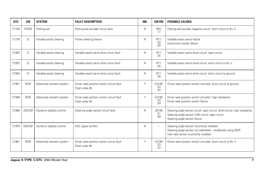| <b>DTC</b> | <b>CM</b>    | <b>SYSTEM</b>             | <b>FAULT DESCRIPTION</b>                                   | <b>MIL</b> | <b>CM PIN</b>           | <b>POSSIBLE CAUSES</b>                                                                                                                                          |
|------------|--------------|---------------------------|------------------------------------------------------------|------------|-------------------------|-----------------------------------------------------------------------------------------------------------------------------------------------------------------|
| C1743      | <b>PACM</b>  | Parking aid               | Parking aid sounder circuit fault                          | Ν          | RB7<br>$-17$            | Parking aid sounder negative circuit: short circuit to $B + V$                                                                                                  |
| C1778      | IC           | Variable assist steering  | Power steering failure                                     | N          | IP11<br>$-23$<br>$-25$  | Variable assist servo failure<br>Instrument cluster failure                                                                                                     |
| C1922      | IC           | Variable assist steering  | Variable assist servo drive circuit fault                  | N          | IP11<br>$-25$           | Variable assist servo drive circuit: open circuit                                                                                                               |
| C1923      | IC           | Variable assist steering  | Variable assist servo drive circuit fault                  | N          | IP11<br>$-25$           | Variable assist servo drive circuit: short circuit to B+V                                                                                                       |
| C1924      | IC           | Variable assist steering  | Variable assist servo drive circuit fault                  | N          | IP11<br>$-25$           | Variable assist servo drive circuit: short circuit to ground                                                                                                    |
| C1947      | <b>RCM</b>   | Advanced restraint system | Driver seat position switch circuit fault<br>Flash code 49 | Y          | CA165<br>$-23$<br>$-24$ | Driver seat position switch circuit(s): short circuit to ground                                                                                                 |
| C1948      | <b>RCM</b>   | Advanced restraint system | Driver seat position switch circuit fault<br>Flash code 49 | Υ          | CA165<br>$-23$<br>$-24$ | Driver seat position switch circuit(s): high resistance<br>Driver seat position switch failure                                                                  |
| C1956      | <b>DSCCM</b> | Dynamic stability control | Steering angle sensor circuit fault                        | N          | JB185<br>$-21$<br>$-39$ | Steering angle sensor circuit: open circuit, short circuit, high resistance<br>Steering angle sensor CAN circuit: open circuit<br>Steering angle sensor failure |
| C1975      | <b>DSCCM</b> | Dynamic stability control | DSC signal conflict                                        | N          | $\overline{a}$          | Steering angle sensor incorrectly installed<br>Steering angle sensor not calibrated - recalibrate using WDS<br>Yaw rate sensor incorrectly installed            |
| C1981      | <b>RCM</b>   | Advanced restraint system | Driver seat position switch circuit fault<br>Flash code 49 | Y          | CA165<br>$-23$<br>$-24$ | Driver seat position switch circuit(s): short circuit to B+V                                                                                                    |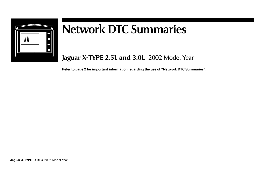

## **Network DTC Summaries**

**Jaguar X-TYPE 2.5L and 3.0L** 2002 Model Year

**Refer to page 2 for important information regarding the use of "Network DTC Summaries".**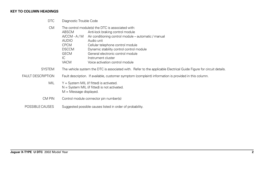## **KEY TO COLUMN HEADINGS**

DTC Diagnostic Trouble Code

| <b>CM</b>                | ABSCM<br>A/CCM - A / M<br><b>AUDIO</b><br><b>CPCM</b><br><b>DSCCM</b><br><b>GECM</b><br>IC<br><b>VACM</b>                | The control module(s) the DTC is associated with:<br>Anti-lock braking control module<br>Air conditioning control module – automatic / manual<br>Audio unit<br>Cellular telephone control module<br>Dynamic stability control control module<br>General electronic control module<br>Instrument cluster<br>Voice activation control module |
|--------------------------|--------------------------------------------------------------------------------------------------------------------------|--------------------------------------------------------------------------------------------------------------------------------------------------------------------------------------------------------------------------------------------------------------------------------------------------------------------------------------------|
| <b>SYSTEM</b>            |                                                                                                                          | The vehicle system the DTC is associated with. Refer to the applicable Electrical Guide Figure for circuit details.                                                                                                                                                                                                                        |
| <b>FAULT DESCRIPTION</b> |                                                                                                                          | Fault description. If available, customer symptom (complaint) information is provided in this column.                                                                                                                                                                                                                                      |
| <b>MIL</b>               | $Y = System MIL$ (if fitted) is activated.<br>$N =$ System MIL (if fitted) is not activated.<br>$M =$ Message displayed. |                                                                                                                                                                                                                                                                                                                                            |
| CM PIN                   |                                                                                                                          | Control module connector pin number(s)                                                                                                                                                                                                                                                                                                     |
| POSSIBLE CAUSES          |                                                                                                                          | Suggested possible causes listed in order of probability.                                                                                                                                                                                                                                                                                  |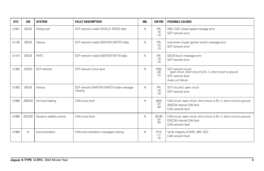| <b>DTC</b> | <b>CM</b>    | <b>SYSTEM</b>             | <b>FAULT DESCRIPTION</b>                             | <b>MIL</b> | <b>CM PIN</b>                     | <b>POSSIBLE CAUSES</b>                                                                                                           |
|------------|--------------|---------------------------|------------------------------------------------------|------------|-----------------------------------|----------------------------------------------------------------------------------------------------------------------------------|
| U1041      | <b>GECM</b>  | Sliding roof              | SCP network invalid VEHICLE SPEED data               | N          | IP <sub>5</sub><br>$-18$<br>$-19$ | ABS / DSC wheel speed message error<br>SCP network error                                                                         |
| U1135      | <b>GECM</b>  | Various                   | SCP network invalid IGNITION SWITCH data             | N          | IP <sub>5</sub><br>$-18$<br>$-19$ | Instrument cluster ignition switch message error<br>SCP network error                                                            |
| U1147      | <b>GECM</b>  | PATS                      | SCP network invalid IGNITION KEY-IN data             | N          | IP <sub>5</sub><br>$-18$<br>$-19$ | GECM key-in message error<br>SCP network error                                                                                   |
| U1262      | <b>AUDIO</b> | SCP network               | SCP network circuit fault                            | N          | <b>IP65</b><br>$-09$<br>$-10$     | SCP network circuit:<br>open circuit, short circuit to B+V, short circuit to ground<br>SCP network fault<br>Audio unit failure   |
| U1262      | <b>GECM</b>  | Various                   | SCP network IGNITION SWITCH state message<br>missing | N          | IP <sub>5</sub><br>$-18$<br>$-19$ | SCP circuit(s): open circuit<br>SCP network error                                                                                |
| U1900      | ABSCM        | Anti-lock braking         | CAN circuit fault                                    | N          | <b>JB45</b><br>$-24$<br>$-40$     | CAN circuit: open circuit, short circuit to B+V, short circuit to ground<br>ABSCM internal CAN fault<br>CAN network fault        |
| U1900      | <b>DSCCM</b> | Dynamic stability control | CAN circuit fault                                    | N          | JB185<br>$-24$<br>$-40$           | CAN circuit: open circuit, short circuit to B+V, short circuit to ground<br><b>DSCCM</b> internal CAN fault<br>CAN network fault |
| U1900      | IC.          | Instrumentation           | CAN instrumentation messages missing                 | N          | <b>IP10</b><br>$-17$<br>$-18$     | Verify integrity of EMS, ABS, DSC<br>CAN network fault                                                                           |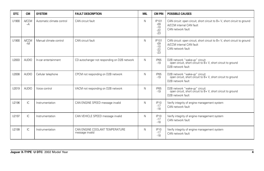| <b>DTC</b> | <b>CM</b>            | <b>SYSTEM</b>             | <b>FAULT DESCRIPTION</b>                          | <b>MIL</b> | <b>CM PIN</b>                             | <b>POSSIBLE CAUSES</b>                                                                                                         |
|------------|----------------------|---------------------------|---------------------------------------------------|------------|-------------------------------------------|--------------------------------------------------------------------------------------------------------------------------------|
| U1900      | <b>A/CCM</b><br>$-A$ | Automatic climate control | CAN circuit fault                                 | N          | IP101<br>$-09$<br>$-10$<br>$-22$<br>$-23$ | CAN circuit: open circuit, short circuit to $B + V$ , short circuit to ground<br>A/CCM internal CAN fault<br>CAN network fault |
| U1900      | <b>A/CCM</b><br>$-M$ | Manual climate control    | CAN circuit fault                                 | N          | IP101<br>$-09$<br>$-10$<br>$-22$<br>$-23$ | CAN circuit: open circuit, short circuit to B+V, short circuit to ground<br>A/CCM internal CAN fault<br>CAN network fault      |
| U2003      | <b>AUDIO</b>         | In-car entertainment      | CD autochanger not responding on D2B network      | N          | <b>IP65</b><br>$-19$                      | D2B network "wake-up" circuit:<br>open circuit, short circuit to B+V, short circuit to ground<br>D2B network fault             |
| U2008      | <b>AUDIO</b>         | Cellular telephone        | CPCM not responding on D2B network                | N          | <b>IP65</b><br>$-19$                      | D2B network "wake-up" circuit:<br>open circuit, short circuit to B+V, short circuit to ground<br>D2B network fault             |
| U2019      | <b>AUDIO</b>         | Voice control             | VACM not responding on D2B network                | N          | <b>IP65</b><br>$-19$                      | D2B network "wake-up" circuit:<br>open circuit, short circuit to B+V, short circuit to ground<br>D2B network fault             |
| U2196      | IC.                  | Instrumentation           | CAN ENGINE SPEED message invalid                  | N          | <b>IP10</b><br>$-17$<br>$-18$             | Verify integrity of engine management system<br>CAN network fault                                                              |
| U2197      | IC                   | Instrumentation           | CAN VEHICLE SPEED message invalid                 | N          | <b>IP10</b><br>$-17$<br>$-18$             | Verify integrity of engine management system<br>CAN network fault                                                              |
| U2199      | IC.                  | Instrumentation           | CAN ENGINE COOLANT TEMPERATURE<br>message invalid | N          | <b>IP10</b><br>$-17$<br>$-18$             | Verify integrity of engine management system<br>CAN network fault                                                              |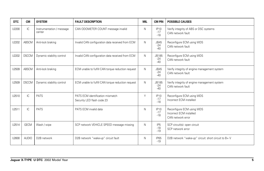| <b>DTC</b> | <b>CM</b>    | <b>SYSTEM</b>                       | <b>FAULT DESCRIPTION</b>                                       | <b>MIL</b> | <b>CM PIN</b>                     | <b>POSSIBLE CAUSES</b>                                                    |
|------------|--------------|-------------------------------------|----------------------------------------------------------------|------------|-----------------------------------|---------------------------------------------------------------------------|
| U2200      | IC.          | Instrumentation / message<br>center | CAN ODOMETER COUNT message invalid                             | N          | <b>IP10</b><br>$-17$<br>$-18$     | Verify integrity of ABS or DSC systems<br>CAN network fault               |
| U2202      | ABSCM        | Anti-lock braking                   | Invalid CAN configuration data received from ECM               | N          | <b>JB45</b><br>$-24$<br>$-40$     | Reconfigure ECM using WDS<br>CAN network fault                            |
| U2202      | <b>DSCCM</b> | Dynamic stability control           | Invalid CAN configuration data received from ECM               | N          | JB185<br>$-24$<br>$-40$           | Reconfigure ECM using WDS<br>CAN network fault                            |
| U2509      | ABSCM        | Anti-lock braking                   | ECM unable to fulfill CAN torque reduction request             | N          | <b>JB45</b><br>$-24$<br>$-40$     | Verify integrity of engine management system<br>CAN network fault         |
| U2509      | <b>DSCCM</b> | Dynamic stability control           | ECM unable to fulfill CAN torque reduction request             | N          | JB185<br>$-24$<br>$-40$           | Verify integrity of engine management system<br>CAN network fault         |
| U2510      | IC           | PATS                                | PATS ECM identification mismatch<br>Security LED flash code 23 | Υ          | <b>IP10</b><br>$-17$<br>$-18$     | Reconfigure ECM using WDS<br>Incorrect ECM installed                      |
| U2511      | IC.          | <b>PATS</b>                         | PATS ECM invalid data                                          | N          | <b>IP10</b><br>$-17$<br>$-18$     | Reconfigure ECM using WDS<br>Incorrect ECM installed<br>CAN network error |
| U2514      | <b>GECM</b>  | Wash / wipe                         | SCP network VEHICLE SPEED message missing                      | N          | IP <sub>5</sub><br>$-18$<br>$-19$ | SCP circuit(s): open circuit<br>SCP network error                         |
| U2600      | <b>AUDIO</b> | D <sub>2</sub> B network            | D2B network "wake-up" circuit fault                            | N          | <b>IP65</b><br>$-19$              | D2B network "wake-up" circuit: short circuit to B+V                       |